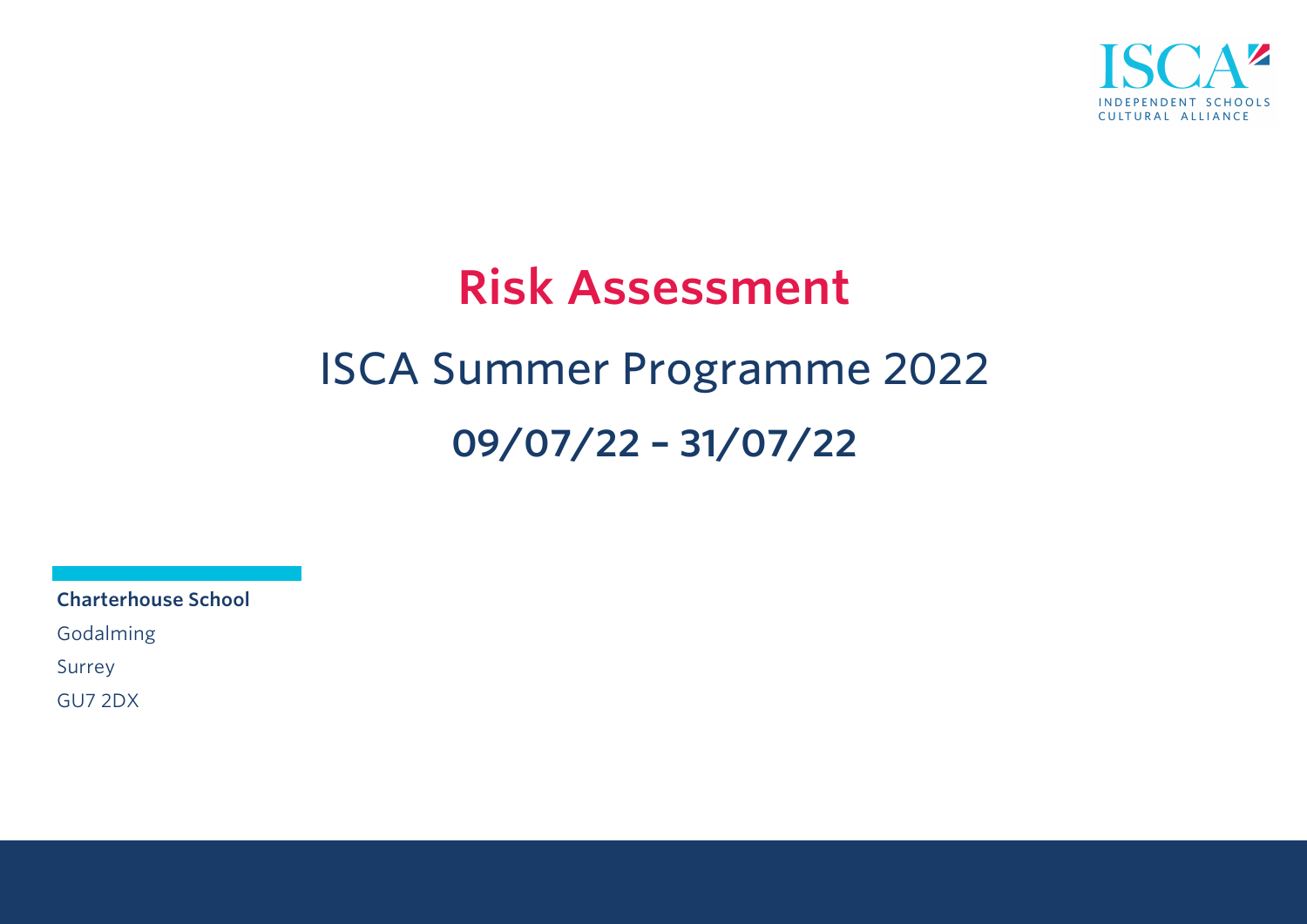

# **Risk Assessment** ISCA Summer Programme 2022 **09/07/22 – 31/07/22**

**Charterhouse School**

Godalming

Surrey

GU7 2DX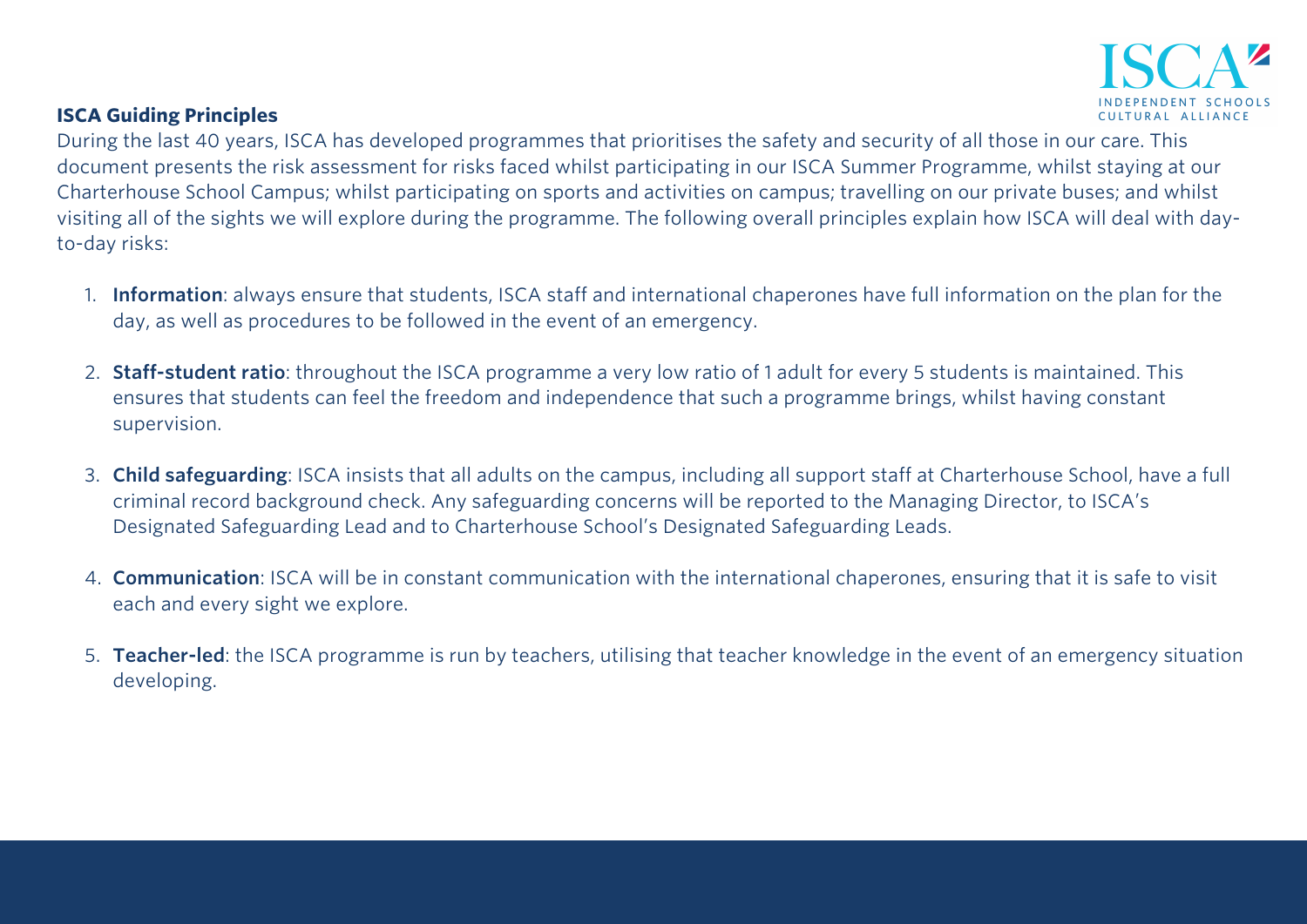

#### **ISCA Guiding Principles**

During the last 40 years, ISCA has developed programmes that prioritises the safety and security of all those in our care. This document presents the risk assessment for risks faced whilst participating in our ISCA Summer Programme, whilst staying at our Charterhouse School Campus; whilst participating on sports and activities on campus; travelling on our private buses; and whilst visiting all of the sights we will explore during the programme. The following overall principles explain how ISCA will deal with dayto-day risks:

- 1. **Information**: always ensure that students, ISCA staff and international chaperones have full information on the plan for the day, as well as procedures to be followed in the event of an emergency.
- 2. **Staff-student ratio**: throughout the ISCA programme a very low ratio of 1 adult for every 5 students is maintained. This ensures that students can feel the freedom and independence that such a programme brings, whilst having constant supervision.
- 3. **Child safeguarding**: ISCA insists that all adults on the campus, including all support staff at Charterhouse School, have a full criminal record background check. Any safeguarding concerns will be reported to the Managing Director, to ISCA's Designated Safeguarding Lead and to Charterhouse School's Designated Safeguarding Leads.
- 4. **Communication**: ISCA will be in constant communication with the international chaperones, ensuring that it is safe to visit each and every sight we explore.
- 5. **Teacher-led**: the ISCA programme is run by teachers, utilising that teacher knowledge in the event of an emergency situation developing.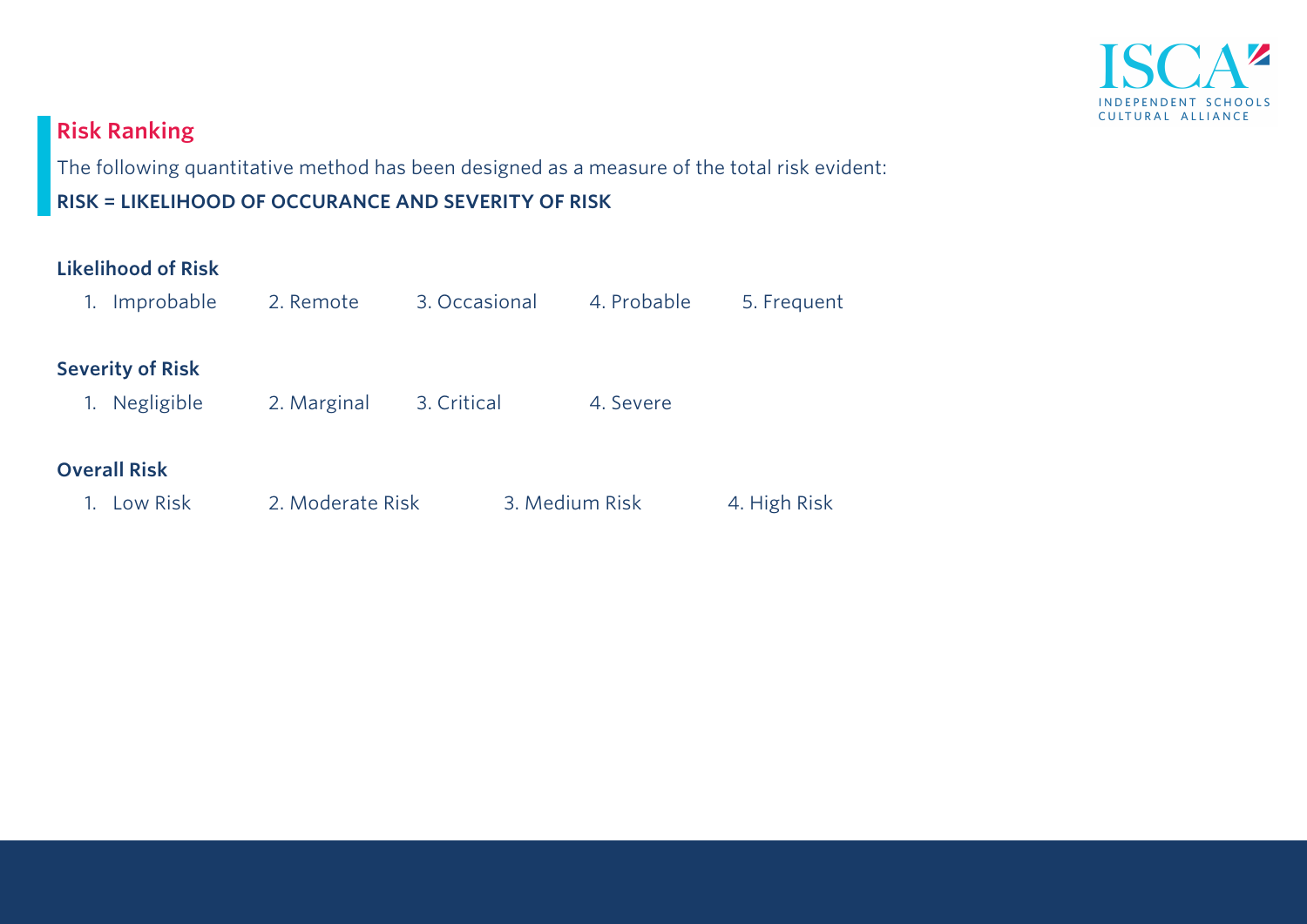

## **Risk Ranking**

The following quantitative method has been designed as a measure of the total risk evident:

**RISK = LIKELIHOOD OF OCCURANCE AND SEVERITY OF RISK** 

#### **Likelihood of Risk**

| Improbable<br>1.        | 2. Remote        | 3. Occasional  | 4. Probable | 5. Frequent  |
|-------------------------|------------------|----------------|-------------|--------------|
| <b>Severity of Risk</b> |                  |                |             |              |
| Negligible<br>1.        | 2. Marginal      | 3. Critical    | 4. Severe   |              |
|                         |                  |                |             |              |
| <b>Overall Risk</b>     |                  |                |             |              |
| Low Risk                | 2. Moderate Risk | 3. Medium Risk |             | 4. High Risk |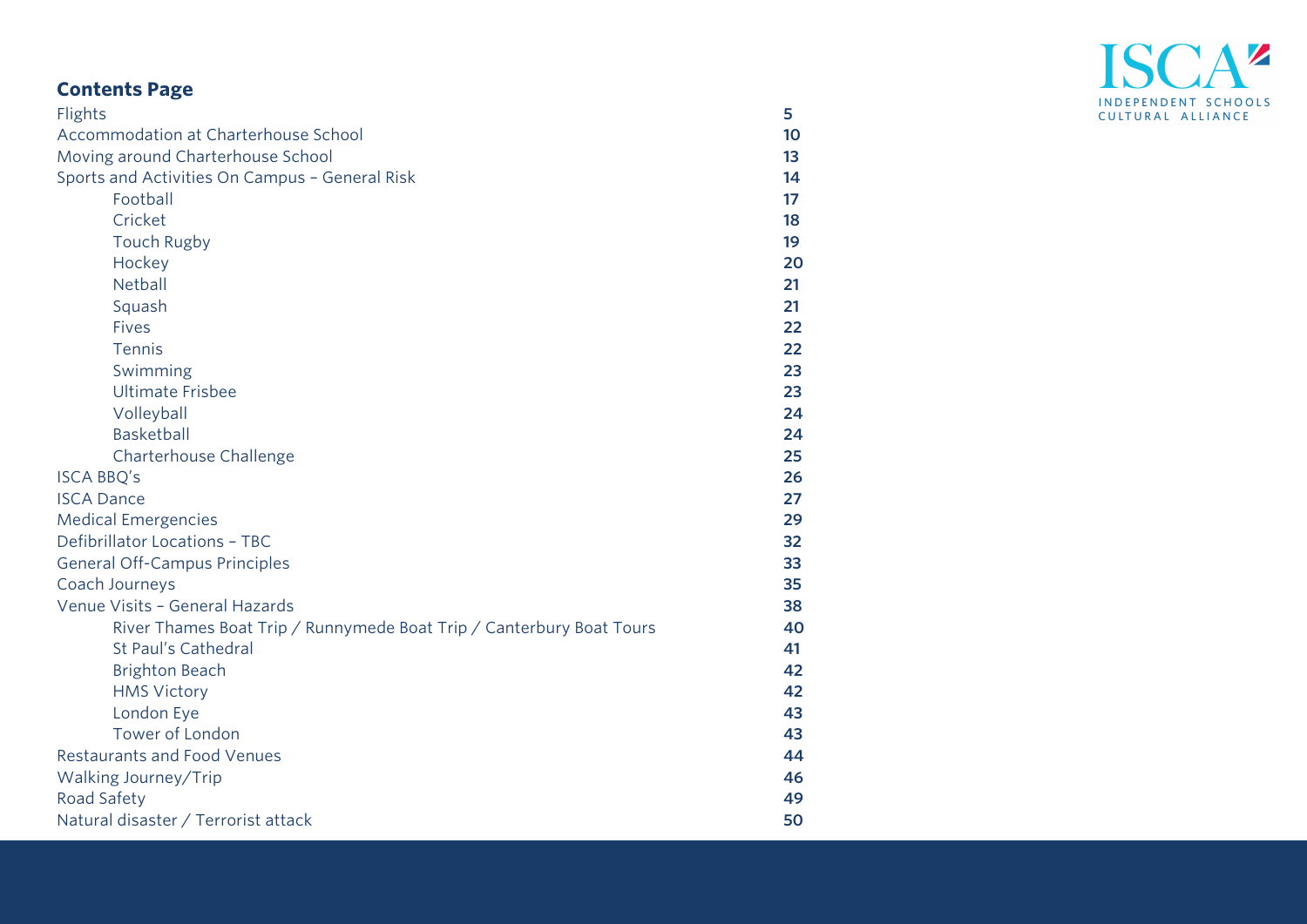# ISCA<sup>2</sup> INDEPENDENT SCHOOLS CULTURAL ALLIANCE

## **Contents Page**

| Flights                                                              | 5  |
|----------------------------------------------------------------------|----|
| Accommodation at Charterhouse School                                 | 10 |
| Moving around Charterhouse School                                    | 13 |
| Sports and Activities On Campus - General Risk                       | 14 |
| Football                                                             | 17 |
| Cricket                                                              | 18 |
| <b>Touch Rugby</b>                                                   | 19 |
| Hockey                                                               | 20 |
| Netball                                                              | 21 |
| Squash                                                               | 21 |
| <b>Fives</b>                                                         | 22 |
| Tennis                                                               | 22 |
| Swimming                                                             | 23 |
| <b>Ultimate Frisbee</b>                                              | 23 |
| Volleyball                                                           | 24 |
| Basketball                                                           | 24 |
| Charterhouse Challenge                                               | 25 |
| <b>ISCA BBQ's</b>                                                    | 26 |
| <b>ISCA Dance</b>                                                    | 27 |
| <b>Medical Emergencies</b>                                           | 29 |
| Defibrillator Locations - TBC                                        | 32 |
| General Off-Campus Principles                                        | 33 |
| Coach Journeys                                                       | 35 |
| Venue Visits - General Hazards                                       | 38 |
| River Thames Boat Trip / Runnymede Boat Trip / Canterbury Boat Tours | 40 |
| St Paul's Cathedral                                                  | 41 |
| <b>Brighton Beach</b>                                                | 42 |
| <b>HMS Victory</b>                                                   | 42 |
| London Eye                                                           | 43 |
| Tower of London                                                      | 43 |
| <b>Restaurants and Food Venues</b>                                   | 44 |
| Walking Journey/Trip                                                 | 46 |
| Road Safety                                                          | 49 |
| Natural disaster / Terrorist attack                                  | 50 |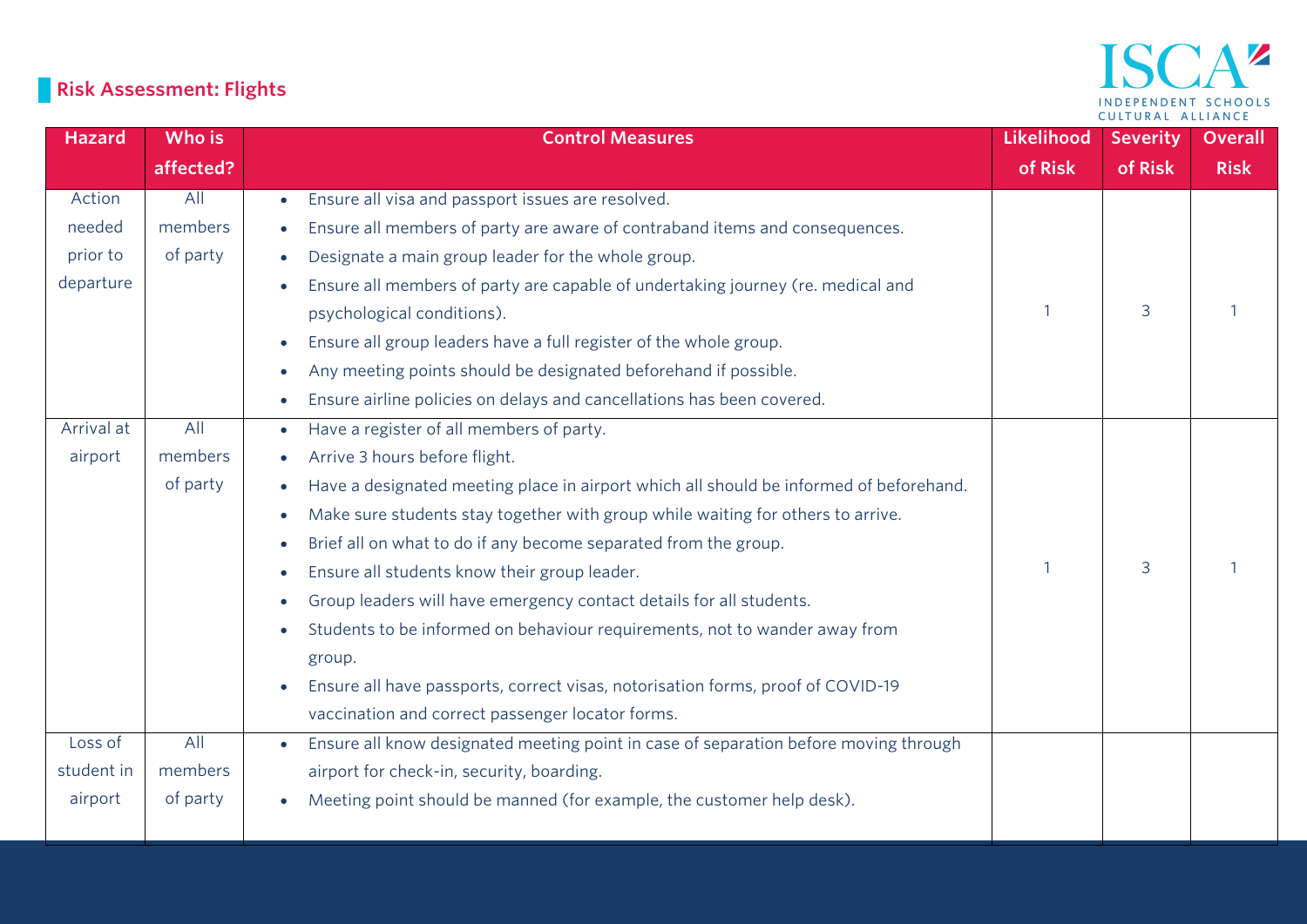## ISCA<sup>2</sup> INDEPENDENT SCHOOLS CULTURAL ALLIANCE

# **Risk Assessment: Flights**

| <b>Hazard</b> | Who is    | <b>Control Measures</b>                                                                             | Likelihood | <b>Severity</b> | <b>Overall</b> |
|---------------|-----------|-----------------------------------------------------------------------------------------------------|------------|-----------------|----------------|
|               | affected? |                                                                                                     | of Risk    | of Risk         | <b>Risk</b>    |
| Action        | All       | Ensure all visa and passport issues are resolved.<br>$\bullet$                                      |            |                 |                |
| needed        | members   | Ensure all members of party are aware of contraband items and consequences.                         |            |                 |                |
| prior to      | of party  | Designate a main group leader for the whole group.                                                  |            |                 |                |
| departure     |           | Ensure all members of party are capable of undertaking journey (re. medical and<br>$\bullet$        |            |                 |                |
|               |           | psychological conditions).                                                                          | 1          | 3               |                |
|               |           | Ensure all group leaders have a full register of the whole group.<br>$\bullet$                      |            |                 |                |
|               |           | Any meeting points should be designated beforehand if possible.<br>$\bullet$                        |            |                 |                |
|               |           | Ensure airline policies on delays and cancellations has been covered.<br>$\bullet$                  |            |                 |                |
| Arrival at    | All       | Have a register of all members of party.<br>$\bullet$                                               |            |                 |                |
| airport       | members   | Arrive 3 hours before flight.<br>$\bullet$                                                          |            |                 |                |
|               | of party  | Have a designated meeting place in airport which all should be informed of beforehand.<br>$\bullet$ |            |                 |                |
|               |           | Make sure students stay together with group while waiting for others to arrive.<br>$\bullet$        |            |                 |                |
|               |           | Brief all on what to do if any become separated from the group.<br>$\bullet$                        |            |                 |                |
|               |           | Ensure all students know their group leader.<br>$\bullet$                                           | 1          | 3               |                |
|               |           | Group leaders will have emergency contact details for all students.<br>$\bullet$                    |            |                 |                |
|               |           | Students to be informed on behaviour requirements, not to wander away from<br>$\bullet$             |            |                 |                |
|               |           | group.                                                                                              |            |                 |                |
|               |           | Ensure all have passports, correct visas, notorisation forms, proof of COVID-19<br>$\bullet$        |            |                 |                |
|               |           | vaccination and correct passenger locator forms.                                                    |            |                 |                |
| Loss of       | All       | Ensure all know designated meeting point in case of separation before moving through<br>$\bullet$   |            |                 |                |
| student in    | members   | airport for check-in, security, boarding.                                                           |            |                 |                |
| airport       | of party  | Meeting point should be manned (for example, the customer help desk).<br>$\bullet$                  |            |                 |                |
|               |           |                                                                                                     |            |                 |                |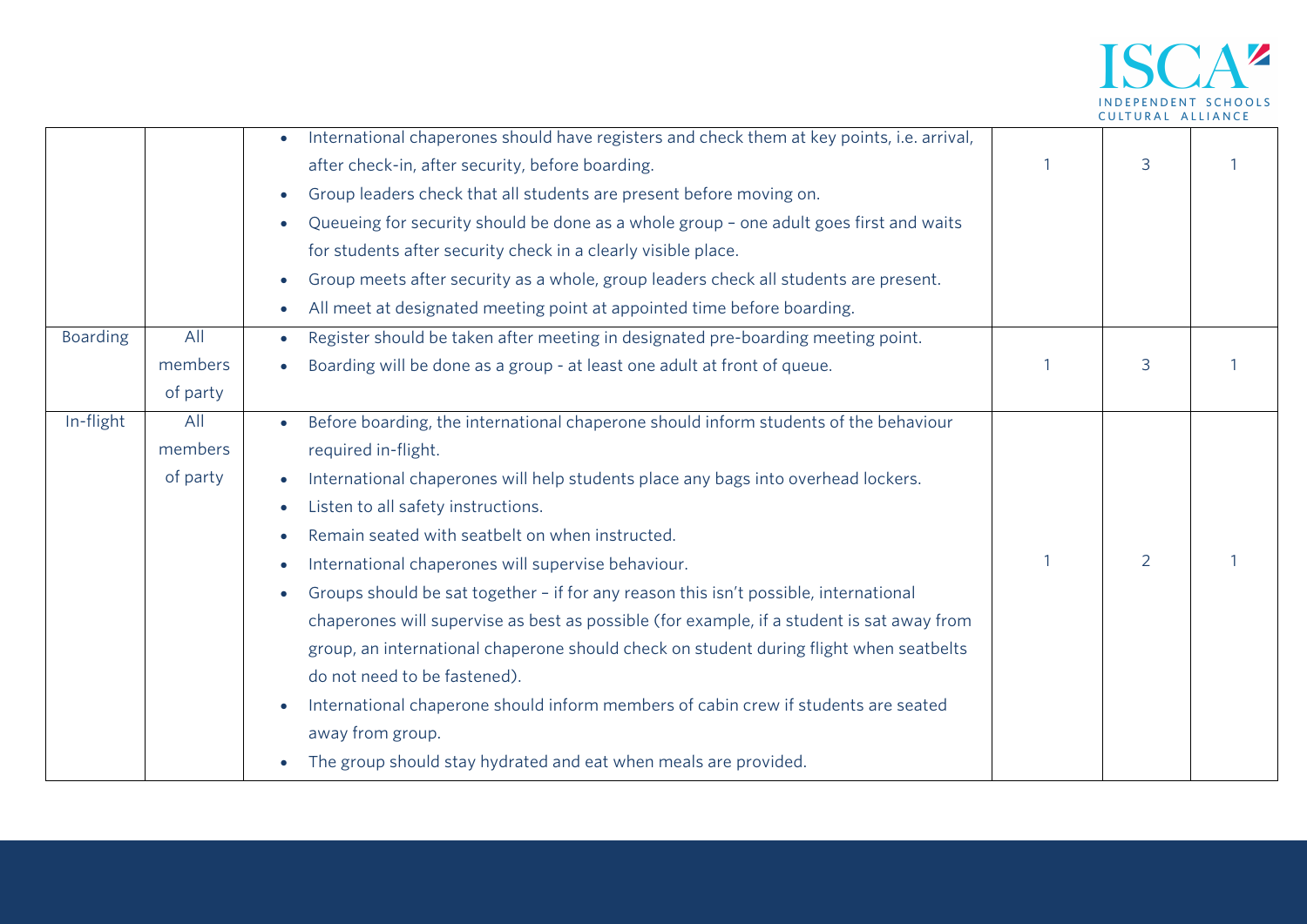

|                 |          | International chaperones should have registers and check them at key points, i.e. arrival,<br>$\bullet$ |                |                |  |
|-----------------|----------|---------------------------------------------------------------------------------------------------------|----------------|----------------|--|
|                 |          | after check-in, after security, before boarding.                                                        |                | 3              |  |
|                 |          | Group leaders check that all students are present before moving on.<br>$\bullet$                        |                |                |  |
|                 |          | Queueing for security should be done as a whole group - one adult goes first and waits                  |                |                |  |
|                 |          | for students after security check in a clearly visible place.                                           |                |                |  |
|                 |          | Group meets after security as a whole, group leaders check all students are present.<br>$\bullet$       |                |                |  |
|                 |          | All meet at designated meeting point at appointed time before boarding.<br>$\bullet$                    |                |                |  |
| <b>Boarding</b> | All      | Register should be taken after meeting in designated pre-boarding meeting point.<br>$\bullet$           |                |                |  |
|                 | members  | Boarding will be done as a group - at least one adult at front of queue.                                |                | 3              |  |
|                 | of party |                                                                                                         |                |                |  |
| In-flight       | All      | Before boarding, the international chaperone should inform students of the behaviour                    |                |                |  |
|                 | members  | required in-flight.                                                                                     |                |                |  |
|                 | of party | International chaperones will help students place any bags into overhead lockers.                       |                |                |  |
|                 |          | Listen to all safety instructions.                                                                      |                |                |  |
|                 |          | Remain seated with seatbelt on when instructed.                                                         |                |                |  |
|                 |          | International chaperones will supervise behaviour.                                                      | $\overline{1}$ | $\overline{2}$ |  |
|                 |          | Groups should be sat together - if for any reason this isn't possible, international                    |                |                |  |
|                 |          | chaperones will supervise as best as possible (for example, if a student is sat away from               |                |                |  |
|                 |          | group, an international chaperone should check on student during flight when seatbelts                  |                |                |  |
|                 |          | do not need to be fastened).                                                                            |                |                |  |
|                 |          | International chaperone should inform members of cabin crew if students are seated                      |                |                |  |
|                 |          |                                                                                                         |                |                |  |
|                 |          | away from group.                                                                                        |                |                |  |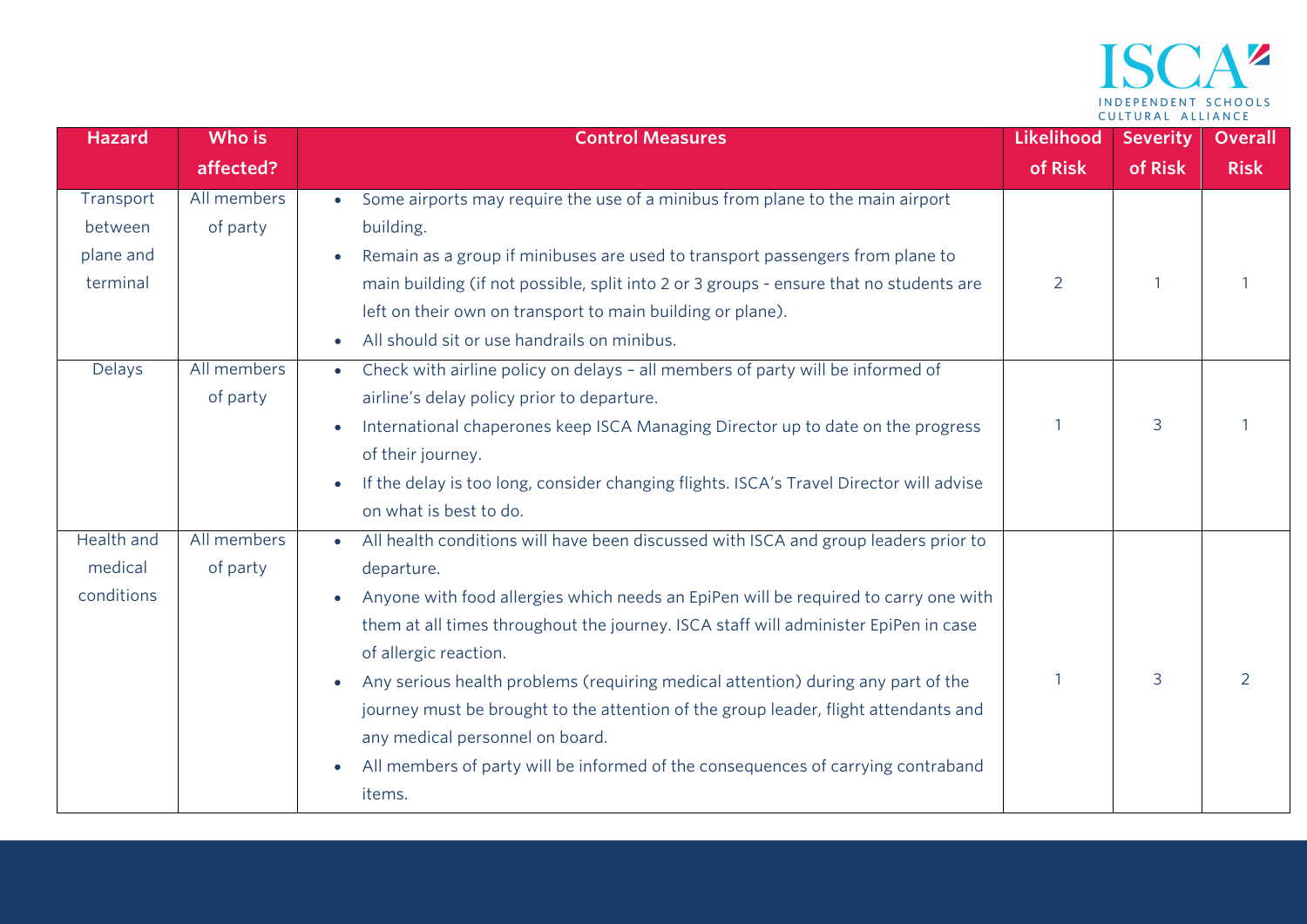

| <b>Hazard</b> | Who is      | <b>Control Measures</b>                                                                          | Likelihood | <b>Severity</b> | <b>Overall</b> |
|---------------|-------------|--------------------------------------------------------------------------------------------------|------------|-----------------|----------------|
|               | affected?   |                                                                                                  | of Risk    | of Risk         | <b>Risk</b>    |
| Transport     | All members | Some airports may require the use of a minibus from plane to the main airport<br>$\bullet$       |            |                 |                |
| between       | of party    | building.                                                                                        |            |                 |                |
| plane and     |             | Remain as a group if minibuses are used to transport passengers from plane to                    |            |                 |                |
| terminal      |             | main building (if not possible, split into 2 or 3 groups - ensure that no students are           | 2          |                 |                |
|               |             | left on their own on transport to main building or plane).                                       |            |                 |                |
|               |             | All should sit or use handrails on minibus.<br>$\bullet$                                         |            |                 |                |
| Delays        | All members | Check with airline policy on delays - all members of party will be informed of<br>$\bullet$      |            |                 |                |
|               | of party    | airline's delay policy prior to departure.                                                       |            |                 |                |
|               |             | International chaperones keep ISCA Managing Director up to date on the progress                  |            | 3               |                |
|               |             | of their journey.                                                                                |            |                 |                |
|               |             | If the delay is too long, consider changing flights. ISCA's Travel Director will advise          |            |                 |                |
|               |             | on what is best to do.                                                                           |            |                 |                |
| Health and    | All members | All health conditions will have been discussed with ISCA and group leaders prior to<br>$\bullet$ |            |                 |                |
| medical       | of party    | departure.                                                                                       |            |                 |                |
| conditions    |             | Anyone with food allergies which needs an EpiPen will be required to carry one with              |            |                 |                |
|               |             | them at all times throughout the journey. ISCA staff will administer EpiPen in case              |            |                 |                |
|               |             | of allergic reaction.                                                                            |            |                 |                |
|               |             | Any serious health problems (requiring medical attention) during any part of the                 |            | 3               | $\mathcal{L}$  |
|               |             | journey must be brought to the attention of the group leader, flight attendants and              |            |                 |                |
|               |             | any medical personnel on board.                                                                  |            |                 |                |
|               |             | All members of party will be informed of the consequences of carrying contraband                 |            |                 |                |
|               |             | items.                                                                                           |            |                 |                |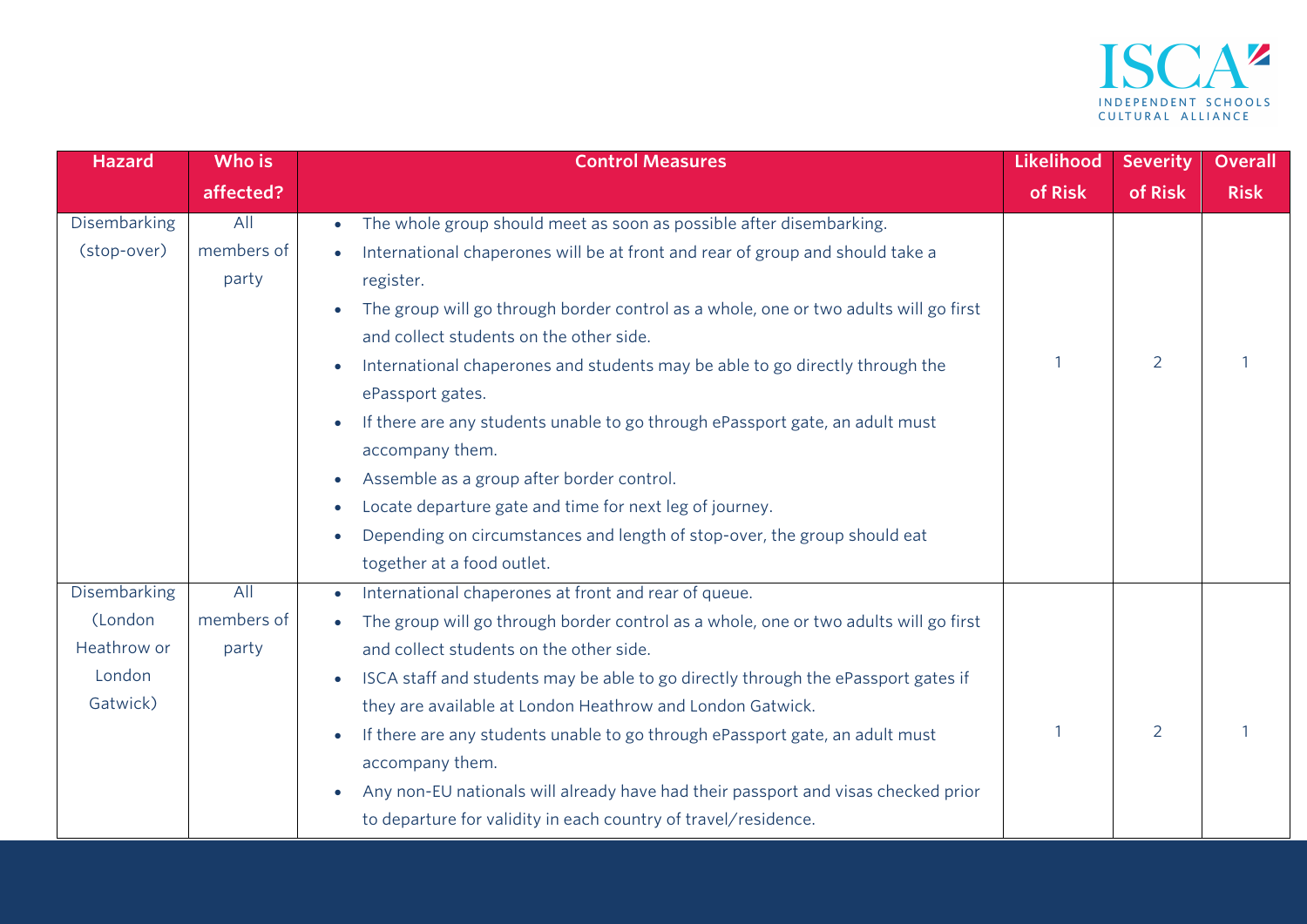

| <b>Hazard</b>       | Who is     | <b>Control Measures</b>                                                                        | <b>Likelihood</b> | <b>Severity</b> | <b>Overall</b> |
|---------------------|------------|------------------------------------------------------------------------------------------------|-------------------|-----------------|----------------|
|                     | affected?  |                                                                                                | of Risk           | of Risk         | <b>Risk</b>    |
| Disembarking        | All        | The whole group should meet as soon as possible after disembarking.<br>$\bullet$               |                   |                 |                |
| (stop-over)         | members of | International chaperones will be at front and rear of group and should take a                  |                   |                 |                |
|                     | party      | register.                                                                                      |                   |                 |                |
|                     |            | The group will go through border control as a whole, one or two adults will go first           |                   |                 |                |
|                     |            | and collect students on the other side.                                                        |                   |                 |                |
|                     |            | International chaperones and students may be able to go directly through the<br>$\bullet$      |                   | $\overline{2}$  |                |
|                     |            | ePassport gates.                                                                               |                   |                 |                |
|                     |            | If there are any students unable to go through ePassport gate, an adult must                   |                   |                 |                |
|                     |            | accompany them.                                                                                |                   |                 |                |
|                     |            | Assemble as a group after border control.<br>$\bullet$                                         |                   |                 |                |
|                     |            | Locate departure gate and time for next leg of journey.<br>$\bullet$                           |                   |                 |                |
|                     |            | Depending on circumstances and length of stop-over, the group should eat<br>$\bullet$          |                   |                 |                |
|                     |            | together at a food outlet.                                                                     |                   |                 |                |
| <b>Disembarking</b> | All        | International chaperones at front and rear of queue.<br>$\bullet$                              |                   |                 |                |
| (London             | members of | The group will go through border control as a whole, one or two adults will go first           |                   |                 |                |
| Heathrow or         | party      | and collect students on the other side.                                                        |                   |                 |                |
| London              |            | ISCA staff and students may be able to go directly through the ePassport gates if<br>$\bullet$ |                   |                 |                |
| Gatwick)            |            | they are available at London Heathrow and London Gatwick.                                      |                   |                 |                |
|                     |            | If there are any students unable to go through ePassport gate, an adult must<br>$\bullet$      |                   | $\overline{2}$  |                |
|                     |            | accompany them.                                                                                |                   |                 |                |
|                     |            | Any non-EU nationals will already have had their passport and visas checked prior<br>$\bullet$ |                   |                 |                |
|                     |            | to departure for validity in each country of travel/residence.                                 |                   |                 |                |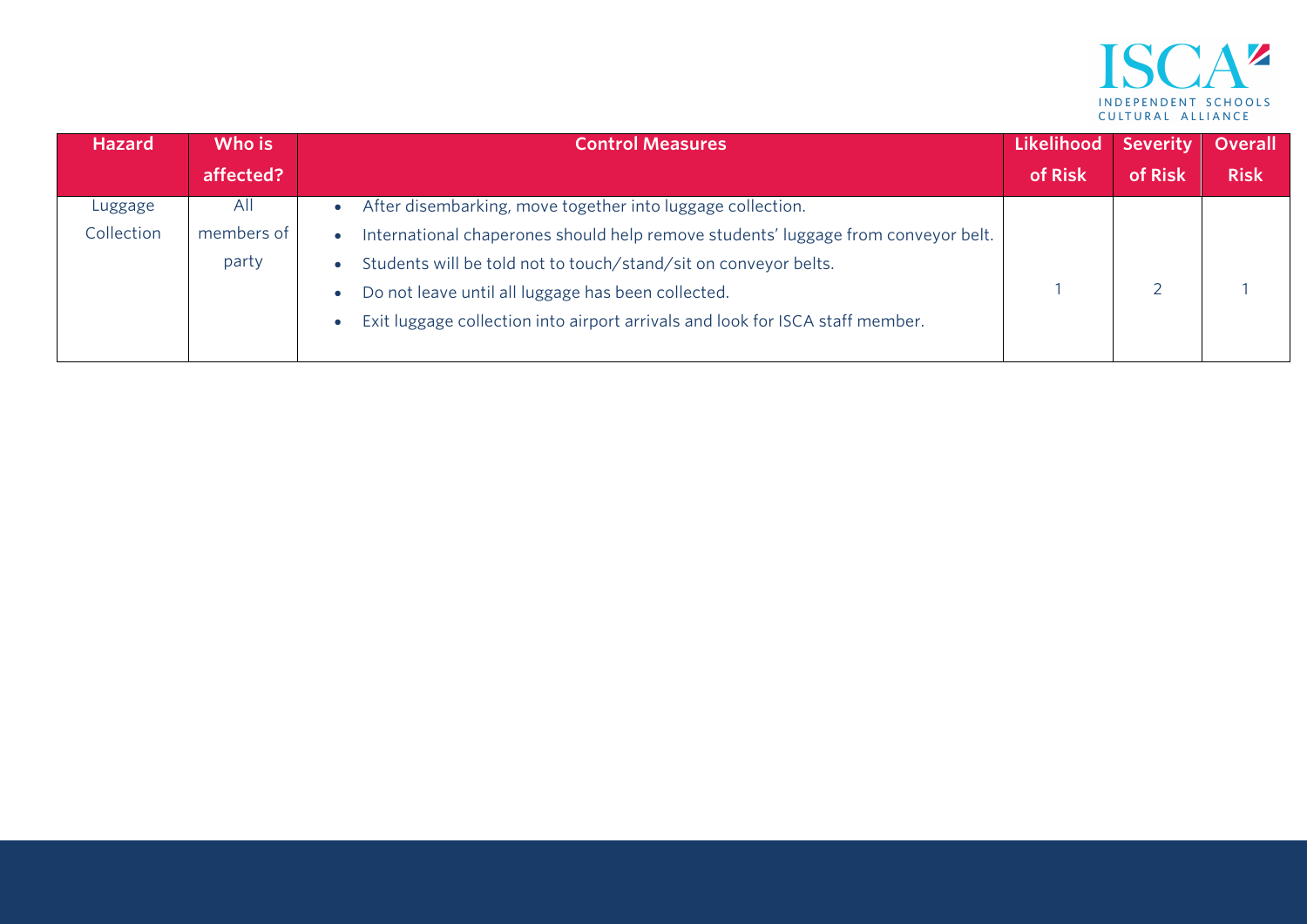

| <b>Hazard</b> | Who is     | <b>Control Measures</b>                                                           | Likelihood | <b>Severity</b> | Overall     |
|---------------|------------|-----------------------------------------------------------------------------------|------------|-----------------|-------------|
|               | affected?  |                                                                                   | of Risk    | of Risk         | <b>Risk</b> |
| Luggage       | All        | After disembarking, move together into luggage collection.                        |            |                 |             |
| Collection    | members of | International chaperones should help remove students' luggage from conveyor belt. |            |                 |             |
|               | party      | Students will be told not to touch/stand/sit on conveyor belts.                   |            |                 |             |
|               |            | Do not leave until all luggage has been collected.                                |            |                 |             |
|               |            | Exit luggage collection into airport arrivals and look for ISCA staff member.     |            |                 |             |
|               |            |                                                                                   |            |                 |             |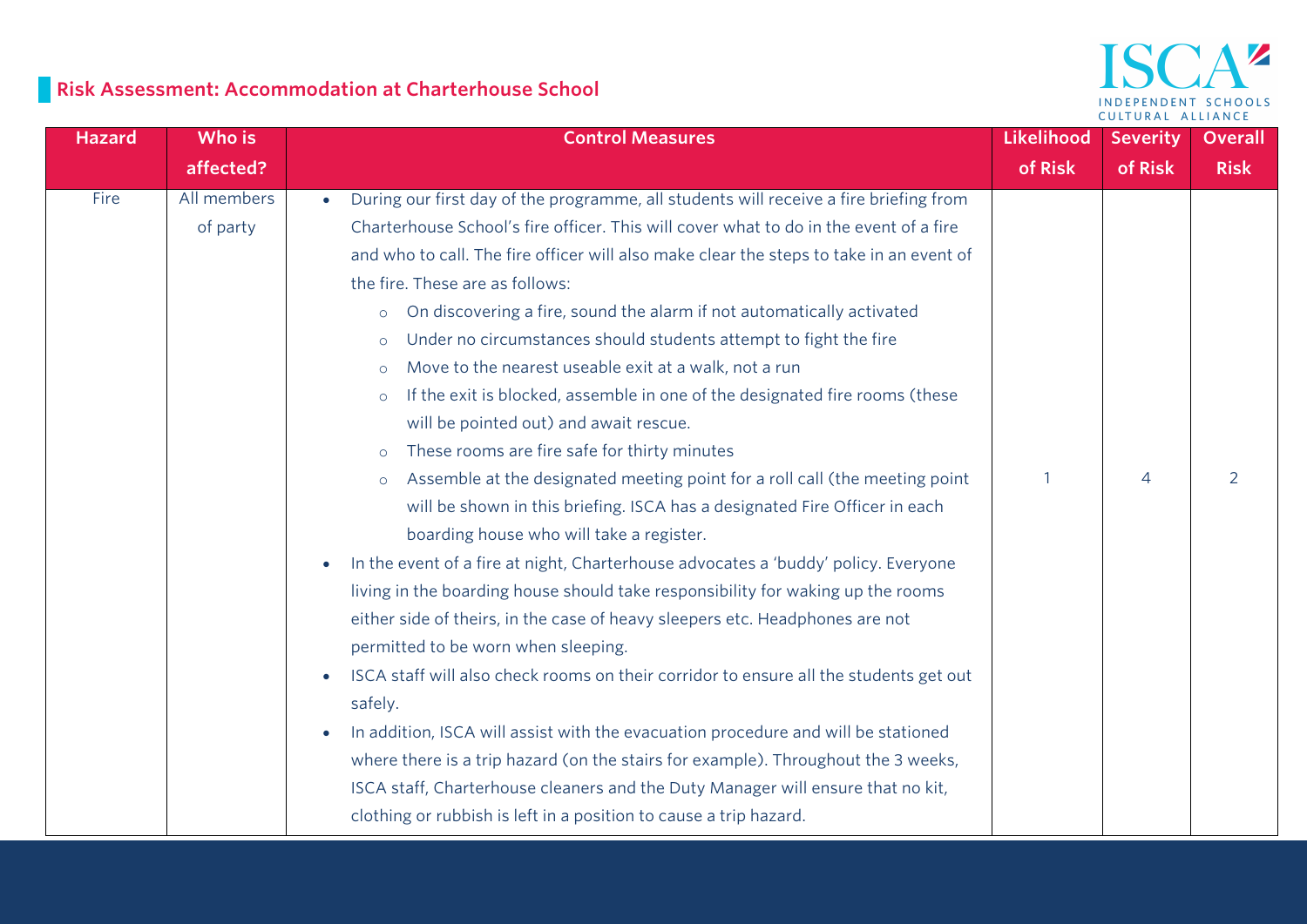

# **Risk Assessment: Accommodation at Charterhouse School**

| <b>Hazard</b> | Who is                  | <b>Control Measures</b>                                                                                                                                                                                                                                                                                                                                                                                                                                                                                                                                                                                                                                                                                                                                                                                                                                                                                                                                                                                                                                                                                                                                                                                                                                                                                                                                                                                                                                                                                                                                                                                                                                                                                                                             | Likelihood | <b>Severity</b> | <b>Overall</b> |
|---------------|-------------------------|-----------------------------------------------------------------------------------------------------------------------------------------------------------------------------------------------------------------------------------------------------------------------------------------------------------------------------------------------------------------------------------------------------------------------------------------------------------------------------------------------------------------------------------------------------------------------------------------------------------------------------------------------------------------------------------------------------------------------------------------------------------------------------------------------------------------------------------------------------------------------------------------------------------------------------------------------------------------------------------------------------------------------------------------------------------------------------------------------------------------------------------------------------------------------------------------------------------------------------------------------------------------------------------------------------------------------------------------------------------------------------------------------------------------------------------------------------------------------------------------------------------------------------------------------------------------------------------------------------------------------------------------------------------------------------------------------------------------------------------------------------|------------|-----------------|----------------|
|               | affected?               |                                                                                                                                                                                                                                                                                                                                                                                                                                                                                                                                                                                                                                                                                                                                                                                                                                                                                                                                                                                                                                                                                                                                                                                                                                                                                                                                                                                                                                                                                                                                                                                                                                                                                                                                                     | of Risk    | of Risk         | <b>Risk</b>    |
| Fire          | All members<br>of party | During our first day of the programme, all students will receive a fire briefing from<br>Charterhouse School's fire officer. This will cover what to do in the event of a fire<br>and who to call. The fire officer will also make clear the steps to take in an event of<br>the fire. These are as follows:<br>On discovering a fire, sound the alarm if not automatically activated<br>$\circ$<br>Under no circumstances should students attempt to fight the fire<br>$\circ$<br>Move to the nearest useable exit at a walk, not a run<br>$\circ$<br>If the exit is blocked, assemble in one of the designated fire rooms (these<br>$\circ$<br>will be pointed out) and await rescue.<br>These rooms are fire safe for thirty minutes<br>$\circ$<br>Assemble at the designated meeting point for a roll call (the meeting point<br>$\circ$<br>will be shown in this briefing. ISCA has a designated Fire Officer in each<br>boarding house who will take a register.<br>In the event of a fire at night, Charterhouse advocates a 'buddy' policy. Everyone<br>$\bullet$<br>living in the boarding house should take responsibility for waking up the rooms<br>either side of theirs, in the case of heavy sleepers etc. Headphones are not<br>permitted to be worn when sleeping.<br>ISCA staff will also check rooms on their corridor to ensure all the students get out<br>$\bullet$<br>safely.<br>In addition, ISCA will assist with the evacuation procedure and will be stationed<br>$\bullet$<br>where there is a trip hazard (on the stairs for example). Throughout the 3 weeks,<br>ISCA staff, Charterhouse cleaners and the Duty Manager will ensure that no kit,<br>clothing or rubbish is left in a position to cause a trip hazard. |            | 4               | $\overline{2}$ |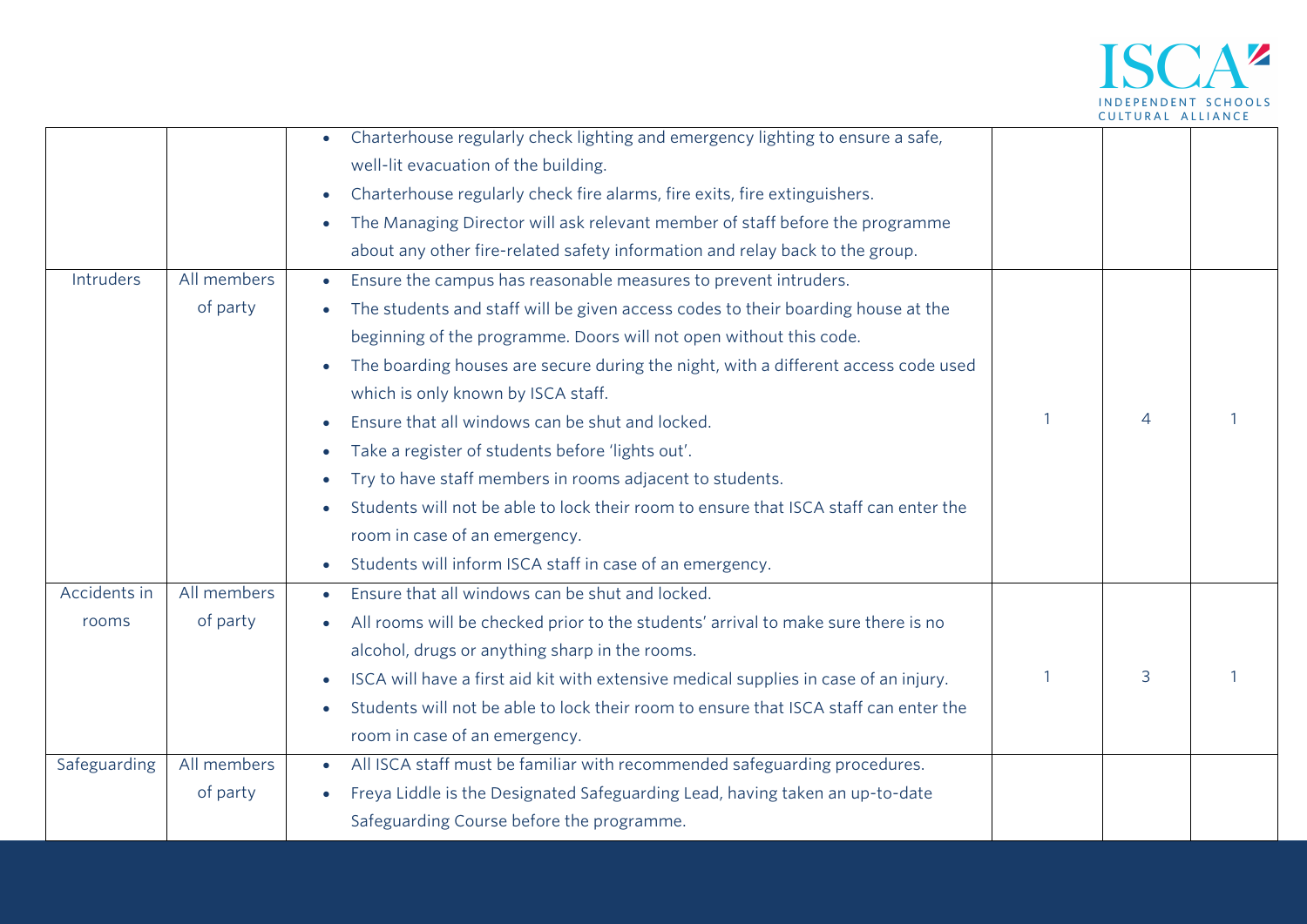

|              |             | Charterhouse regularly check lighting and emergency lighting to ensure a safe,                    |                |  |
|--------------|-------------|---------------------------------------------------------------------------------------------------|----------------|--|
|              |             | well-lit evacuation of the building.                                                              |                |  |
|              |             | Charterhouse regularly check fire alarms, fire exits, fire extinguishers.                         |                |  |
|              |             | The Managing Director will ask relevant member of staff before the programme<br>$\bullet$         |                |  |
|              |             | about any other fire-related safety information and relay back to the group.                      |                |  |
| Intruders    | All members | Ensure the campus has reasonable measures to prevent intruders.<br>$\bullet$                      |                |  |
|              | of party    | The students and staff will be given access codes to their boarding house at the                  |                |  |
|              |             | beginning of the programme. Doors will not open without this code.                                |                |  |
|              |             | The boarding houses are secure during the night, with a different access code used                |                |  |
|              |             | which is only known by ISCA staff.                                                                |                |  |
|              |             | Ensure that all windows can be shut and locked.                                                   | $\overline{4}$ |  |
|              |             | Take a register of students before 'lights out'.                                                  |                |  |
|              |             | Try to have staff members in rooms adjacent to students.<br>$\bullet$                             |                |  |
|              |             | Students will not be able to lock their room to ensure that ISCA staff can enter the              |                |  |
|              |             | room in case of an emergency.                                                                     |                |  |
|              |             | Students will inform ISCA staff in case of an emergency.                                          |                |  |
| Accidents in | All members | Ensure that all windows can be shut and locked.                                                   |                |  |
| rooms        | of party    | All rooms will be checked prior to the students' arrival to make sure there is no                 |                |  |
|              |             | alcohol, drugs or anything sharp in the rooms.                                                    |                |  |
|              |             | ISCA will have a first aid kit with extensive medical supplies in case of an injury.              | 3              |  |
|              |             | Students will not be able to lock their room to ensure that ISCA staff can enter the<br>$\bullet$ |                |  |
|              |             | room in case of an emergency.                                                                     |                |  |
| Safeguarding | All members | All ISCA staff must be familiar with recommended safeguarding procedures.<br>$\bullet$            |                |  |
|              | of party    | Freya Liddle is the Designated Safeguarding Lead, having taken an up-to-date                      |                |  |
|              |             | Safeguarding Course before the programme.                                                         |                |  |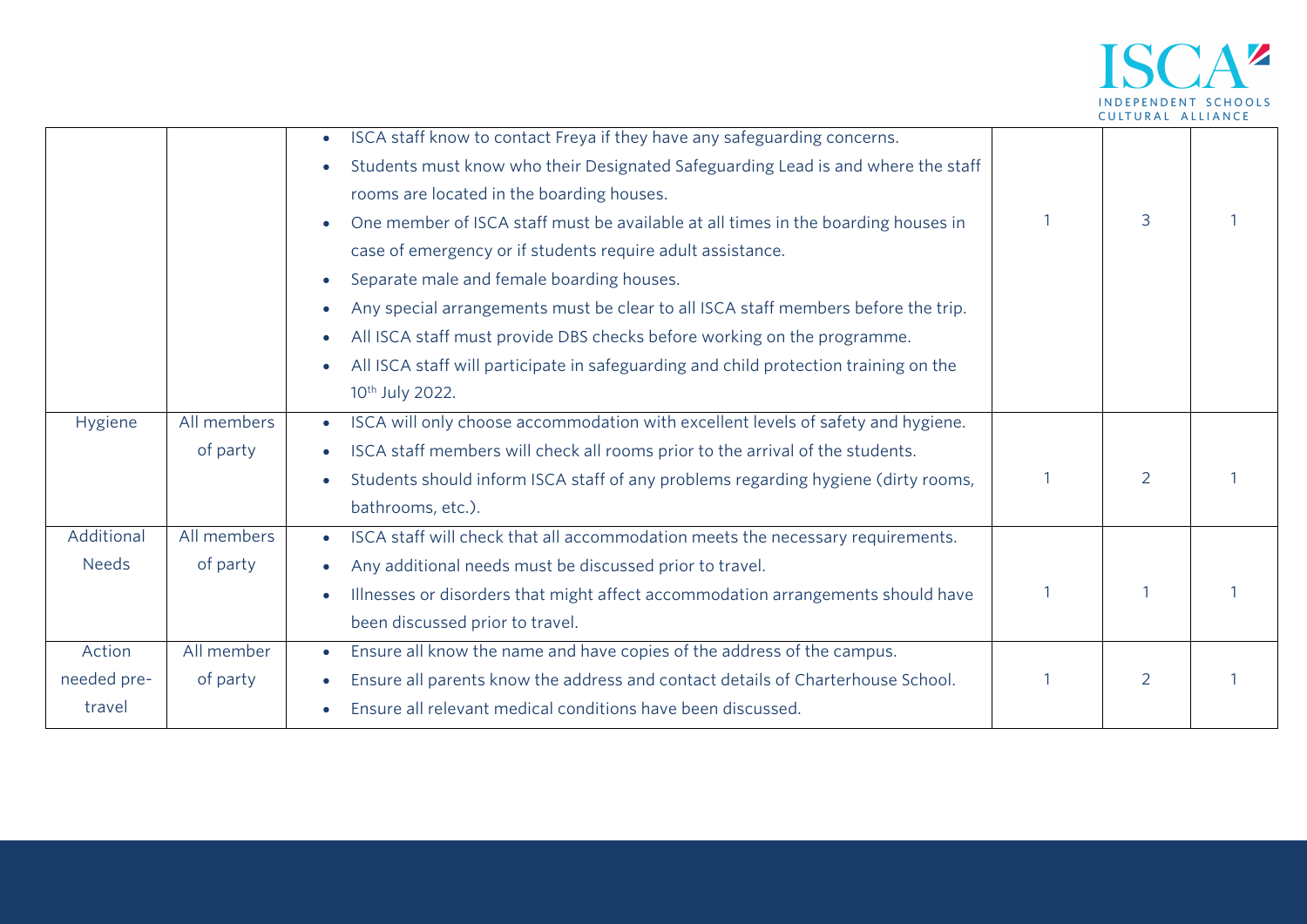

|              |             | ISCA staff know to contact Freya if they have any safeguarding concerns.<br>$\bullet$          |                |  |
|--------------|-------------|------------------------------------------------------------------------------------------------|----------------|--|
|              |             | Students must know who their Designated Safeguarding Lead is and where the staff               |                |  |
|              |             | rooms are located in the boarding houses.                                                      |                |  |
|              |             | One member of ISCA staff must be available at all times in the boarding houses in              | 3              |  |
|              |             | case of emergency or if students require adult assistance.                                     |                |  |
|              |             | Separate male and female boarding houses.                                                      |                |  |
|              |             | Any special arrangements must be clear to all ISCA staff members before the trip.<br>$\bullet$ |                |  |
|              |             | All ISCA staff must provide DBS checks before working on the programme.                        |                |  |
|              |             | All ISCA staff will participate in safeguarding and child protection training on the           |                |  |
|              |             | 10th July 2022.                                                                                |                |  |
| Hygiene      | All members | ISCA will only choose accommodation with excellent levels of safety and hygiene.<br>$\bullet$  |                |  |
|              | of party    | ISCA staff members will check all rooms prior to the arrival of the students.<br>$\bullet$     |                |  |
|              |             | Students should inform ISCA staff of any problems regarding hygiene (dirty rooms,              | $\overline{2}$ |  |
|              |             | bathrooms, etc.).                                                                              |                |  |
| Additional   | All members | ISCA staff will check that all accommodation meets the necessary requirements.<br>$\bullet$    |                |  |
| <b>Needs</b> | of party    | Any additional needs must be discussed prior to travel.                                        |                |  |
|              |             | Illnesses or disorders that might affect accommodation arrangements should have                |                |  |
|              |             |                                                                                                |                |  |
|              |             | been discussed prior to travel.                                                                |                |  |
| Action       | All member  | Ensure all know the name and have copies of the address of the campus.<br>$\bullet$            |                |  |
| needed pre-  | of party    | Ensure all parents know the address and contact details of Charterhouse School.                | $\overline{2}$ |  |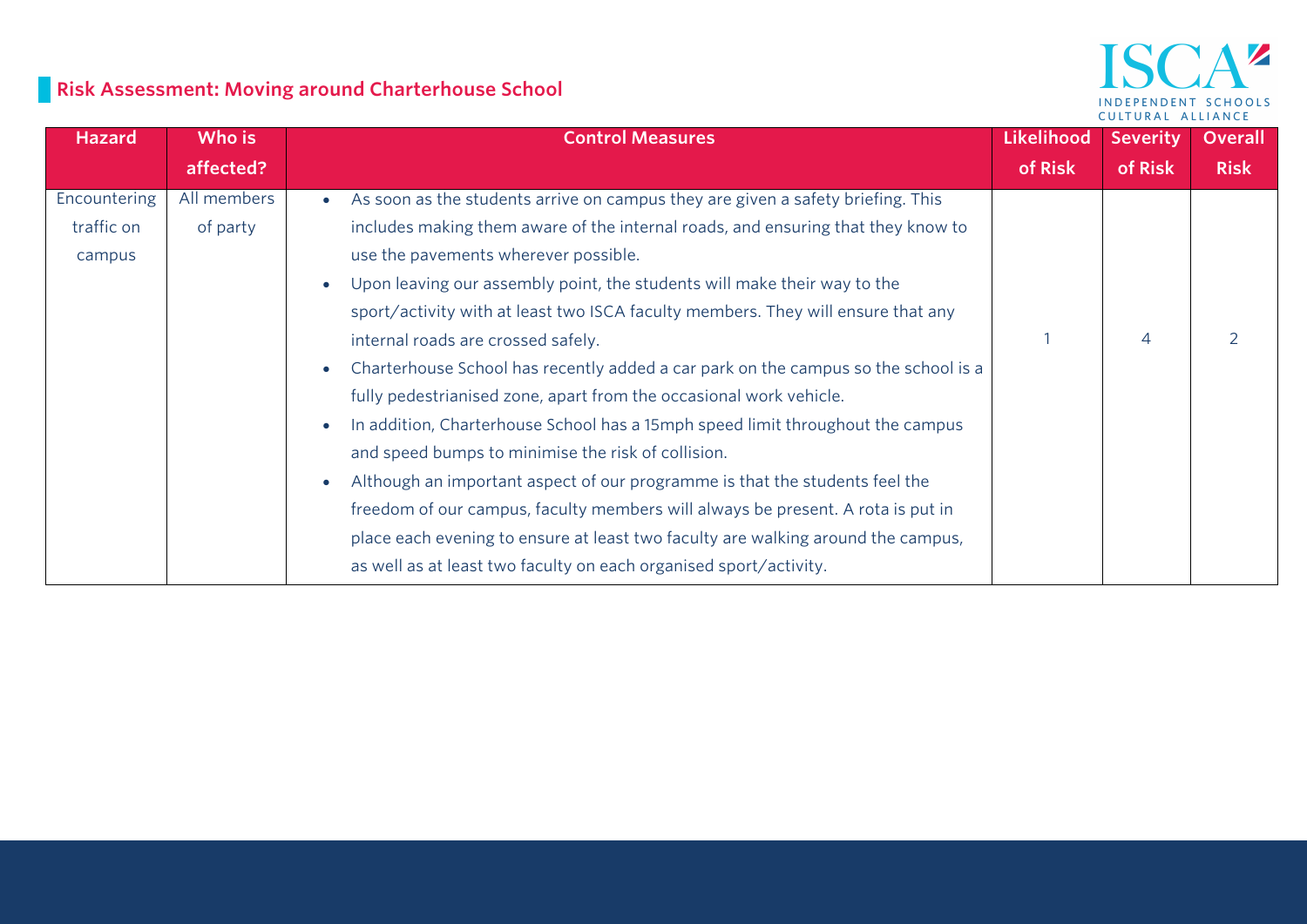# **Risk Assessment: Moving around Charterhouse School**

#### $\mathbf{A}^{\prime\prime}$ ISC INDEPENDENT SCHOOLS CULTURAL ALLIANCE

| <b>Hazard</b> | Who is      | <b>Control Measures</b>                                                            | Likelihood | <b>Severity</b> | <b>Overall</b> |
|---------------|-------------|------------------------------------------------------------------------------------|------------|-----------------|----------------|
|               | affected?   |                                                                                    | of Risk    | of Risk         | <b>Risk</b>    |
| Encountering  | All members | As soon as the students arrive on campus they are given a safety briefing. This    |            |                 |                |
| traffic on    | of party    | includes making them aware of the internal roads, and ensuring that they know to   |            |                 |                |
| campus        |             | use the pavements wherever possible.                                               |            |                 |                |
|               |             | Upon leaving our assembly point, the students will make their way to the           |            |                 |                |
|               |             | sport/activity with at least two ISCA faculty members. They will ensure that any   |            |                 |                |
|               |             | internal roads are crossed safely.                                                 |            | $\overline{4}$  |                |
|               |             | Charterhouse School has recently added a car park on the campus so the school is a |            |                 |                |
|               |             | fully pedestrianised zone, apart from the occasional work vehicle.                 |            |                 |                |
|               |             | In addition, Charterhouse School has a 15mph speed limit throughout the campus     |            |                 |                |
|               |             | and speed bumps to minimise the risk of collision.                                 |            |                 |                |
|               |             | Although an important aspect of our programme is that the students feel the        |            |                 |                |
|               |             | freedom of our campus, faculty members will always be present. A rota is put in    |            |                 |                |
|               |             | place each evening to ensure at least two faculty are walking around the campus,   |            |                 |                |
|               |             | as well as at least two faculty on each organised sport/activity.                  |            |                 |                |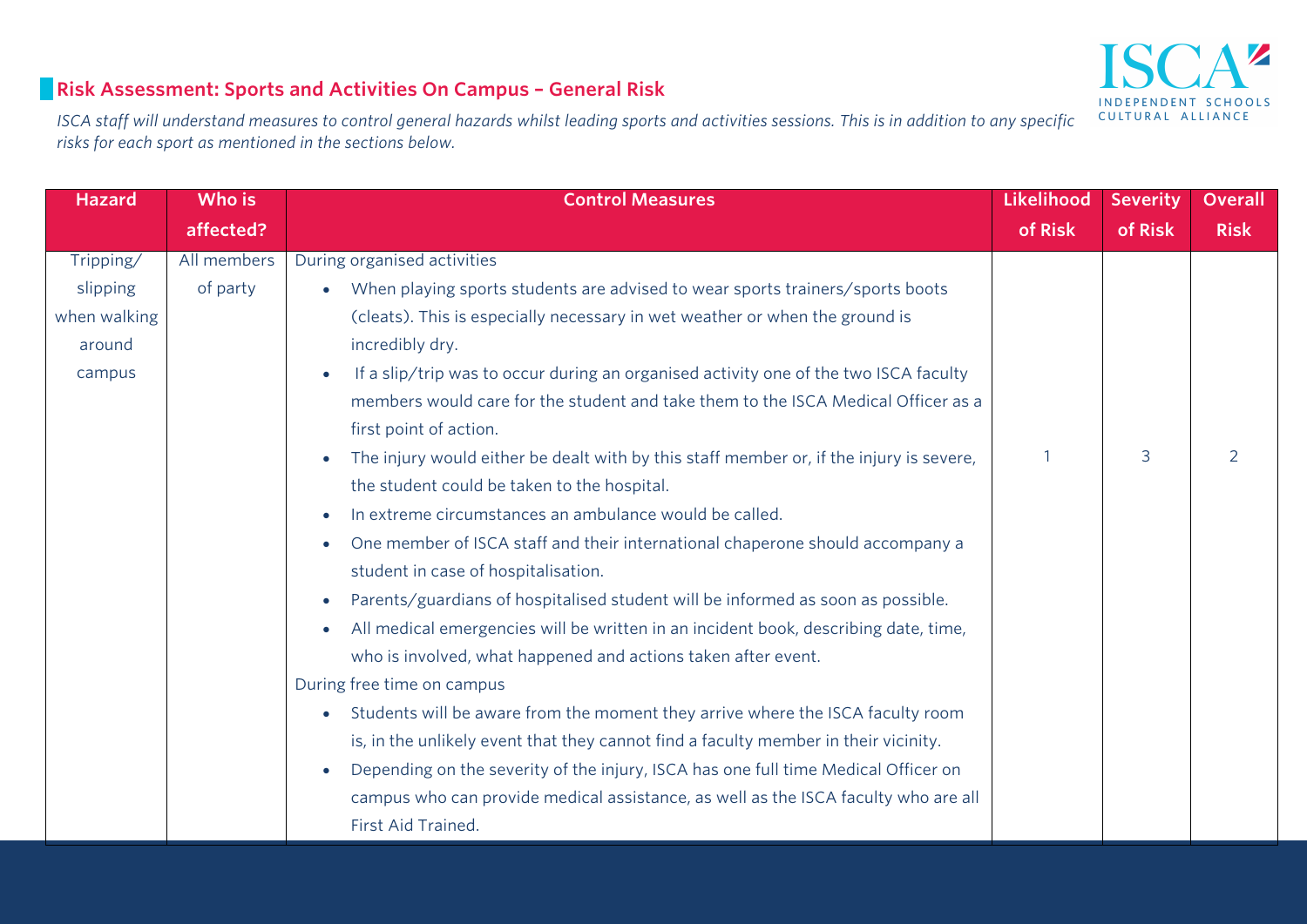## $\mathbb Z$ INDEPENDENT SCHOOLS CULTURAL ALLIANCE

#### **Risk Assessment: Sports and Activities On Campus – General Risk**

*ISCA staff will understand measures to control general hazards whilst leading sports and activities sessions. This is in addition to any specific risks for each sport as mentioned in the sections below.* 

| <b>Hazard</b> | Who is      | <b>Control Measures</b>                                                                          | Likelihood | <b>Severity</b> | Overall     |
|---------------|-------------|--------------------------------------------------------------------------------------------------|------------|-----------------|-------------|
|               | affected?   |                                                                                                  | of Risk    | of Risk         | <b>Risk</b> |
| Tripping/     | All members | During organised activities                                                                      |            |                 |             |
| slipping      | of party    | When playing sports students are advised to wear sports trainers/sports boots                    |            |                 |             |
| when walking  |             | (cleats). This is especially necessary in wet weather or when the ground is                      |            |                 |             |
| around        |             | incredibly dry.                                                                                  |            |                 |             |
| campus        |             | If a slip/trip was to occur during an organised activity one of the two ISCA faculty             |            |                 |             |
|               |             | members would care for the student and take them to the ISCA Medical Officer as a                |            |                 |             |
|               |             | first point of action.                                                                           |            |                 |             |
|               |             | The injury would either be dealt with by this staff member or, if the injury is severe,          |            | 3               | 2           |
|               |             | the student could be taken to the hospital.                                                      |            |                 |             |
|               |             | In extreme circumstances an ambulance would be called.<br>$\bullet$                              |            |                 |             |
|               |             | One member of ISCA staff and their international chaperone should accompany a<br>$\bullet$       |            |                 |             |
|               |             | student in case of hospitalisation.                                                              |            |                 |             |
|               |             | Parents/guardians of hospitalised student will be informed as soon as possible.<br>$\bullet$     |            |                 |             |
|               |             | All medical emergencies will be written in an incident book, describing date, time,<br>$\bullet$ |            |                 |             |
|               |             | who is involved, what happened and actions taken after event.                                    |            |                 |             |
|               |             | During free time on campus                                                                       |            |                 |             |
|               |             | Students will be aware from the moment they arrive where the ISCA faculty room<br>$\bullet$      |            |                 |             |
|               |             | is, in the unlikely event that they cannot find a faculty member in their vicinity.              |            |                 |             |
|               |             | Depending on the severity of the injury, ISCA has one full time Medical Officer on               |            |                 |             |
|               |             | campus who can provide medical assistance, as well as the ISCA faculty who are all               |            |                 |             |
|               |             | First Aid Trained.                                                                               |            |                 |             |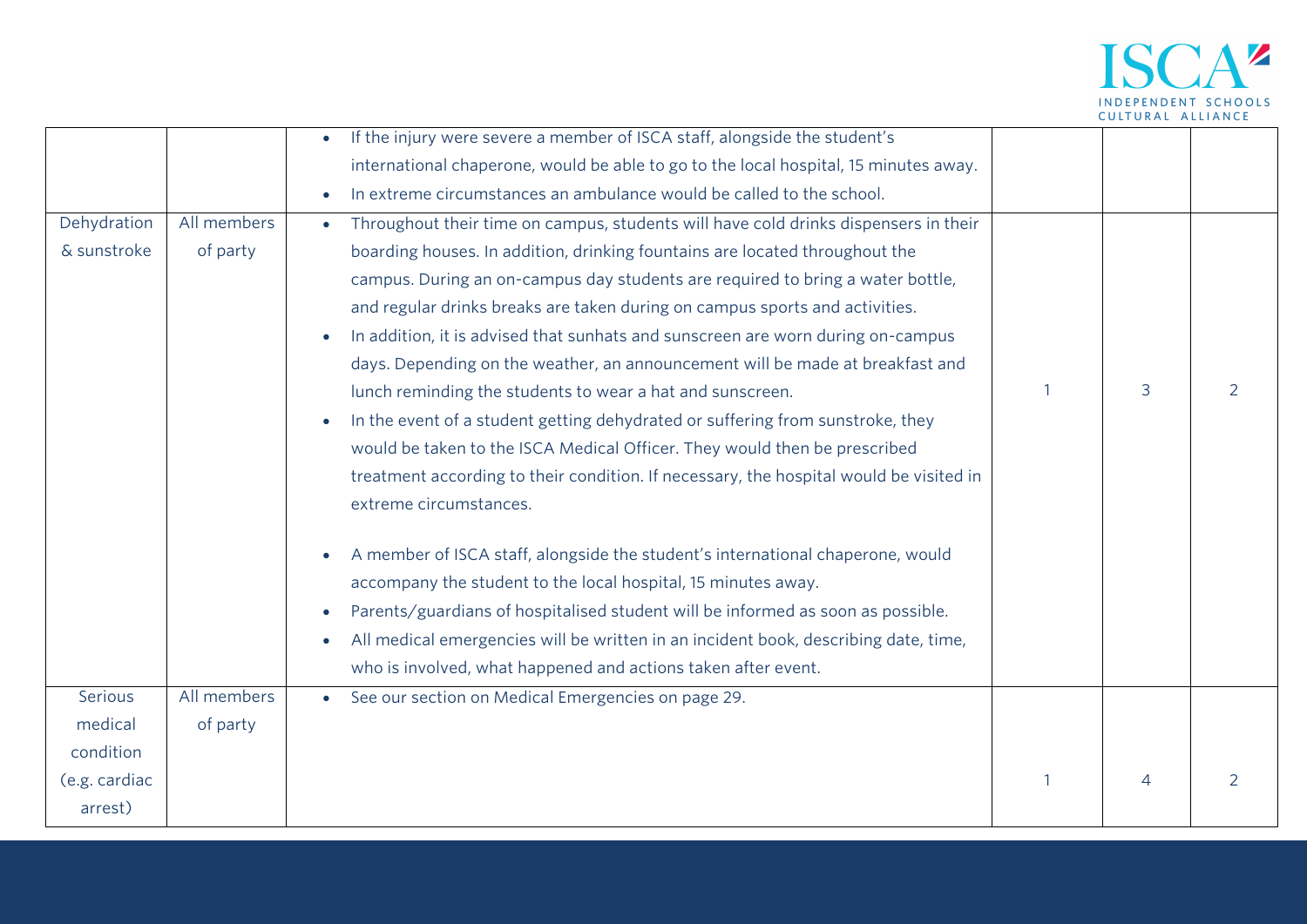

| Dehydration<br>& sunstroke | All members<br>of party | If the injury were severe a member of ISCA staff, alongside the student's<br>international chaperone, would be able to go to the local hospital, 15 minutes away.<br>In extreme circumstances an ambulance would be called to the school.<br>Throughout their time on campus, students will have cold drinks dispensers in their<br>$\bullet$<br>boarding houses. In addition, drinking fountains are located throughout the      |   |   |
|----------------------------|-------------------------|-----------------------------------------------------------------------------------------------------------------------------------------------------------------------------------------------------------------------------------------------------------------------------------------------------------------------------------------------------------------------------------------------------------------------------------|---|---|
|                            |                         | campus. During an on-campus day students are required to bring a water bottle,<br>and regular drinks breaks are taken during on campus sports and activities.<br>In addition, it is advised that sunhats and sunscreen are worn during on-campus<br>days. Depending on the weather, an announcement will be made at breakfast and<br>lunch reminding the students to wear a hat and sunscreen.                                    | 3 | 2 |
|                            |                         | In the event of a student getting dehydrated or suffering from sunstroke, they<br>would be taken to the ISCA Medical Officer. They would then be prescribed<br>treatment according to their condition. If necessary, the hospital would be visited in<br>extreme circumstances.                                                                                                                                                   |   |   |
|                            |                         | A member of ISCA staff, alongside the student's international chaperone, would<br>$\bullet$<br>accompany the student to the local hospital, 15 minutes away.<br>Parents/guardians of hospitalised student will be informed as soon as possible.<br>$\bullet$<br>All medical emergencies will be written in an incident book, describing date, time,<br>$\bullet$<br>who is involved, what happened and actions taken after event. |   |   |
| Serious<br>medical         | All members<br>of party | See our section on Medical Emergencies on page 29.                                                                                                                                                                                                                                                                                                                                                                                |   |   |
| condition                  |                         |                                                                                                                                                                                                                                                                                                                                                                                                                                   |   |   |
| (e.g. cardiac<br>arrest)   |                         |                                                                                                                                                                                                                                                                                                                                                                                                                                   | 4 | 2 |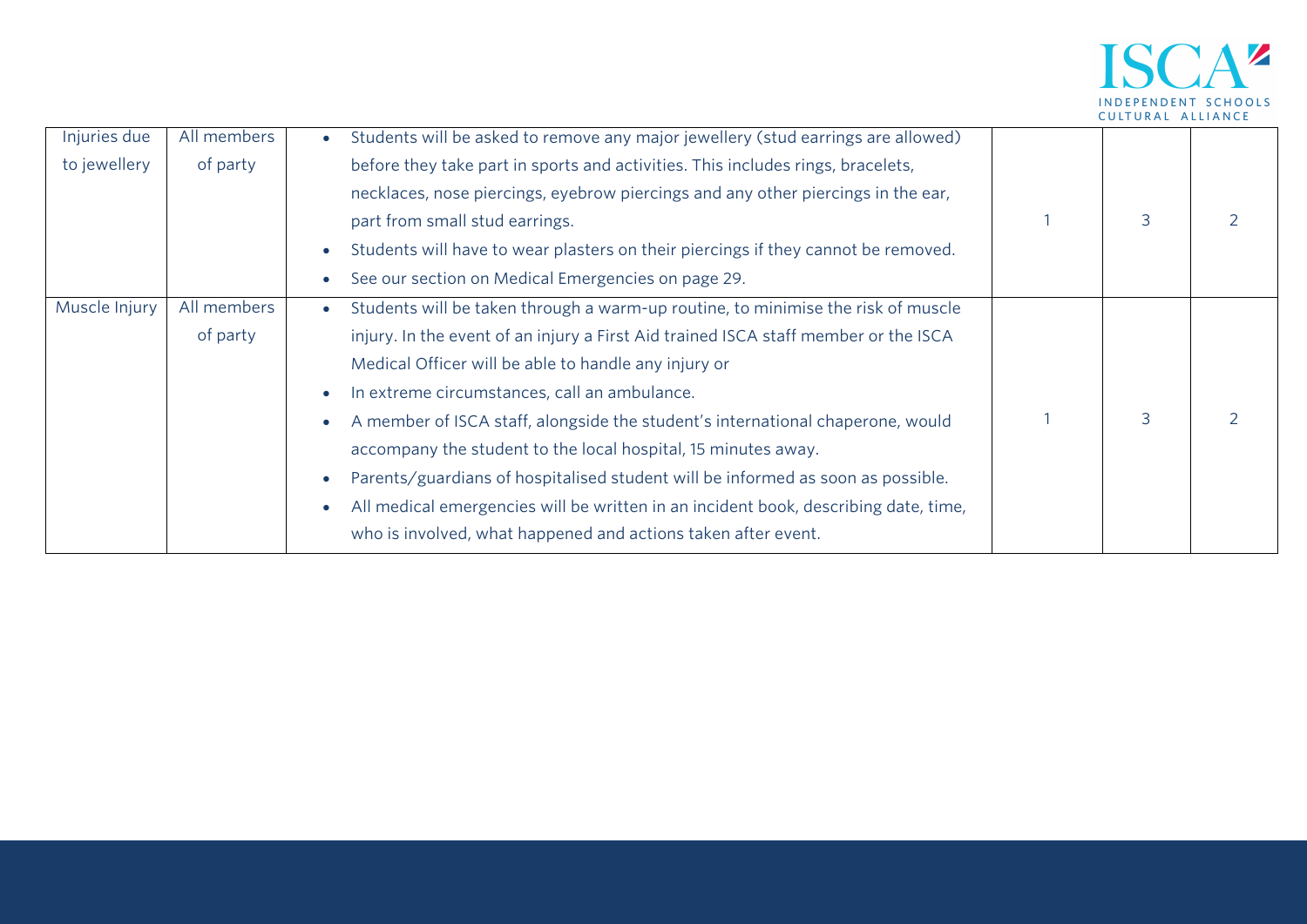

| Injuries due  | All members | Students will be asked to remove any major jewellery (stud earrings are allowed)    |   |  |
|---------------|-------------|-------------------------------------------------------------------------------------|---|--|
| to jewellery  | of party    | before they take part in sports and activities. This includes rings, bracelets,     |   |  |
|               |             | necklaces, nose piercings, eyebrow piercings and any other piercings in the ear,    |   |  |
|               |             | part from small stud earrings.                                                      | 3 |  |
|               |             | Students will have to wear plasters on their piercings if they cannot be removed.   |   |  |
|               |             | See our section on Medical Emergencies on page 29.                                  |   |  |
| Muscle Injury | All members | Students will be taken through a warm-up routine, to minimise the risk of muscle    |   |  |
|               | of party    | injury. In the event of an injury a First Aid trained ISCA staff member or the ISCA |   |  |
|               |             | Medical Officer will be able to handle any injury or                                |   |  |
|               |             | In extreme circumstances, call an ambulance.                                        |   |  |
|               |             | A member of ISCA staff, alongside the student's international chaperone, would      | 3 |  |
|               |             | accompany the student to the local hospital, 15 minutes away.                       |   |  |
|               |             | Parents/guardians of hospitalised student will be informed as soon as possible.     |   |  |
|               |             | All medical emergencies will be written in an incident book, describing date, time, |   |  |
|               |             | who is involved, what happened and actions taken after event.                       |   |  |
|               |             |                                                                                     |   |  |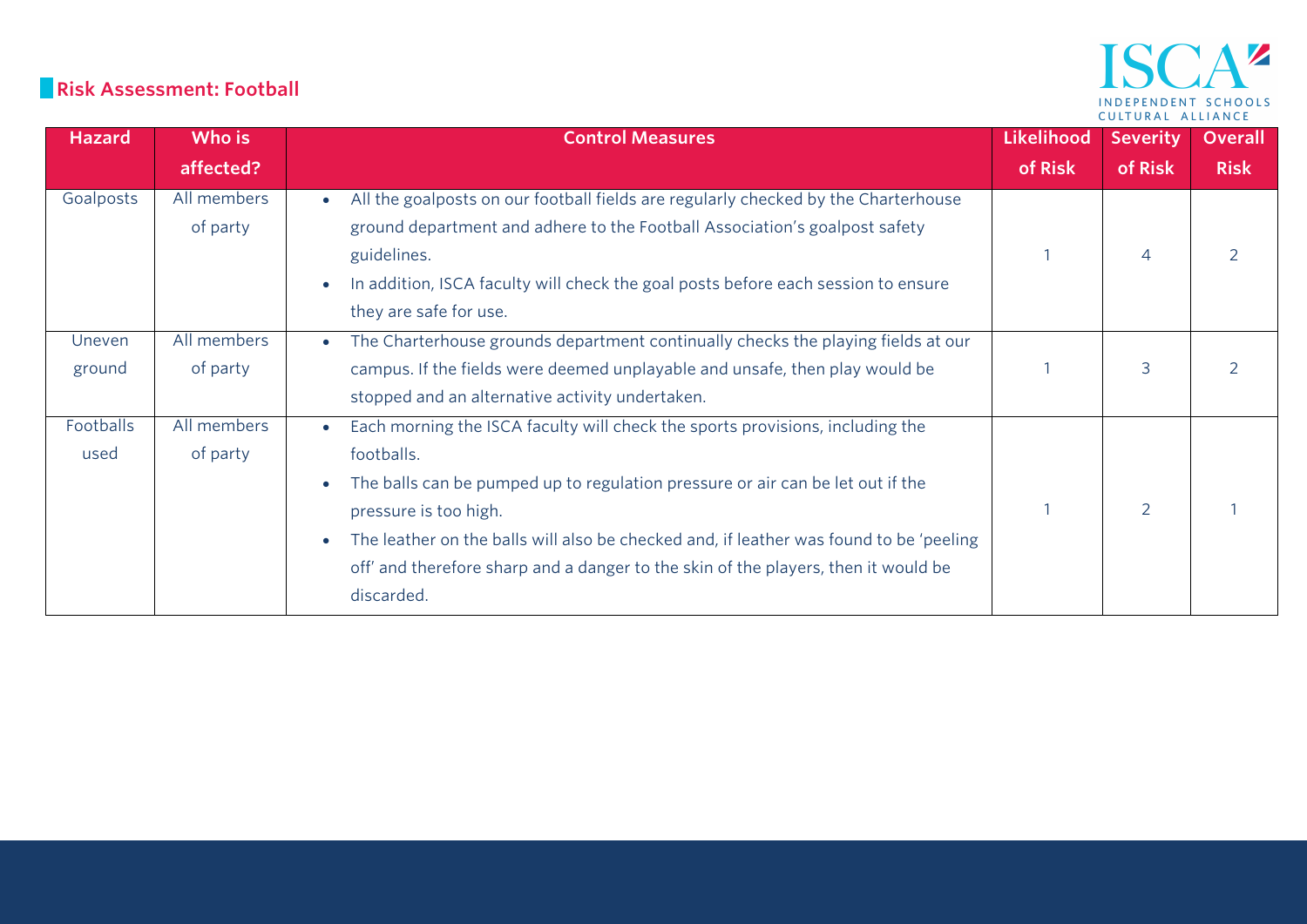#### **Risk Assessment: Football**

| <b>Hazard</b>     | Who is                  | <b>Control Measures</b>                                                                                                                                                                                                                                                                                                                                                                                           | <b>Likelihood</b> | <b>Severity</b> | <b>Overall</b> |
|-------------------|-------------------------|-------------------------------------------------------------------------------------------------------------------------------------------------------------------------------------------------------------------------------------------------------------------------------------------------------------------------------------------------------------------------------------------------------------------|-------------------|-----------------|----------------|
|                   | affected?               |                                                                                                                                                                                                                                                                                                                                                                                                                   | of Risk           | of Risk         | <b>Risk</b>    |
| Goalposts         | All members<br>of party | All the goalposts on our football fields are regularly checked by the Charterhouse<br>ground department and adhere to the Football Association's goalpost safety<br>guidelines.<br>In addition, ISCA faculty will check the goal posts before each session to ensure<br>they are safe for use.                                                                                                                    |                   | $\overline{4}$  |                |
| Uneven<br>ground  | All members<br>of party | The Charterhouse grounds department continually checks the playing fields at our<br>$\bullet$<br>campus. If the fields were deemed unplayable and unsafe, then play would be<br>stopped and an alternative activity undertaken.                                                                                                                                                                                   |                   | 3               |                |
| Footballs<br>used | All members<br>of party | Each morning the ISCA faculty will check the sports provisions, including the<br>$\bullet$<br>footballs.<br>The balls can be pumped up to regulation pressure or air can be let out if the<br>pressure is too high.<br>The leather on the balls will also be checked and, if leather was found to be 'peeling<br>off' and therefore sharp and a danger to the skin of the players, then it would be<br>discarded. |                   | 2               |                |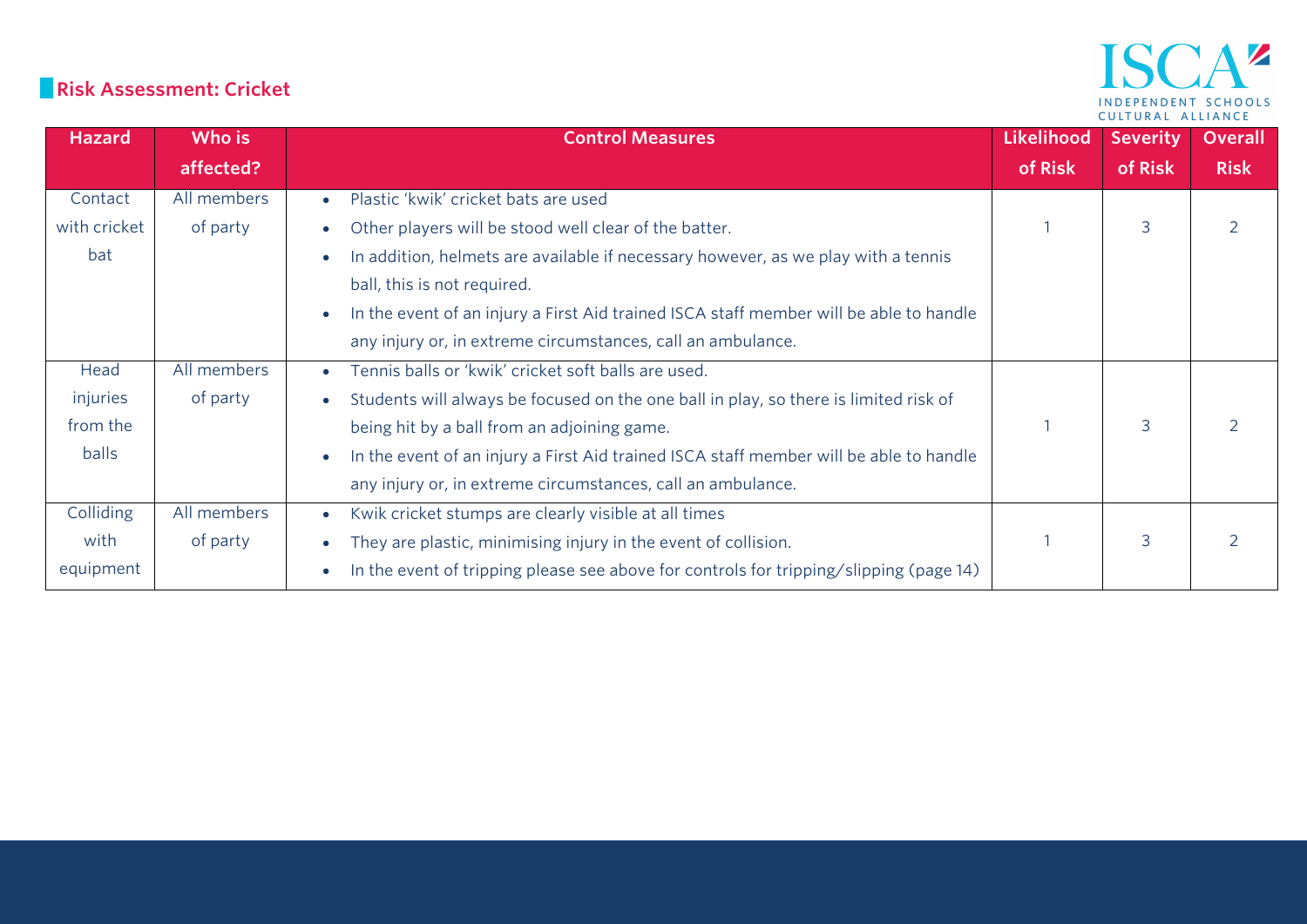#### **Risk Assessment: Cricket**

| <b>Hazard</b> | Who is      | <b>Control Measures</b>                                                                             | <b>Likelihood</b> | <b>Severity</b> | <b>Overall</b> |
|---------------|-------------|-----------------------------------------------------------------------------------------------------|-------------------|-----------------|----------------|
|               | affected?   |                                                                                                     | of Risk           | of Risk         | <b>Risk</b>    |
| Contact       | All members | Plastic 'kwik' cricket bats are used<br>$\bullet$                                                   |                   |                 |                |
| with cricket  | of party    | Other players will be stood well clear of the batter.                                               |                   | 3               |                |
| bat           |             | In addition, helmets are available if necessary however, as we play with a tennis                   |                   |                 |                |
|               |             | ball, this is not required.                                                                         |                   |                 |                |
|               |             | In the event of an injury a First Aid trained ISCA staff member will be able to handle<br>$\bullet$ |                   |                 |                |
|               |             | any injury or, in extreme circumstances, call an ambulance.                                         |                   |                 |                |
| Head          | All members | Tennis balls or 'kwik' cricket soft balls are used.<br>$\bullet$                                    |                   |                 |                |
| injuries      | of party    | Students will always be focused on the one ball in play, so there is limited risk of                |                   |                 |                |
| from the      |             | being hit by a ball from an adjoining game.                                                         |                   | 3               |                |
| balls         |             | In the event of an injury a First Aid trained ISCA staff member will be able to handle              |                   |                 |                |
|               |             | any injury or, in extreme circumstances, call an ambulance.                                         |                   |                 |                |
| Colliding     | All members | Kwik cricket stumps are clearly visible at all times<br>$\bullet$                                   |                   |                 |                |
| with          | of party    | They are plastic, minimising injury in the event of collision.                                      |                   | 3               |                |
| equipment     |             | In the event of tripping please see above for controls for tripping/slipping (page 14)              |                   |                 |                |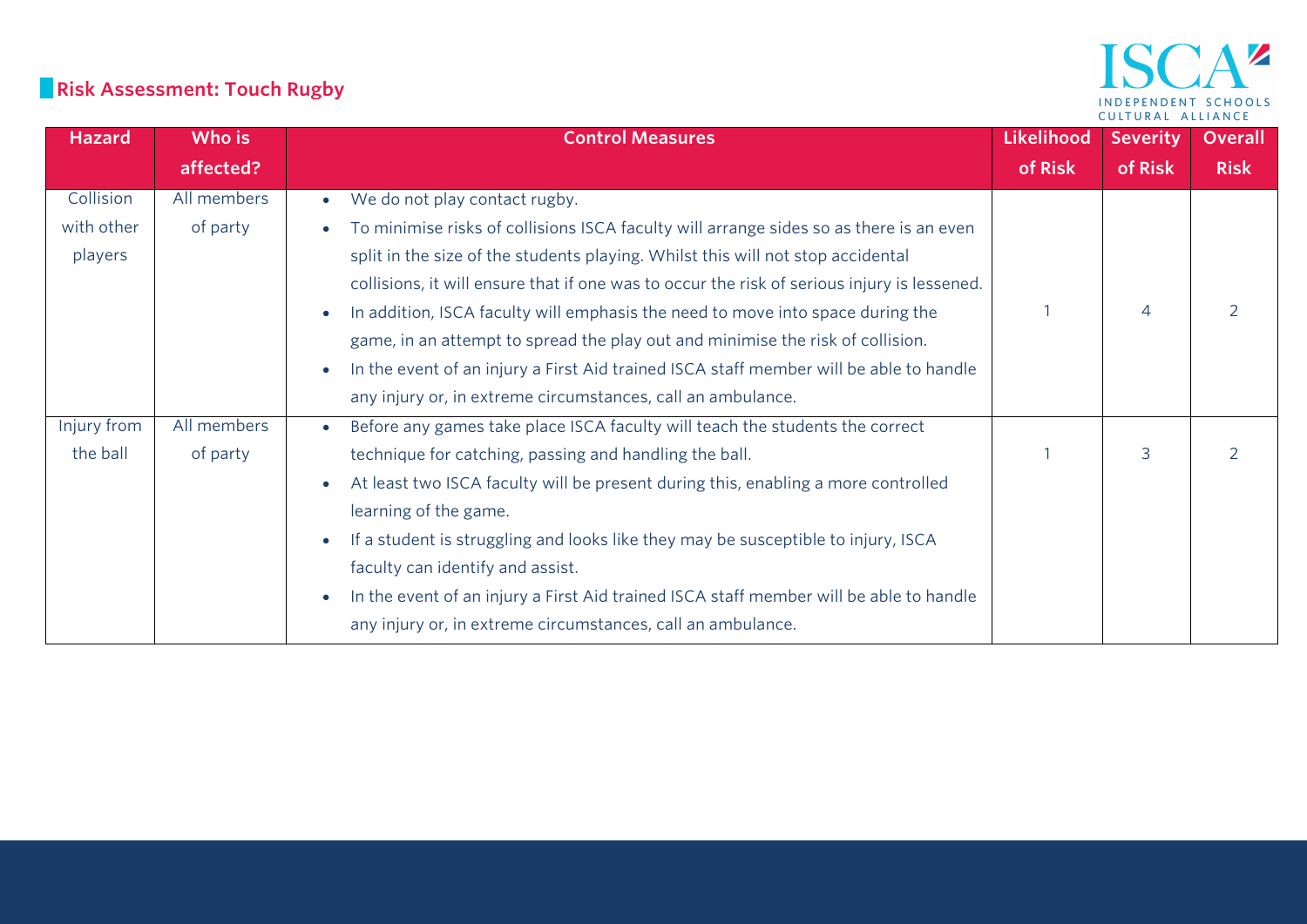# **Risk Assessment: Touch Rugby**

#### AZ **ISC** INDEPENDENT SCHOOLS CULTURAL ALLIANCE

| <b>Hazard</b> | Who is      | <b>Control Measures</b>                                                                        | <b>Likelihood</b> | <b>Severity</b> | <b>Overall</b> |
|---------------|-------------|------------------------------------------------------------------------------------------------|-------------------|-----------------|----------------|
|               | affected?   |                                                                                                | of Risk           | of Risk         | <b>Risk</b>    |
| Collision     | All members | We do not play contact rugby.<br>$\bullet$                                                     |                   |                 |                |
| with other    | of party    | To minimise risks of collisions ISCA faculty will arrange sides so as there is an even         |                   |                 |                |
| players       |             | split in the size of the students playing. Whilst this will not stop accidental                |                   |                 |                |
|               |             | collisions, it will ensure that if one was to occur the risk of serious injury is lessened.    |                   |                 |                |
|               |             | In addition, ISCA faculty will emphasis the need to move into space during the                 |                   | 4               |                |
|               |             | game, in an attempt to spread the play out and minimise the risk of collision.                 |                   |                 |                |
|               |             | In the event of an injury a First Aid trained ISCA staff member will be able to handle         |                   |                 |                |
|               |             | any injury or, in extreme circumstances, call an ambulance.                                    |                   |                 |                |
| Injury from   | All members | Before any games take place ISCA faculty will teach the students the correct                   |                   |                 |                |
| the ball      | of party    | technique for catching, passing and handling the ball.                                         |                   | 3               | $\mathcal{P}$  |
|               |             | At least two ISCA faculty will be present during this, enabling a more controlled              |                   |                 |                |
|               |             | learning of the game.                                                                          |                   |                 |                |
|               |             | If a student is struggling and looks like they may be susceptible to injury, ISCA<br>$\bullet$ |                   |                 |                |
|               |             | faculty can identify and assist.                                                               |                   |                 |                |
|               |             | In the event of an injury a First Aid trained ISCA staff member will be able to handle         |                   |                 |                |
|               |             | any injury or, in extreme circumstances, call an ambulance.                                    |                   |                 |                |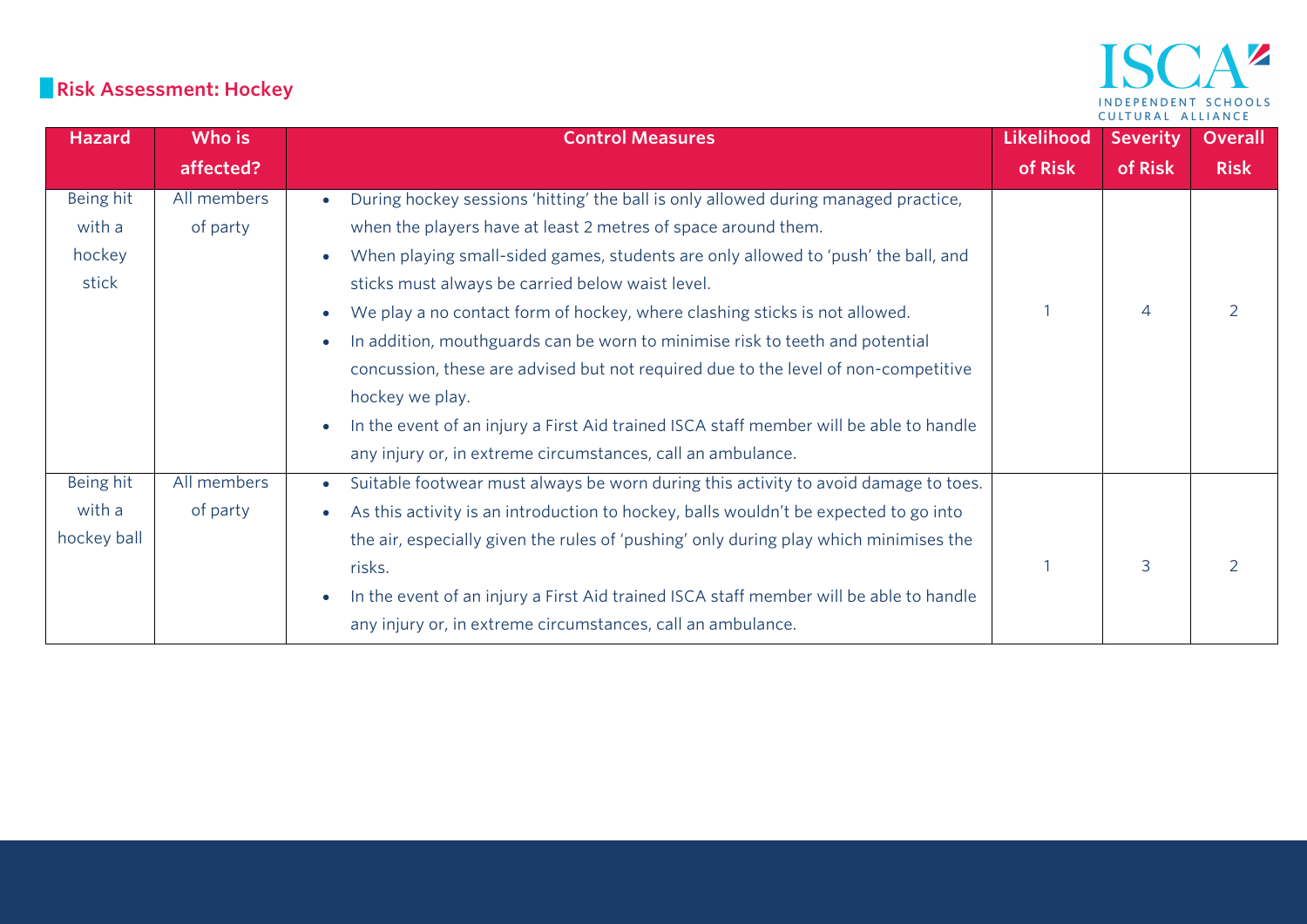# **Risk Assessment: Hockey**

| <b>Hazard</b> | Who is      | <b>Control Measures</b>                                                                          | <b>Likelihood</b> | <b>Severity</b> | Overall     |
|---------------|-------------|--------------------------------------------------------------------------------------------------|-------------------|-----------------|-------------|
|               | affected?   |                                                                                                  | of Risk           | of Risk         | <b>Risk</b> |
| Being hit     | All members | During hockey sessions 'hitting' the ball is only allowed during managed practice,               |                   |                 |             |
| with a        | of party    | when the players have at least 2 metres of space around them.                                    |                   |                 |             |
| hockey        |             | When playing small-sided games, students are only allowed to 'push' the ball, and                |                   |                 |             |
| stick         |             | sticks must always be carried below waist level.                                                 |                   |                 |             |
|               |             | We play a no contact form of hockey, where clashing sticks is not allowed.                       |                   | $\Delta$        |             |
|               |             | In addition, mouthguards can be worn to minimise risk to teeth and potential                     |                   |                 |             |
|               |             | concussion, these are advised but not required due to the level of non-competitive               |                   |                 |             |
|               |             | hockey we play.                                                                                  |                   |                 |             |
|               |             | In the event of an injury a First Aid trained ISCA staff member will be able to handle           |                   |                 |             |
|               |             | any injury or, in extreme circumstances, call an ambulance.                                      |                   |                 |             |
| Being hit     | All members | Suitable footwear must always be worn during this activity to avoid damage to toes.<br>$\bullet$ |                   |                 |             |
| with a        | of party    | As this activity is an introduction to hockey, balls wouldn't be expected to go into             |                   |                 |             |
| hockey ball   |             | the air, especially given the rules of 'pushing' only during play which minimises the            |                   |                 |             |
|               |             | risks.                                                                                           |                   | 3               |             |
|               |             | In the event of an injury a First Aid trained ISCA staff member will be able to handle           |                   |                 |             |
|               |             | any injury or, in extreme circumstances, call an ambulance.                                      |                   |                 |             |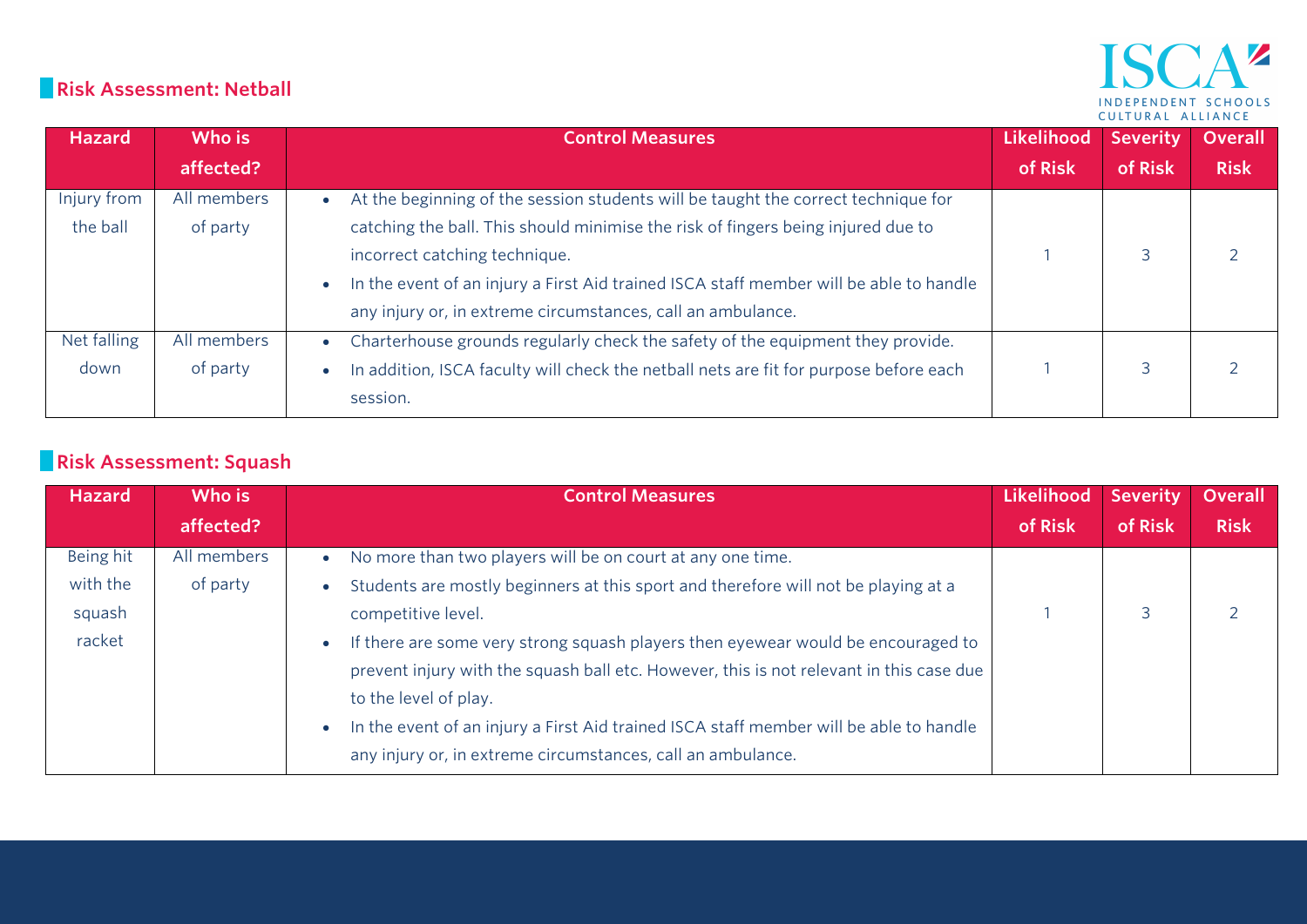#### **Risk Assessment: Netball**

#### $\Delta$   $\mathbf{z}$ IS INDEPENDENT SCHOOLS CULTURAL ALLIANCE

| <b>Hazard</b> | Who is      | <b>Control Measures</b>                                                                | <b>Likelihood</b> | <b>Severity</b> | <b>Overall</b> |
|---------------|-------------|----------------------------------------------------------------------------------------|-------------------|-----------------|----------------|
|               | affected?   |                                                                                        | of Risk           | of Risk         | <b>Risk</b>    |
| Injury from   | All members | At the beginning of the session students will be taught the correct technique for      |                   |                 |                |
| the ball      | of party    | catching the ball. This should minimise the risk of fingers being injured due to       |                   |                 |                |
|               |             | incorrect catching technique.                                                          |                   |                 |                |
|               |             | In the event of an injury a First Aid trained ISCA staff member will be able to handle |                   |                 |                |
|               |             | any injury or, in extreme circumstances, call an ambulance.                            |                   |                 |                |
| Net falling   | All members | Charterhouse grounds regularly check the safety of the equipment they provide.         |                   |                 |                |
| down          | of party    | In addition, ISCA faculty will check the netball nets are fit for purpose before each  |                   |                 |                |
|               |             | session.                                                                               |                   |                 |                |

# **Risk Assessment: Squash**

| <b>Hazard</b> | Who is      | <b>Control Measures</b>                                                                 | Likelihood | <b>Severity</b> | <b>Overall</b> |
|---------------|-------------|-----------------------------------------------------------------------------------------|------------|-----------------|----------------|
|               | affected?   |                                                                                         | of Risk    | of Risk         | <b>Risk</b>    |
| Being hit     | All members | No more than two players will be on court at any one time.<br>$\bullet$                 |            |                 |                |
| with the      | of party    | Students are mostly beginners at this sport and therefore will not be playing at a      |            |                 |                |
| squash        |             | competitive level.                                                                      |            |                 |                |
| racket        |             | If there are some very strong squash players then eyewear would be encouraged to        |            |                 |                |
|               |             | prevent injury with the squash ball etc. However, this is not relevant in this case due |            |                 |                |
|               |             | to the level of play.                                                                   |            |                 |                |
|               |             | In the event of an injury a First Aid trained ISCA staff member will be able to handle  |            |                 |                |
|               |             | any injury or, in extreme circumstances, call an ambulance.                             |            |                 |                |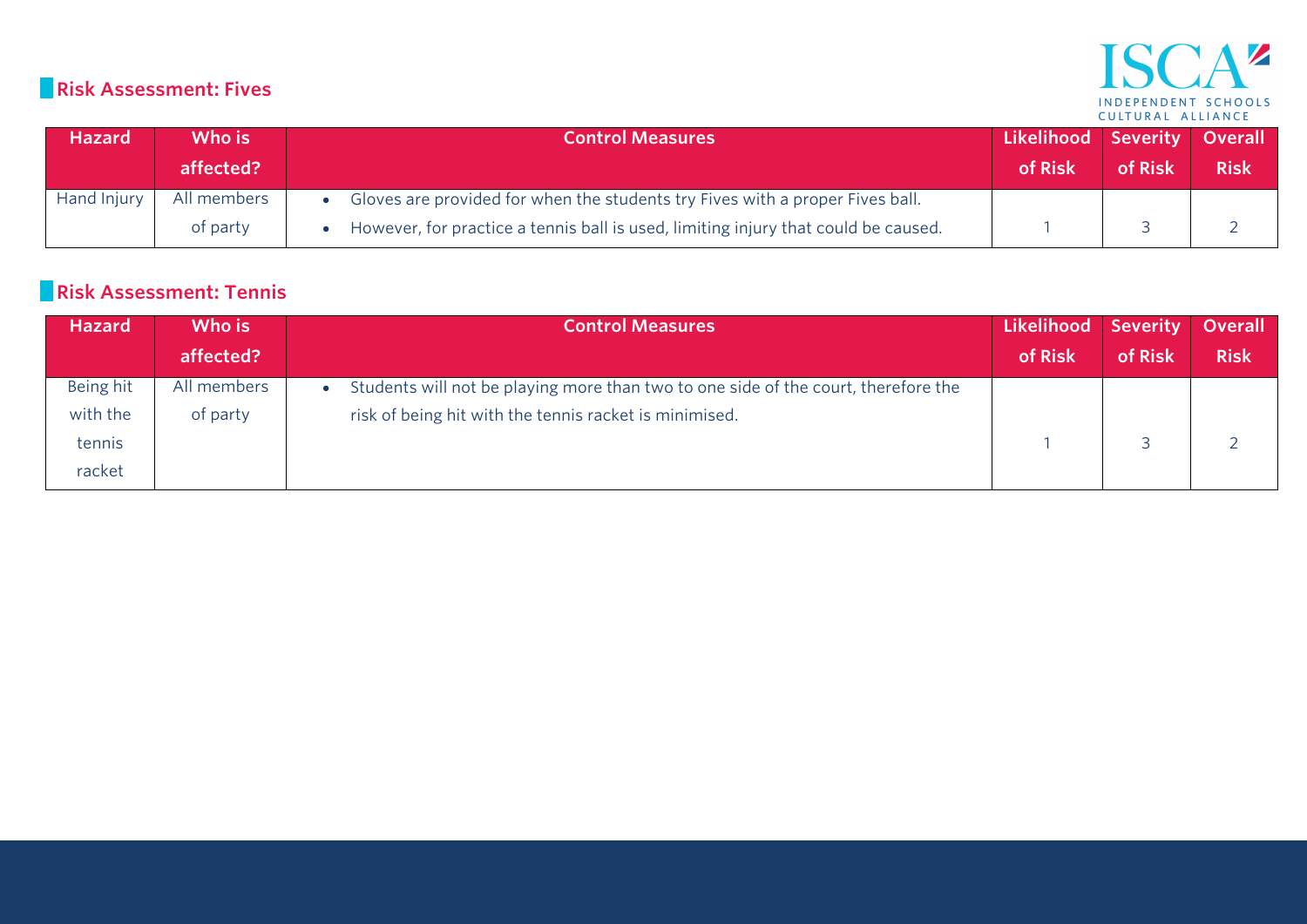#### $\mathbf{A}^{\prime\prime}$ ISC INDEPENDENT SCHOOLS

#### **Risk Assessment: Fives**

| <b>Hazard</b> | Who is<br>affected?     | <b>Control Measures</b>                                                                                                                                             | Likelihood Severity Overall<br>of Risk | of Risk | <b>Risk</b> |
|---------------|-------------------------|---------------------------------------------------------------------------------------------------------------------------------------------------------------------|----------------------------------------|---------|-------------|
| Hand Injury   | All members<br>of party | Gloves are provided for when the students try Fives with a proper Fives ball.<br>However, for practice a tennis ball is used, limiting injury that could be caused. |                                        |         |             |

#### **Risk Assessment: Tennis**

| <b>Hazard</b> | Who is      | <b>Control Measures</b>                                                            | Likelihood Severity |         | <b>Overall</b> |
|---------------|-------------|------------------------------------------------------------------------------------|---------------------|---------|----------------|
|               | affected?   |                                                                                    | of Risk             | of Risk | <b>Risk</b>    |
| Being hit     | All members | Students will not be playing more than two to one side of the court, therefore the |                     |         |                |
| with the      | of party    | risk of being hit with the tennis racket is minimised.                             |                     |         |                |
| tennis        |             |                                                                                    |                     |         |                |
| racket        |             |                                                                                    |                     |         |                |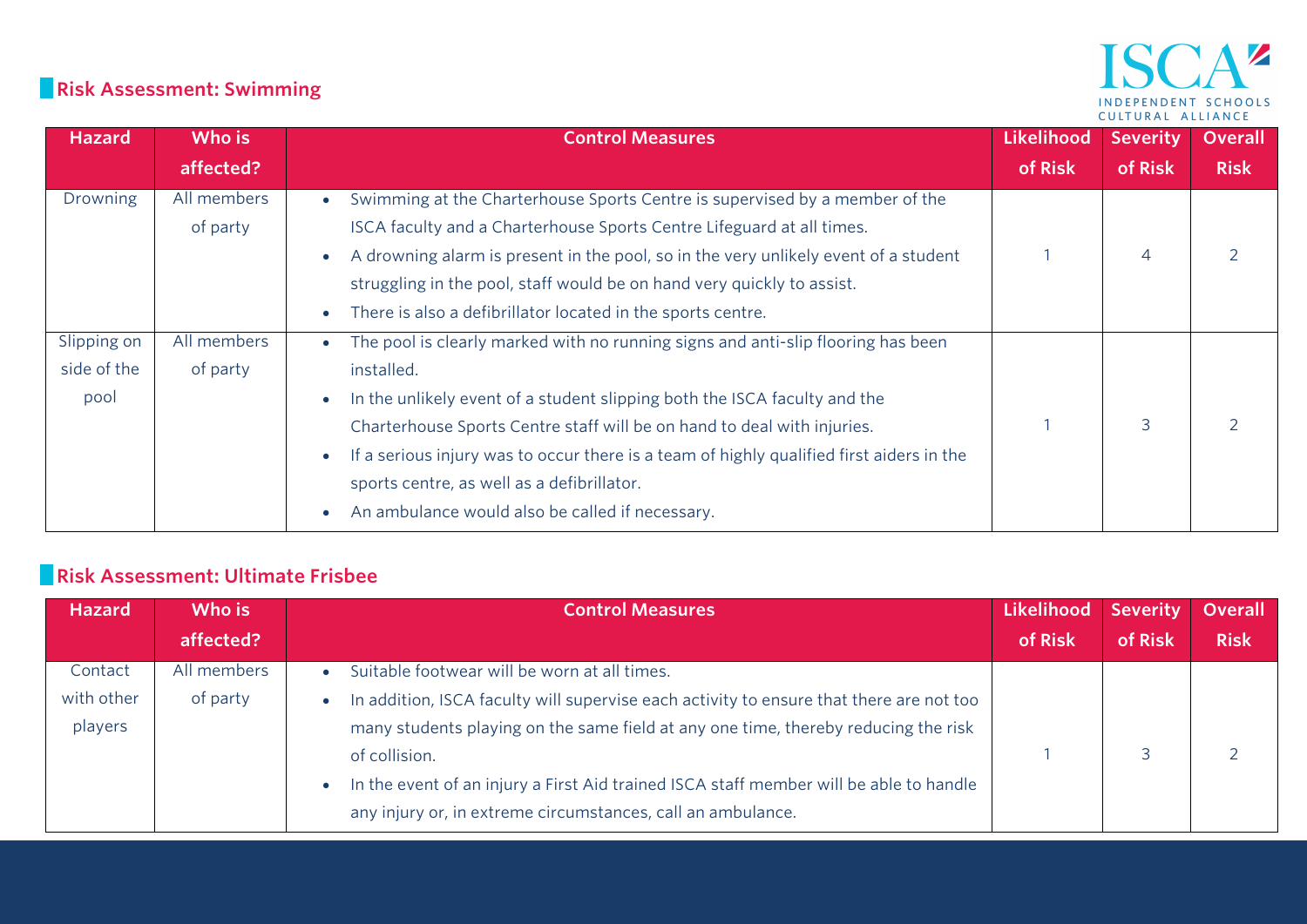#### **Risk Assessment: Swimming**

## ISCA<sup>2</sup> INDEPENDENT SCHOOLS CULTURAL ALLIANCE

| <b>Hazard</b> | Who is      | <b>Control Measures</b>                                                                  | Likelihood | <b>Severity</b> | <b>Overall</b> |
|---------------|-------------|------------------------------------------------------------------------------------------|------------|-----------------|----------------|
|               | affected?   |                                                                                          | of Risk    | of Risk         | <b>Risk</b>    |
| Drowning      | All members | Swimming at the Charterhouse Sports Centre is supervised by a member of the              |            |                 |                |
|               | of party    | ISCA faculty and a Charterhouse Sports Centre Lifeguard at all times.                    |            |                 |                |
|               |             | A drowning alarm is present in the pool, so in the very unlikely event of a student      |            | $\overline{4}$  |                |
|               |             | struggling in the pool, staff would be on hand very quickly to assist.                   |            |                 |                |
|               |             | There is also a defibrillator located in the sports centre.                              |            |                 |                |
| Slipping on   | All members | The pool is clearly marked with no running signs and anti-slip flooring has been         |            |                 |                |
| side of the   | of party    | installed.                                                                               |            |                 |                |
| pool          |             | In the unlikely event of a student slipping both the ISCA faculty and the                |            |                 |                |
|               |             | Charterhouse Sports Centre staff will be on hand to deal with injuries.                  |            | 3               |                |
|               |             | If a serious injury was to occur there is a team of highly qualified first aiders in the |            |                 |                |
|               |             | sports centre, as well as a defibrillator.                                               |            |                 |                |
|               |             | An ambulance would also be called if necessary.                                          |            |                 |                |

#### **Risk Assessment: Ultimate Frisbee**

| <b>Hazard</b> | Who is      | <b>Control Measures</b>                                                                 | Likelihood | <b>Severity</b> | <b>Overall</b> |
|---------------|-------------|-----------------------------------------------------------------------------------------|------------|-----------------|----------------|
|               | affected?   |                                                                                         | of Risk    | of Risk         | <b>Risk</b>    |
| Contact       | All members | Suitable footwear will be worn at all times.                                            |            |                 |                |
| with other    | of party    | In addition, ISCA faculty will supervise each activity to ensure that there are not too |            |                 |                |
| players       |             | many students playing on the same field at any one time, thereby reducing the risk      |            |                 |                |
|               |             | of collision.                                                                           |            |                 |                |
|               |             | In the event of an injury a First Aid trained ISCA staff member will be able to handle  |            |                 |                |
|               |             | any injury or, in extreme circumstances, call an ambulance.                             |            |                 |                |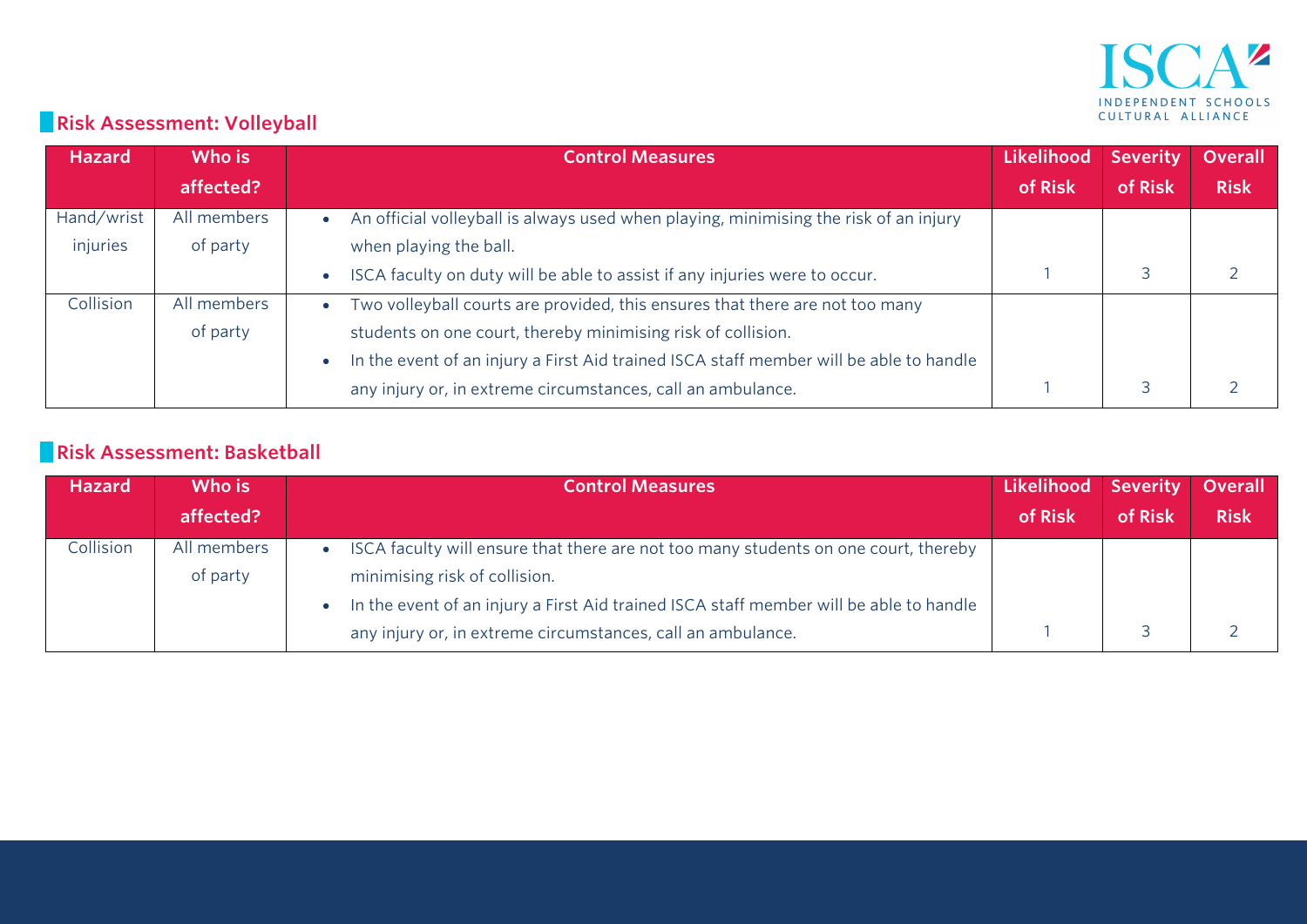

# **Risk Assessment: Volleyball**

| <b>Hazard</b> | Who is      | <b>Control Measures</b>                                                                | Likelihood | <b>Severity</b> | <b>Overall</b> |
|---------------|-------------|----------------------------------------------------------------------------------------|------------|-----------------|----------------|
|               | affected?   |                                                                                        | of Risk    | of Risk         | <b>Risk</b>    |
| Hand/wrist    | All members | An official volleyball is always used when playing, minimising the risk of an injury   |            |                 |                |
| injuries      | of party    | when playing the ball.                                                                 |            |                 |                |
|               |             | ISCA faculty on duty will be able to assist if any injuries were to occur.             |            |                 |                |
| Collision     | All members | Two volleyball courts are provided, this ensures that there are not too many           |            |                 |                |
|               | of party    | students on one court, thereby minimising risk of collision.                           |            |                 |                |
|               |             | In the event of an injury a First Aid trained ISCA staff member will be able to handle |            |                 |                |
|               |             | any injury or, in extreme circumstances, call an ambulance.                            |            |                 |                |

#### **Risk Assessment: Basketball**

| <b>Hazard</b> | Who is      | <b>Control Measures</b>                                                                | Likelihood Severity |         | <b>Overall</b> |
|---------------|-------------|----------------------------------------------------------------------------------------|---------------------|---------|----------------|
|               | affected?   |                                                                                        | of Risk             | of Risk | <b>Risk</b>    |
| Collision     | All members | ISCA faculty will ensure that there are not too many students on one court, thereby    |                     |         |                |
|               | of party    | minimising risk of collision.                                                          |                     |         |                |
|               |             | In the event of an injury a First Aid trained ISCA staff member will be able to handle |                     |         |                |
|               |             | any injury or, in extreme circumstances, call an ambulance.                            |                     |         |                |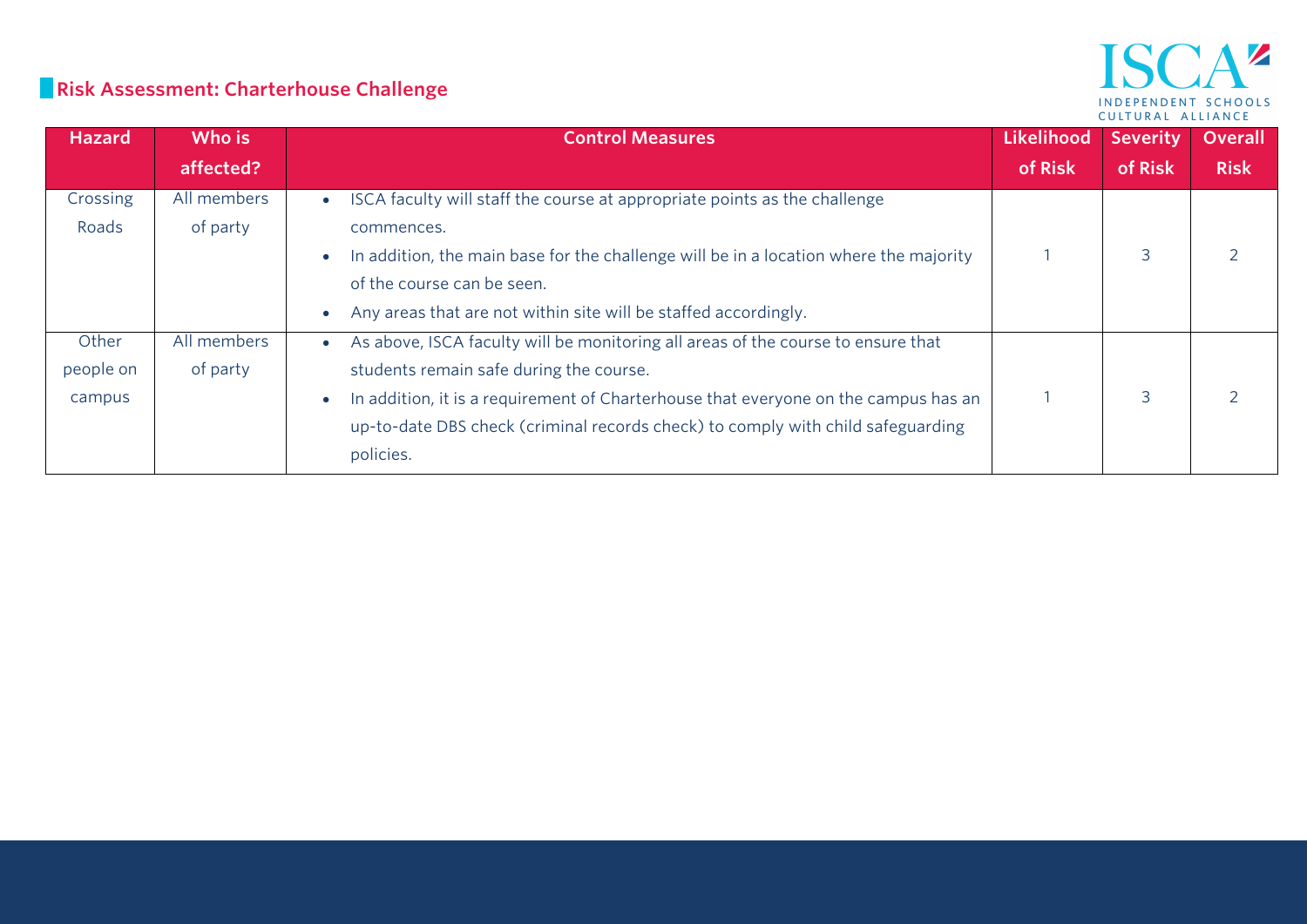#### AZ **ISC** INDEPENDENT SCHOOLS CULTURAL ALLIANCE

# **Risk Assessment: Charterhouse Challenge**

| <b>Hazard</b>                | Who is                  | <b>Control Measures</b>                                                                                                                                                                                                                                                                                            | Likelihood | <b>Severity</b> | <b>Overall</b> |
|------------------------------|-------------------------|--------------------------------------------------------------------------------------------------------------------------------------------------------------------------------------------------------------------------------------------------------------------------------------------------------------------|------------|-----------------|----------------|
|                              | affected?               |                                                                                                                                                                                                                                                                                                                    | of Risk    | of Risk         | <b>Risk</b>    |
| Crossing<br>Roads            | All members<br>of party | ISCA faculty will staff the course at appropriate points as the challenge<br>commences.<br>In addition, the main base for the challenge will be in a location where the majority<br>of the course can be seen.<br>Any areas that are not within site will be staffed accordingly.                                  |            | 3               |                |
| Other<br>people on<br>campus | All members<br>of party | As above, ISCA faculty will be monitoring all areas of the course to ensure that<br>students remain safe during the course.<br>In addition, it is a requirement of Charterhouse that everyone on the campus has an<br>up-to-date DBS check (criminal records check) to comply with child safeguarding<br>policies. |            | 3               |                |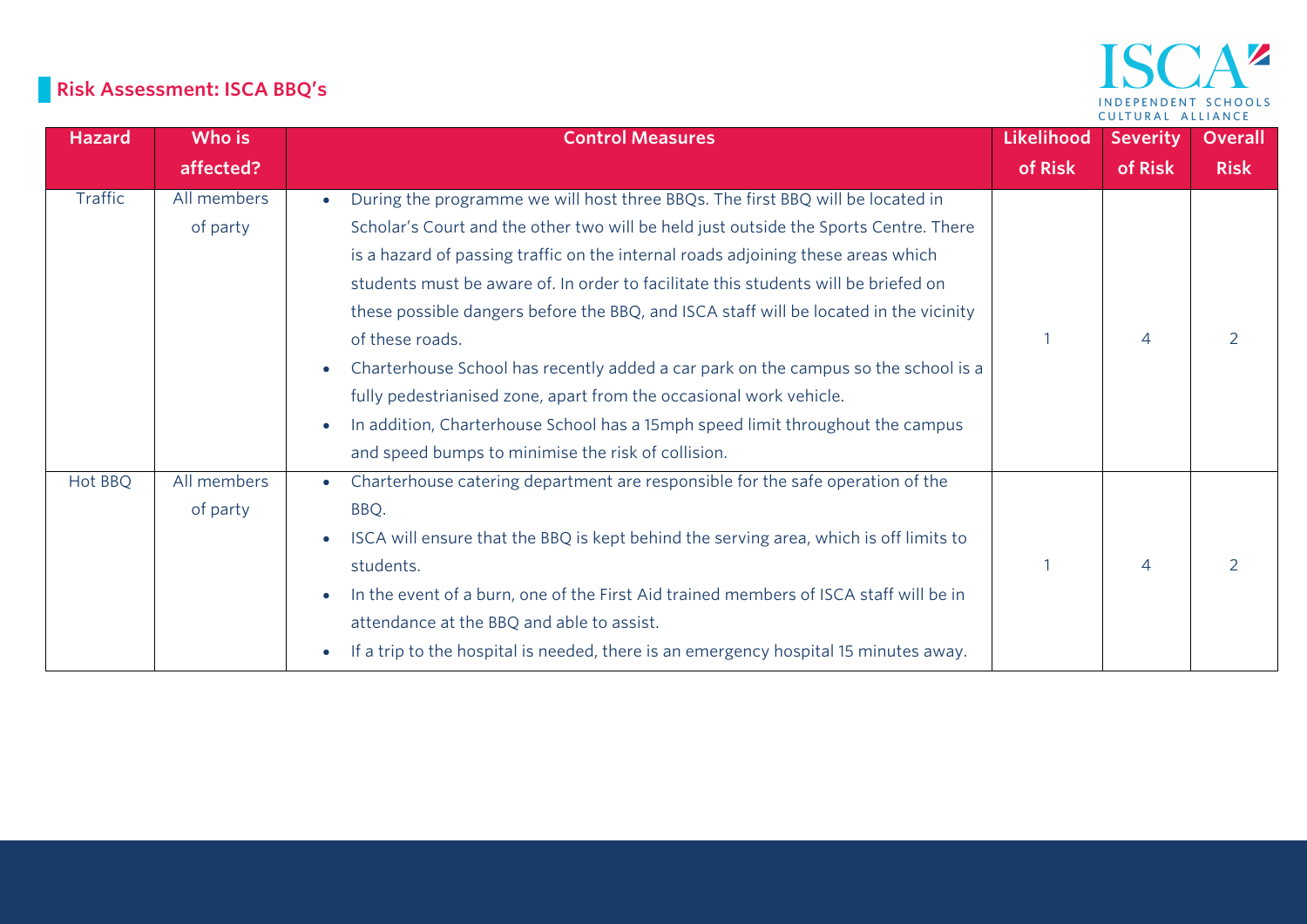# **Risk Assessment: ISCA BBQ's**

| <b>Hazard</b>  | Who is                  | <b>Control Measures</b>                                                                                                                                                                                                                                                                                                                                                                                                                                                                                                                            | Likelihood | <b>Severity</b>          | <b>Overall</b> |
|----------------|-------------------------|----------------------------------------------------------------------------------------------------------------------------------------------------------------------------------------------------------------------------------------------------------------------------------------------------------------------------------------------------------------------------------------------------------------------------------------------------------------------------------------------------------------------------------------------------|------------|--------------------------|----------------|
|                | affected?               |                                                                                                                                                                                                                                                                                                                                                                                                                                                                                                                                                    | of Risk    | of Risk                  | <b>Risk</b>    |
| <b>Traffic</b> | All members<br>of party | During the programme we will host three BBQs. The first BBQ will be located in<br>Scholar's Court and the other two will be held just outside the Sports Centre. There<br>is a hazard of passing traffic on the internal roads adjoining these areas which<br>students must be aware of. In order to facilitate this students will be briefed on<br>these possible dangers before the BBQ, and ISCA staff will be located in the vicinity<br>of these roads.<br>Charterhouse School has recently added a car park on the campus so the school is a |            | 4                        |                |
|                |                         | fully pedestrianised zone, apart from the occasional work vehicle.<br>In addition, Charterhouse School has a 15mph speed limit throughout the campus<br>and speed bumps to minimise the risk of collision.                                                                                                                                                                                                                                                                                                                                         |            |                          |                |
| Hot BBQ        | All members<br>of party | Charterhouse catering department are responsible for the safe operation of the<br>BBQ.<br>ISCA will ensure that the BBQ is kept behind the serving area, which is off limits to<br>students.<br>In the event of a burn, one of the First Aid trained members of ISCA staff will be in<br>attendance at the BBQ and able to assist.<br>If a trip to the hospital is needed, there is an emergency hospital 15 minutes away.                                                                                                                         |            | $\overline{\mathcal{A}}$ |                |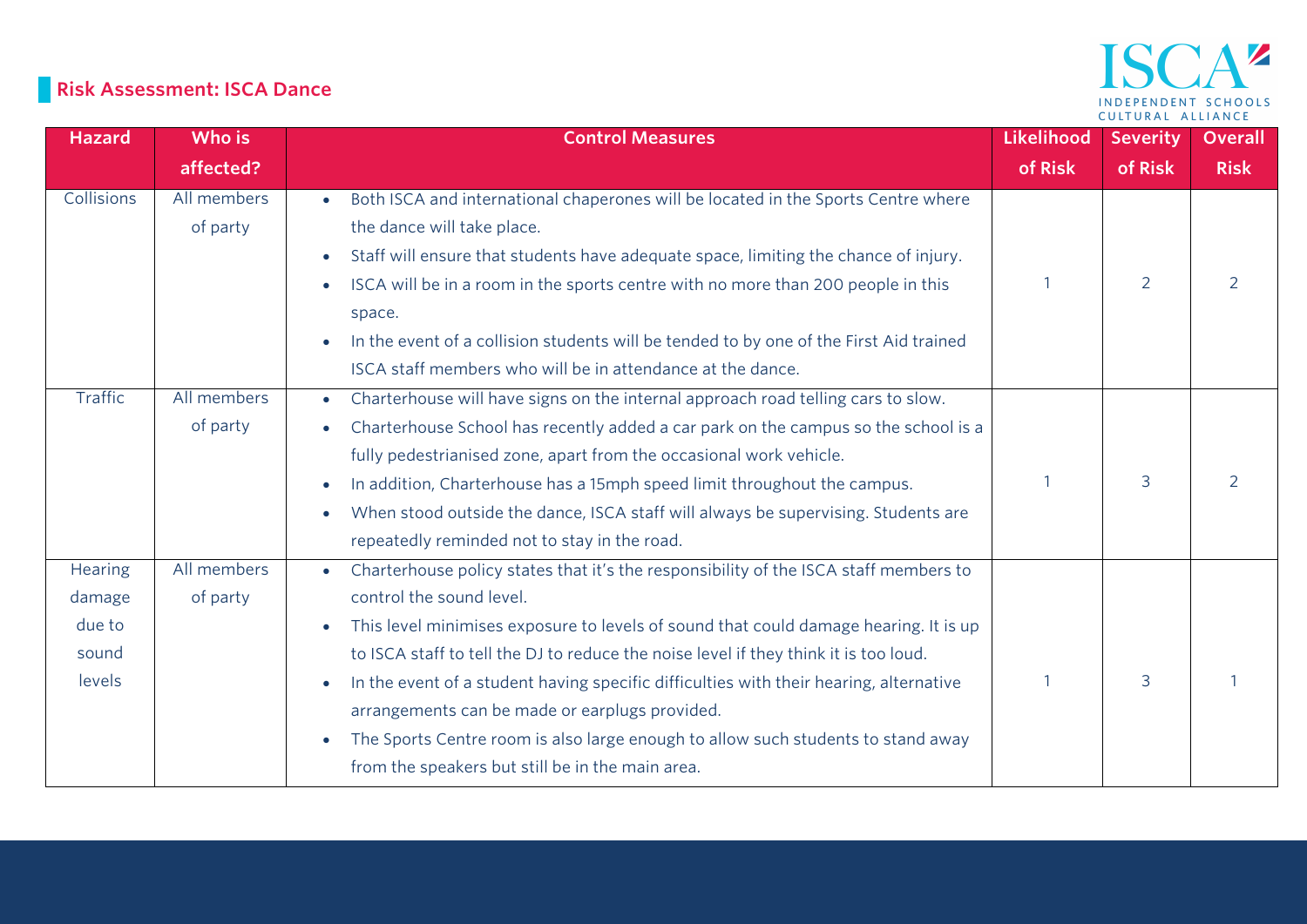# **Risk Assessment: ISCA Dance**

| <b>Hazard</b>     | Who is      | <b>Control Measures</b>                                                                           | Likelihood | <b>Severity</b> | <b>Overall</b> |
|-------------------|-------------|---------------------------------------------------------------------------------------------------|------------|-----------------|----------------|
|                   | affected?   |                                                                                                   | of Risk    | of Risk         | <b>Risk</b>    |
| <b>Collisions</b> | All members | Both ISCA and international chaperones will be located in the Sports Centre where<br>$\bullet$    |            |                 |                |
|                   | of party    | the dance will take place.                                                                        |            |                 |                |
|                   |             | Staff will ensure that students have adequate space, limiting the chance of injury.               |            |                 |                |
|                   |             | ISCA will be in a room in the sports centre with no more than 200 people in this                  |            | $\overline{2}$  | $\overline{2}$ |
|                   |             | space.                                                                                            |            |                 |                |
|                   |             | In the event of a collision students will be tended to by one of the First Aid trained            |            |                 |                |
|                   |             | ISCA staff members who will be in attendance at the dance.                                        |            |                 |                |
| Traffic           | All members | Charterhouse will have signs on the internal approach road telling cars to slow.<br>$\bullet$     |            |                 |                |
|                   | of party    | Charterhouse School has recently added a car park on the campus so the school is a                |            |                 |                |
|                   |             | fully pedestrianised zone, apart from the occasional work vehicle.                                |            |                 |                |
|                   |             | In addition, Charterhouse has a 15mph speed limit throughout the campus.                          |            | 3               | 2              |
|                   |             | When stood outside the dance, ISCA staff will always be supervising. Students are<br>$\bullet$    |            |                 |                |
|                   |             | repeatedly reminded not to stay in the road.                                                      |            |                 |                |
| Hearing           | All members | Charterhouse policy states that it's the responsibility of the ISCA staff members to<br>$\bullet$ |            |                 |                |
| damage            | of party    | control the sound level.                                                                          |            |                 |                |
| due to            |             | This level minimises exposure to levels of sound that could damage hearing. It is up<br>$\bullet$ |            |                 |                |
| sound             |             | to ISCA staff to tell the DJ to reduce the noise level if they think it is too loud.              |            |                 |                |
| levels            |             | In the event of a student having specific difficulties with their hearing, alternative            |            | 3               |                |
|                   |             | arrangements can be made or earplugs provided.                                                    |            |                 |                |
|                   |             | The Sports Centre room is also large enough to allow such students to stand away                  |            |                 |                |
|                   |             | from the speakers but still be in the main area.                                                  |            |                 |                |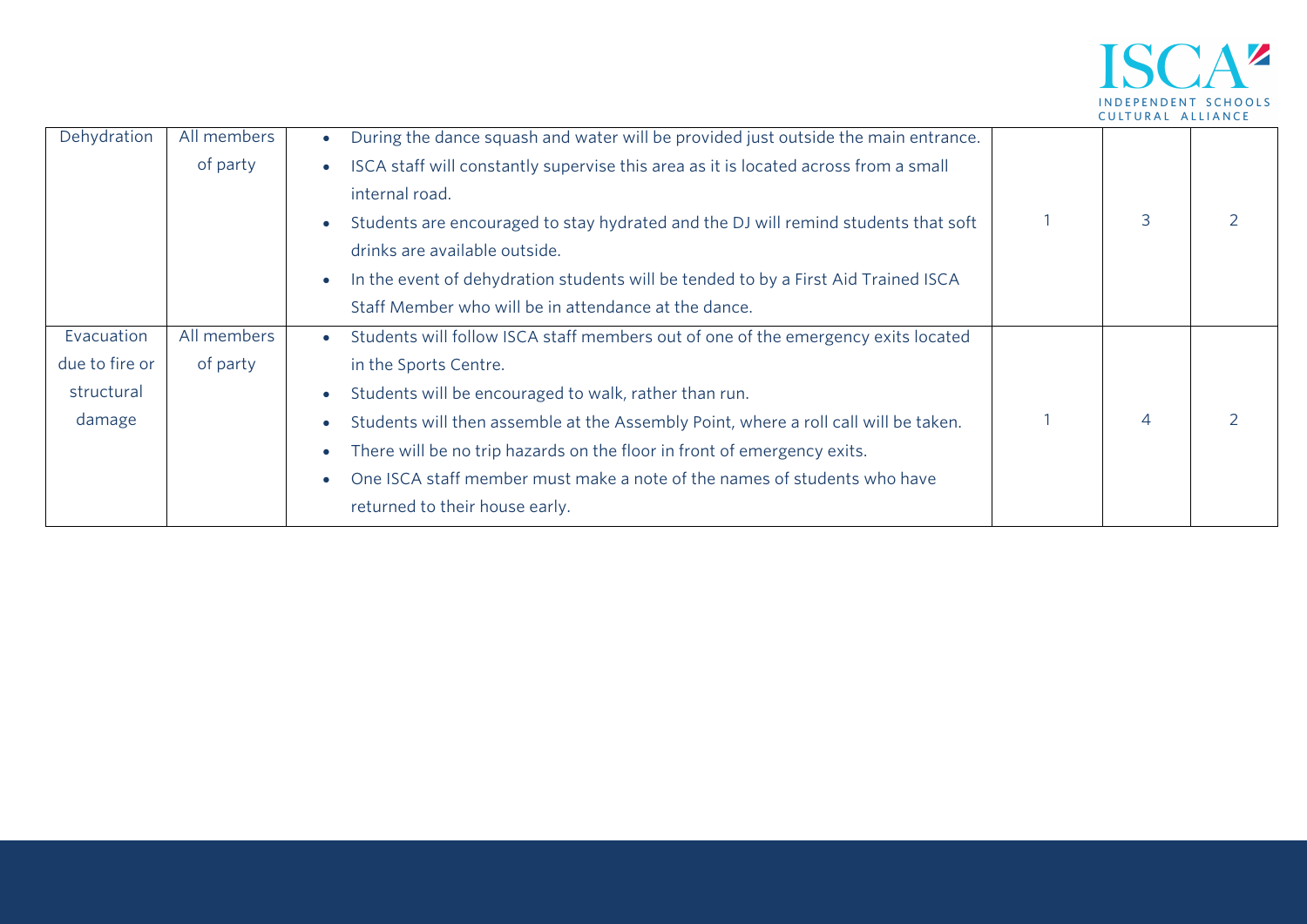

| Dehydration    | All members | During the dance squash and water will be provided just outside the main entrance.             |                |  |
|----------------|-------------|------------------------------------------------------------------------------------------------|----------------|--|
|                | of party    | ISCA staff will constantly supervise this area as it is located across from a small            |                |  |
|                |             | internal road.                                                                                 |                |  |
|                |             | Students are encouraged to stay hydrated and the DJ will remind students that soft             | 3              |  |
|                |             | drinks are available outside.                                                                  |                |  |
|                |             | In the event of dehydration students will be tended to by a First Aid Trained ISCA             |                |  |
|                |             | Staff Member who will be in attendance at the dance.                                           |                |  |
| Evacuation     | All members | Students will follow ISCA staff members out of one of the emergency exits located<br>$\bullet$ |                |  |
| due to fire or | of party    | in the Sports Centre.                                                                          |                |  |
| structural     |             | Students will be encouraged to walk, rather than run.                                          |                |  |
| damage         |             | Students will then assemble at the Assembly Point, where a roll call will be taken.            | $\overline{4}$ |  |
|                |             | There will be no trip hazards on the floor in front of emergency exits.                        |                |  |
|                |             | One ISCA staff member must make a note of the names of students who have                       |                |  |
|                |             | returned to their house early.                                                                 |                |  |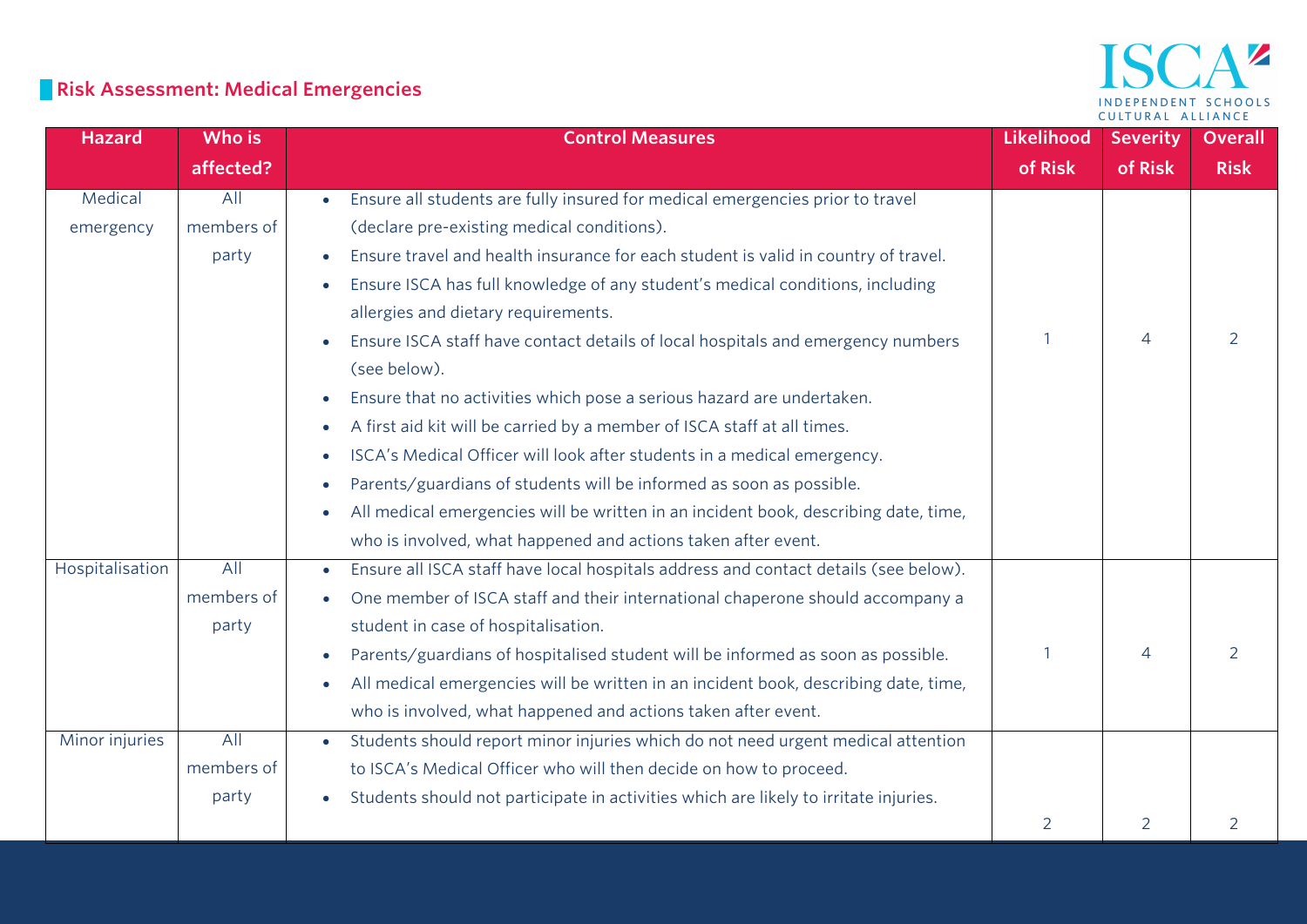## ISCA<sup>2</sup> INDEPENDENT SCHOOLS CULTURAL ALLIANCE

## **Risk Assessment: Medical Emergencies**

| <b>Hazard</b>   | Who is     | <b>Control Measures</b>                                                                          | Likelihood | <b>Severity</b> | <b>Overall</b> |
|-----------------|------------|--------------------------------------------------------------------------------------------------|------------|-----------------|----------------|
|                 | affected?  |                                                                                                  | of Risk    | of Risk         | <b>Risk</b>    |
| Medical         | All        | Ensure all students are fully insured for medical emergencies prior to travel<br>$\bullet$       |            |                 |                |
| emergency       | members of | (declare pre-existing medical conditions).                                                       |            |                 |                |
|                 | party      | Ensure travel and health insurance for each student is valid in country of travel.               |            |                 |                |
|                 |            | Ensure ISCA has full knowledge of any student's medical conditions, including<br>$\bullet$       |            |                 |                |
|                 |            | allergies and dietary requirements.                                                              |            |                 |                |
|                 |            | Ensure ISCA staff have contact details of local hospitals and emergency numbers<br>$\bullet$     |            | 4               | 2              |
|                 |            | (see below).                                                                                     |            |                 |                |
|                 |            | Ensure that no activities which pose a serious hazard are undertaken.<br>$\bullet$               |            |                 |                |
|                 |            | A first aid kit will be carried by a member of ISCA staff at all times.<br>$\bullet$             |            |                 |                |
|                 |            | ISCA's Medical Officer will look after students in a medical emergency.<br>$\bullet$             |            |                 |                |
|                 |            | Parents/guardians of students will be informed as soon as possible.<br>$\bullet$                 |            |                 |                |
|                 |            | All medical emergencies will be written in an incident book, describing date, time,<br>$\bullet$ |            |                 |                |
|                 |            | who is involved, what happened and actions taken after event.                                    |            |                 |                |
| Hospitalisation | All        | Ensure all ISCA staff have local hospitals address and contact details (see below).<br>$\bullet$ |            |                 |                |
|                 | members of | One member of ISCA staff and their international chaperone should accompany a<br>$\bullet$       |            |                 |                |
|                 | party      | student in case of hospitalisation.                                                              |            |                 |                |
|                 |            | Parents/guardians of hospitalised student will be informed as soon as possible.                  |            | $\overline{4}$  | $\overline{2}$ |
|                 |            | All medical emergencies will be written in an incident book, describing date, time,<br>$\bullet$ |            |                 |                |
|                 |            | who is involved, what happened and actions taken after event.                                    |            |                 |                |
| Minor injuries  | All        | Students should report minor injuries which do not need urgent medical attention<br>$\bullet$    |            |                 |                |
|                 | members of | to ISCA's Medical Officer who will then decide on how to proceed.                                |            |                 |                |
|                 | party      | Students should not participate in activities which are likely to irritate injuries.             |            |                 |                |
|                 |            |                                                                                                  | 2          | 2               | $\overline{2}$ |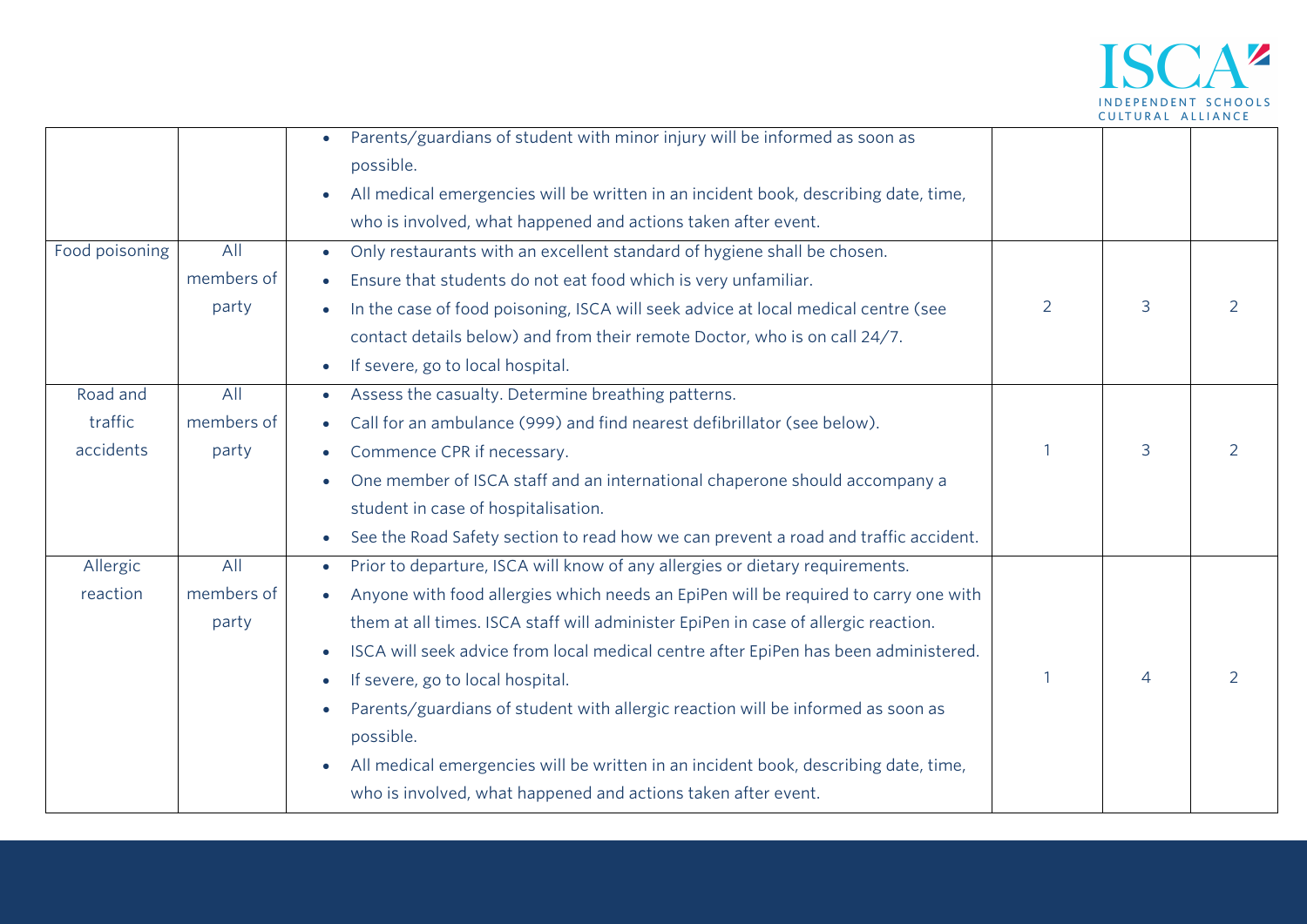

| Food poisoning                   | All                        | Parents/guardians of student with minor injury will be informed as soon as<br>possible.<br>All medical emergencies will be written in an incident book, describing date, time,<br>$\bullet$<br>who is involved, what happened and actions taken after event.<br>Only restaurants with an excellent standard of hygiene shall be chosen.                                                                                                                                                                                                                                                                                                                                             |   |                |   |
|----------------------------------|----------------------------|-------------------------------------------------------------------------------------------------------------------------------------------------------------------------------------------------------------------------------------------------------------------------------------------------------------------------------------------------------------------------------------------------------------------------------------------------------------------------------------------------------------------------------------------------------------------------------------------------------------------------------------------------------------------------------------|---|----------------|---|
|                                  | members of<br>party        | Ensure that students do not eat food which is very unfamiliar.<br>In the case of food poisoning, ISCA will seek advice at local medical centre (see<br>contact details below) and from their remote Doctor, who is on call 24/7.<br>If severe, go to local hospital.                                                                                                                                                                                                                                                                                                                                                                                                                | 2 | 3              | 2 |
| Road and<br>traffic<br>accidents | All<br>members of<br>party | Assess the casualty. Determine breathing patterns.<br>$\bullet$<br>Call for an ambulance (999) and find nearest defibrillator (see below).<br>$\bullet$<br>Commence CPR if necessary.<br>One member of ISCA staff and an international chaperone should accompany a<br>student in case of hospitalisation.<br>See the Road Safety section to read how we can prevent a road and traffic accident.                                                                                                                                                                                                                                                                                   |   | 3              | 2 |
| Allergic<br>reaction             | All<br>members of<br>party | Prior to departure, ISCA will know of any allergies or dietary requirements.<br>$\bullet$<br>Anyone with food allergies which needs an EpiPen will be required to carry one with<br>them at all times. ISCA staff will administer EpiPen in case of allergic reaction.<br>ISCA will seek advice from local medical centre after EpiPen has been administered.<br>$\bullet$<br>If severe, go to local hospital.<br>$\bullet$<br>Parents/guardians of student with allergic reaction will be informed as soon as<br>possible.<br>All medical emergencies will be written in an incident book, describing date, time,<br>who is involved, what happened and actions taken after event. |   | $\overline{4}$ | 2 |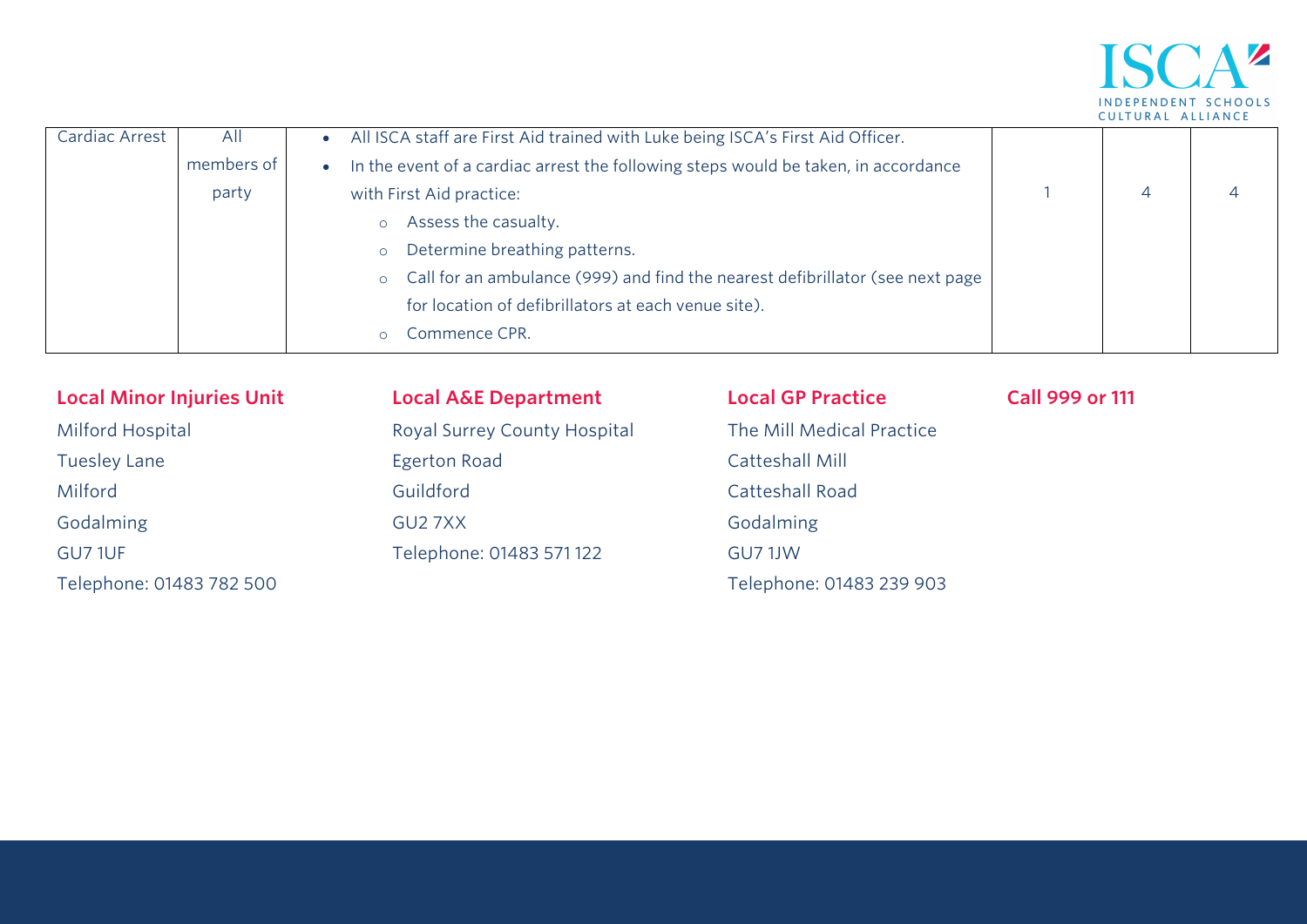

| Cardiac Arrest | All        | All ISCA staff are First Aid trained with Luke being ISCA's First Aid Officer.                  |  |  |
|----------------|------------|-------------------------------------------------------------------------------------------------|--|--|
|                | members of | In the event of a cardiac arrest the following steps would be taken, in accordance<br>$\bullet$ |  |  |
|                | party      | with First Aid practice:                                                                        |  |  |
|                |            | Assess the casualty.<br>$\circ$                                                                 |  |  |
|                |            | Determine breathing patterns.<br>$\circ$                                                        |  |  |
|                |            | o Call for an ambulance (999) and find the nearest defibrillator (see next page                 |  |  |
|                |            | for location of defibrillators at each venue site).                                             |  |  |
|                |            | Commence CPR.<br>$\Omega$                                                                       |  |  |

| <b>Local Minor Injuries Unit</b> | <b>Local A&amp;E Department</b> | <b>Local GP Practice</b>  | <b>Call 999 or 111</b> |
|----------------------------------|---------------------------------|---------------------------|------------------------|
| Milford Hospital                 | Royal Surrey County Hospital    | The Mill Medical Practice |                        |
| <b>Tuesley Lane</b>              | Egerton Road                    | Catteshall Mill           |                        |
| Milford                          | Guildford                       | <b>Catteshall Road</b>    |                        |
| Godalming                        | GU27XX                          | Godalming                 |                        |
| GU7 1UF                          | Telephone: 01483 571 122        | GU7 1JW                   |                        |
| Telephone: 01483 782 500         |                                 | Telephone: 01483 239 903  |                        |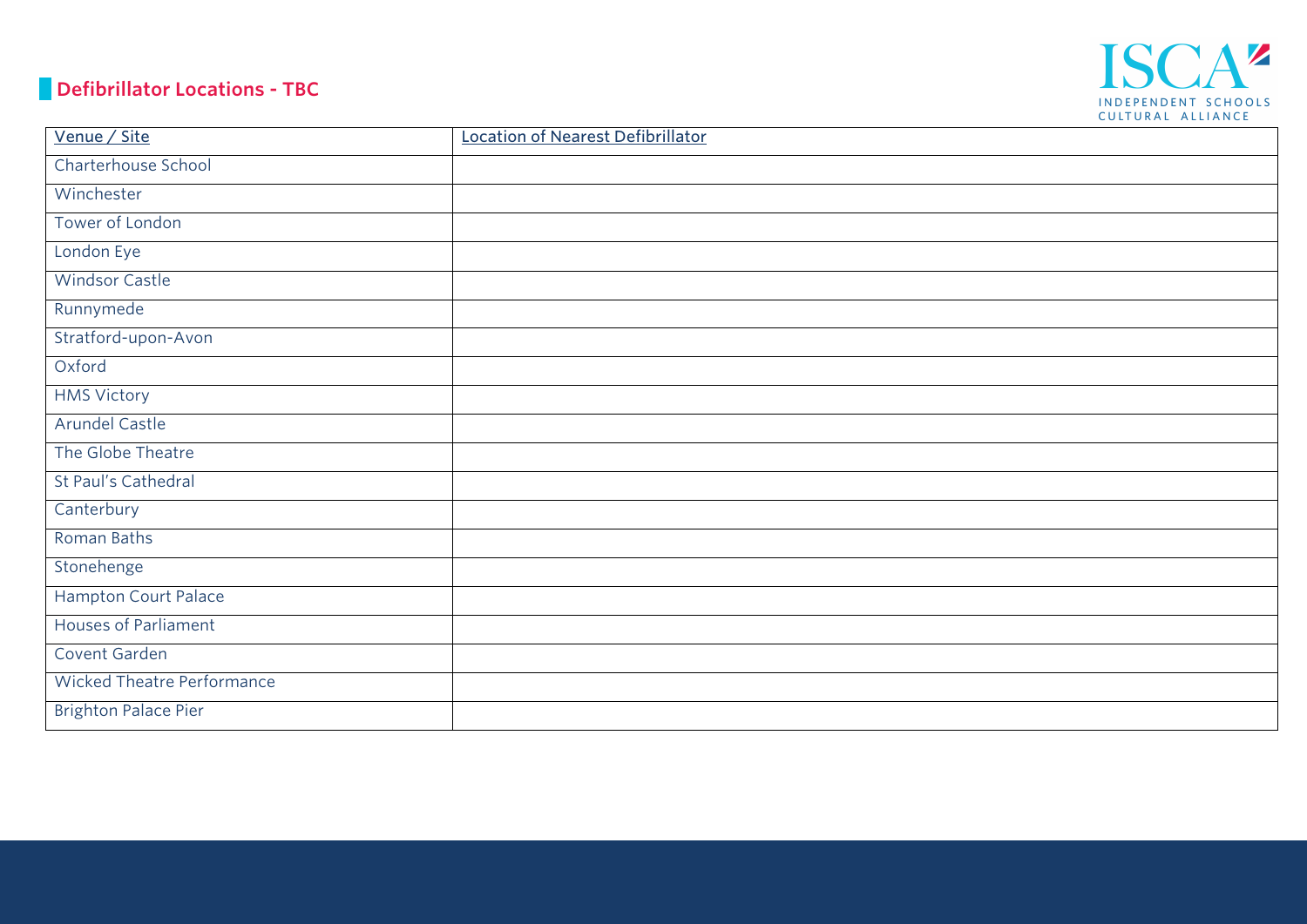#### **Defibrillator Locations - TBC**



| Venue / Site                      | Location of Nearest Defibrillator |
|-----------------------------------|-----------------------------------|
| Charterhouse School               |                                   |
| Winchester                        |                                   |
| Tower of London                   |                                   |
| London Eye                        |                                   |
| <b>Windsor Castle</b>             |                                   |
| Runnymede                         |                                   |
| Stratford-upon-Avon               |                                   |
| Oxford                            |                                   |
| <b>HMS Victory</b>                |                                   |
| Arundel Castle                    |                                   |
| The Globe Theatre                 |                                   |
| St Paul's Cathedral               |                                   |
| Canterbury                        |                                   |
| Roman Baths                       |                                   |
| Stonehenge                        |                                   |
| Hampton Court Palace              |                                   |
| <b>Houses of Parliament</b>       |                                   |
| Covent Garden                     |                                   |
| <b>Wicked Theatre Performance</b> |                                   |
| <b>Brighton Palace Pier</b>       |                                   |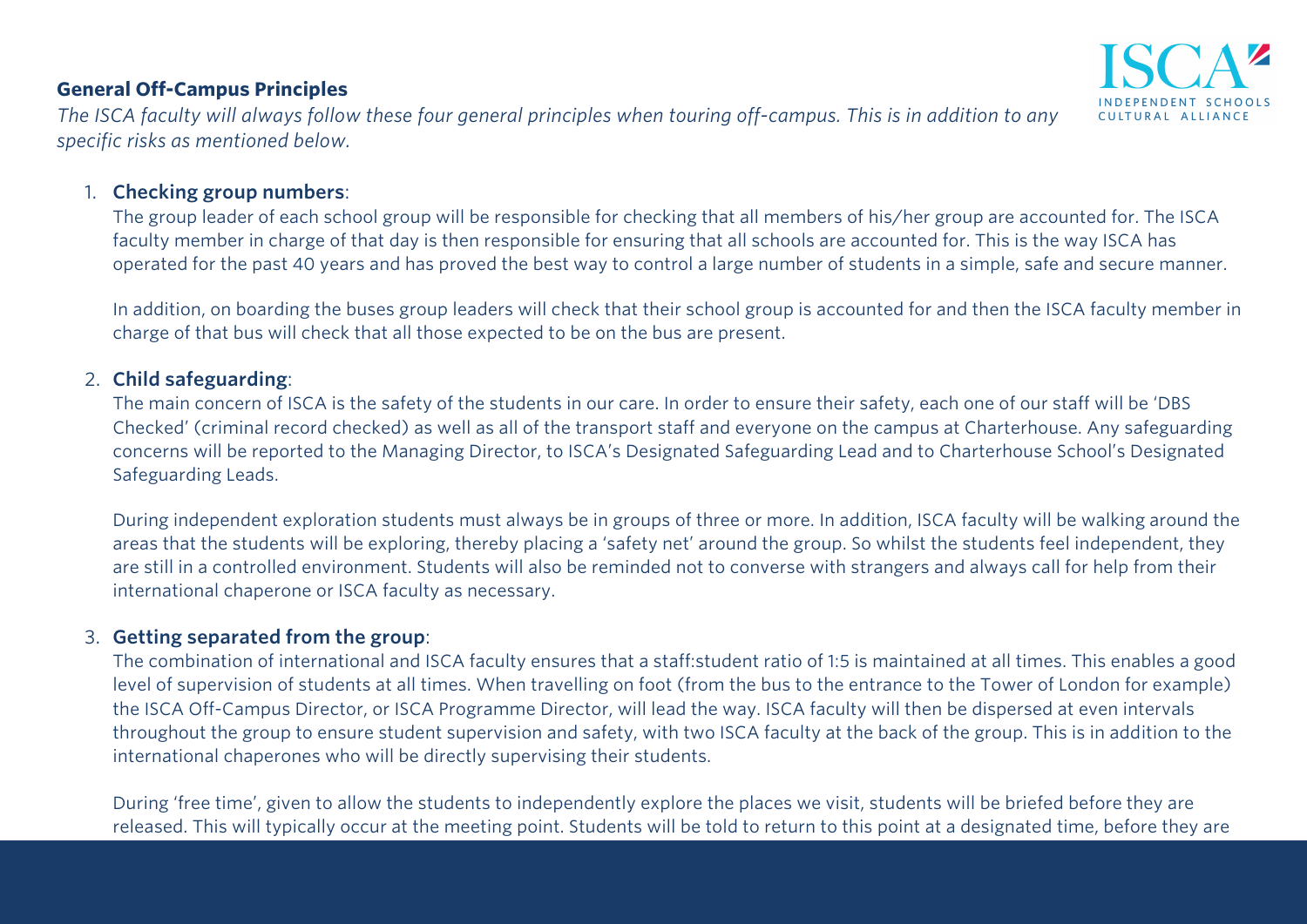#### **General Off-Campus Principles**

*The ISCA faculty will always follow these four general principles when touring off-campus. This is in addition to any specific risks as mentioned below.* 

#### 1. **Checking group numbers**:

The group leader of each school group will be responsible for checking that all members of his/her group are accounted for. The ISCA faculty member in charge of that day is then responsible for ensuring that all schools are accounted for. This is the way ISCA has operated for the past 40 years and has proved the best way to control a large number of students in a simple, safe and secure manner.

In addition, on boarding the buses group leaders will check that their school group is accounted for and then the ISCA faculty member in charge of that bus will check that all those expected to be on the bus are present.

#### 2. **Child safeguarding**:

The main concern of ISCA is the safety of the students in our care. In order to ensure their safety, each one of our staff will be 'DBS Checked' (criminal record checked) as well as all of the transport staff and everyone on the campus at Charterhouse. Any safeguarding concerns will be reported to the Managing Director, to ISCA's Designated Safeguarding Lead and to Charterhouse School's Designated Safeguarding Leads.

During independent exploration students must always be in groups of three or more. In addition, ISCA faculty will be walking around the areas that the students will be exploring, thereby placing a 'safety net' around the group. So whilst the students feel independent, they are still in a controlled environment. Students will also be reminded not to converse with strangers and always call for help from their international chaperone or ISCA faculty as necessary.

#### 3. **Getting separated from the group**:

The combination of international and ISCA faculty ensures that a staff:student ratio of 1:5 is maintained at all times. This enables a good level of supervision of students at all times. When travelling on foot (from the bus to the entrance to the Tower of London for example) the ISCA Off-Campus Director, or ISCA Programme Director, will lead the way. ISCA faculty will then be dispersed at even intervals throughout the group to ensure student supervision and safety, with two ISCA faculty at the back of the group. This is in addition to the international chaperones who will be directly supervising their students.

During 'free time', given to allow the students to independently explore the places we visit, students will be briefed before they are released. This will typically occur at the meeting point. Students will be told to return to this point at a designated time, before they are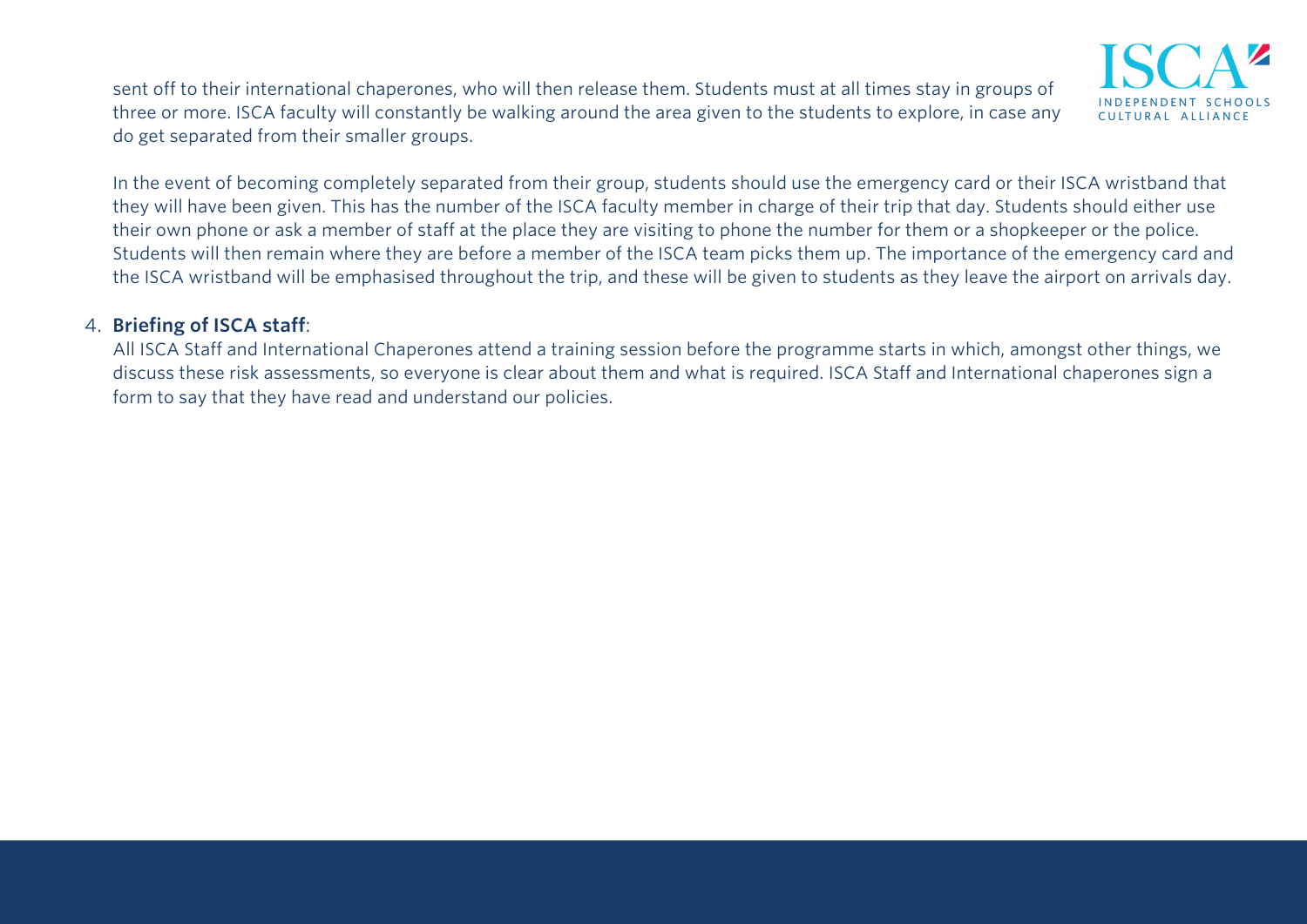sent off to their international chaperones, who will then release them. Students must at all times stay in groups of three or more. ISCA faculty will constantly be walking around the area given to the students to explore, in case any do get separated from their smaller groups.

In the event of becoming completely separated from their group, students should use the emergency card or their ISCA wristband that they will have been given. This has the number of the ISCA faculty member in charge of their trip that day. Students should either use their own phone or ask a member of staff at the place they are visiting to phone the number for them or a shopkeeper or the police. Students will then remain where they are before a member of the ISCA team picks them up. The importance of the emergency card and the ISCA wristband will be emphasised throughout the trip, and these will be given to students as they leave the airport on arrivals day.

#### 4. **Briefing of ISCA staff**:

All ISCA Staff and International Chaperones attend a training session before the programme starts in which, amongst other things, we discuss these risk assessments, so everyone is clear about them and what is required. ISCA Staff and International chaperones sign a form to say that they have read and understand our policies.

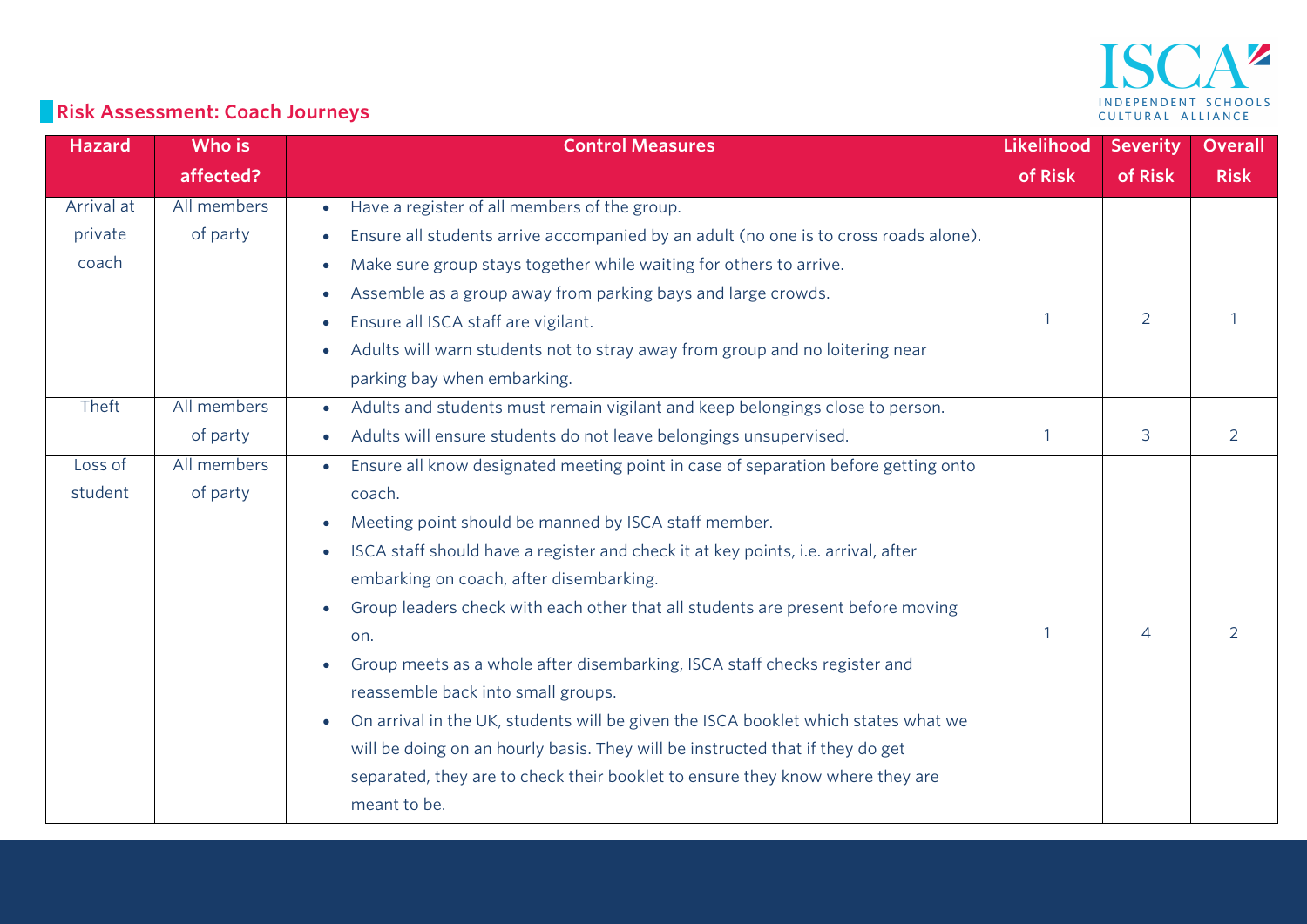

# **Risk Assessment: Coach Journeys**

| <b>Hazard</b> | Who is      | <b>Control Measures</b>                                                                           | Likelihood | <b>Severity</b> | <b>Overall</b> |
|---------------|-------------|---------------------------------------------------------------------------------------------------|------------|-----------------|----------------|
|               | affected?   |                                                                                                   | of Risk    | of Risk         | <b>Risk</b>    |
| Arrival at    | All members | Have a register of all members of the group.<br>$\bullet$                                         |            |                 |                |
| private       | of party    | Ensure all students arrive accompanied by an adult (no one is to cross roads alone).<br>$\bullet$ |            |                 |                |
| coach         |             | Make sure group stays together while waiting for others to arrive.<br>$\bullet$                   |            |                 |                |
|               |             | Assemble as a group away from parking bays and large crowds.<br>$\bullet$                         |            |                 |                |
|               |             | Ensure all ISCA staff are vigilant.<br>$\bullet$                                                  |            | $\overline{2}$  |                |
|               |             | Adults will warn students not to stray away from group and no loitering near                      |            |                 |                |
|               |             | parking bay when embarking.                                                                       |            |                 |                |
| Theft         | All members | Adults and students must remain vigilant and keep belongings close to person.<br>$\bullet$        |            |                 |                |
|               | of party    | Adults will ensure students do not leave belongings unsupervised.<br>$\bullet$                    |            | 3               | $\overline{2}$ |
| Loss of       | All members | Ensure all know designated meeting point in case of separation before getting onto                |            |                 |                |
| student       | of party    | coach.                                                                                            |            |                 |                |
|               |             | Meeting point should be manned by ISCA staff member.<br>$\bullet$                                 |            |                 |                |
|               |             | ISCA staff should have a register and check it at key points, i.e. arrival, after<br>$\bullet$    |            |                 |                |
|               |             | embarking on coach, after disembarking.                                                           |            |                 |                |
|               |             | Group leaders check with each other that all students are present before moving                   |            |                 |                |
|               |             | on.                                                                                               |            | 4               | $\overline{2}$ |
|               |             | Group meets as a whole after disembarking, ISCA staff checks register and<br>$\bullet$            |            |                 |                |
|               |             | reassemble back into small groups.                                                                |            |                 |                |
|               |             | On arrival in the UK, students will be given the ISCA booklet which states what we<br>$\bullet$   |            |                 |                |
|               |             | will be doing on an hourly basis. They will be instructed that if they do get                     |            |                 |                |
|               |             | separated, they are to check their booklet to ensure they know where they are                     |            |                 |                |
|               |             | meant to be.                                                                                      |            |                 |                |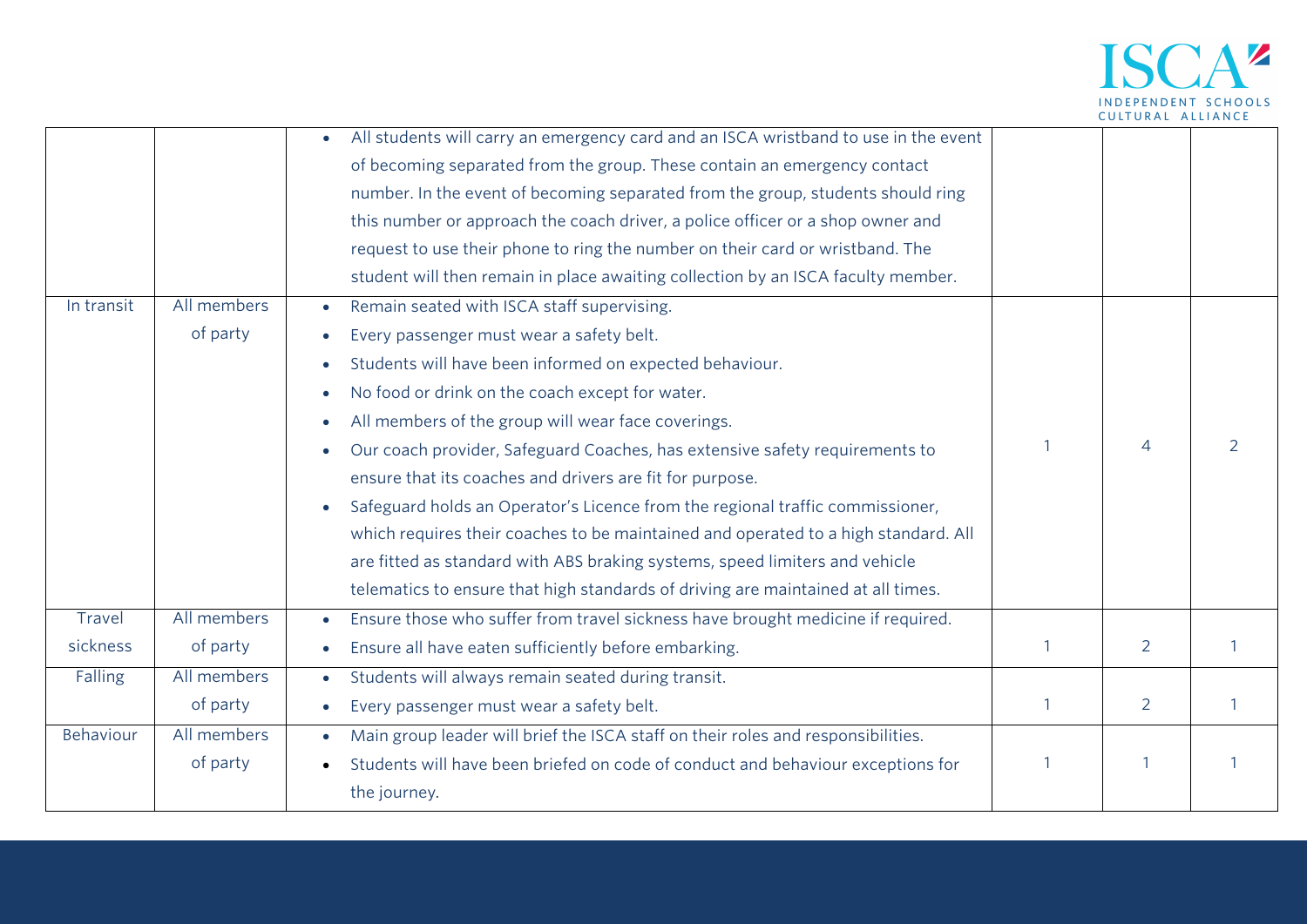

| In transit         | All members<br>of party | All students will carry an emergency card and an ISCA wristband to use in the event<br>$\bullet$<br>of becoming separated from the group. These contain an emergency contact<br>number. In the event of becoming separated from the group, students should ring<br>this number or approach the coach driver, a police officer or a shop owner and<br>request to use their phone to ring the number on their card or wristband. The<br>student will then remain in place awaiting collection by an ISCA faculty member.<br>Remain seated with ISCA staff supervising.<br>$\bullet$<br>Every passenger must wear a safety belt.<br>Students will have been informed on expected behaviour.<br>$\bullet$<br>No food or drink on the coach except for water.<br>$\bullet$<br>All members of the group will wear face coverings.<br>$\bullet$ |   |                |   |
|--------------------|-------------------------|------------------------------------------------------------------------------------------------------------------------------------------------------------------------------------------------------------------------------------------------------------------------------------------------------------------------------------------------------------------------------------------------------------------------------------------------------------------------------------------------------------------------------------------------------------------------------------------------------------------------------------------------------------------------------------------------------------------------------------------------------------------------------------------------------------------------------------------|---|----------------|---|
|                    |                         | Our coach provider, Safeguard Coaches, has extensive safety requirements to<br>$\bullet$<br>ensure that its coaches and drivers are fit for purpose.<br>Safeguard holds an Operator's Licence from the regional traffic commissioner,<br>$\bullet$<br>which requires their coaches to be maintained and operated to a high standard. All<br>are fitted as standard with ABS braking systems, speed limiters and vehicle<br>telematics to ensure that high standards of driving are maintained at all times.                                                                                                                                                                                                                                                                                                                              |   | $\overline{4}$ | 2 |
| Travel<br>sickness | All members<br>of party | Ensure those who suffer from travel sickness have brought medicine if required.<br>Ensure all have eaten sufficiently before embarking.                                                                                                                                                                                                                                                                                                                                                                                                                                                                                                                                                                                                                                                                                                  | 1 | 2              | 1 |
| Falling            | All members             | $\bullet$<br>Students will always remain seated during transit.<br>$\bullet$                                                                                                                                                                                                                                                                                                                                                                                                                                                                                                                                                                                                                                                                                                                                                             |   |                |   |
|                    | of party                | Every passenger must wear a safety belt.                                                                                                                                                                                                                                                                                                                                                                                                                                                                                                                                                                                                                                                                                                                                                                                                 |   | $\overline{2}$ |   |
| Behaviour          | All members<br>of party | Main group leader will brief the ISCA staff on their roles and responsibilities.<br>$\bullet$<br>Students will have been briefed on code of conduct and behaviour exceptions for<br>the journey.                                                                                                                                                                                                                                                                                                                                                                                                                                                                                                                                                                                                                                         | 1 |                |   |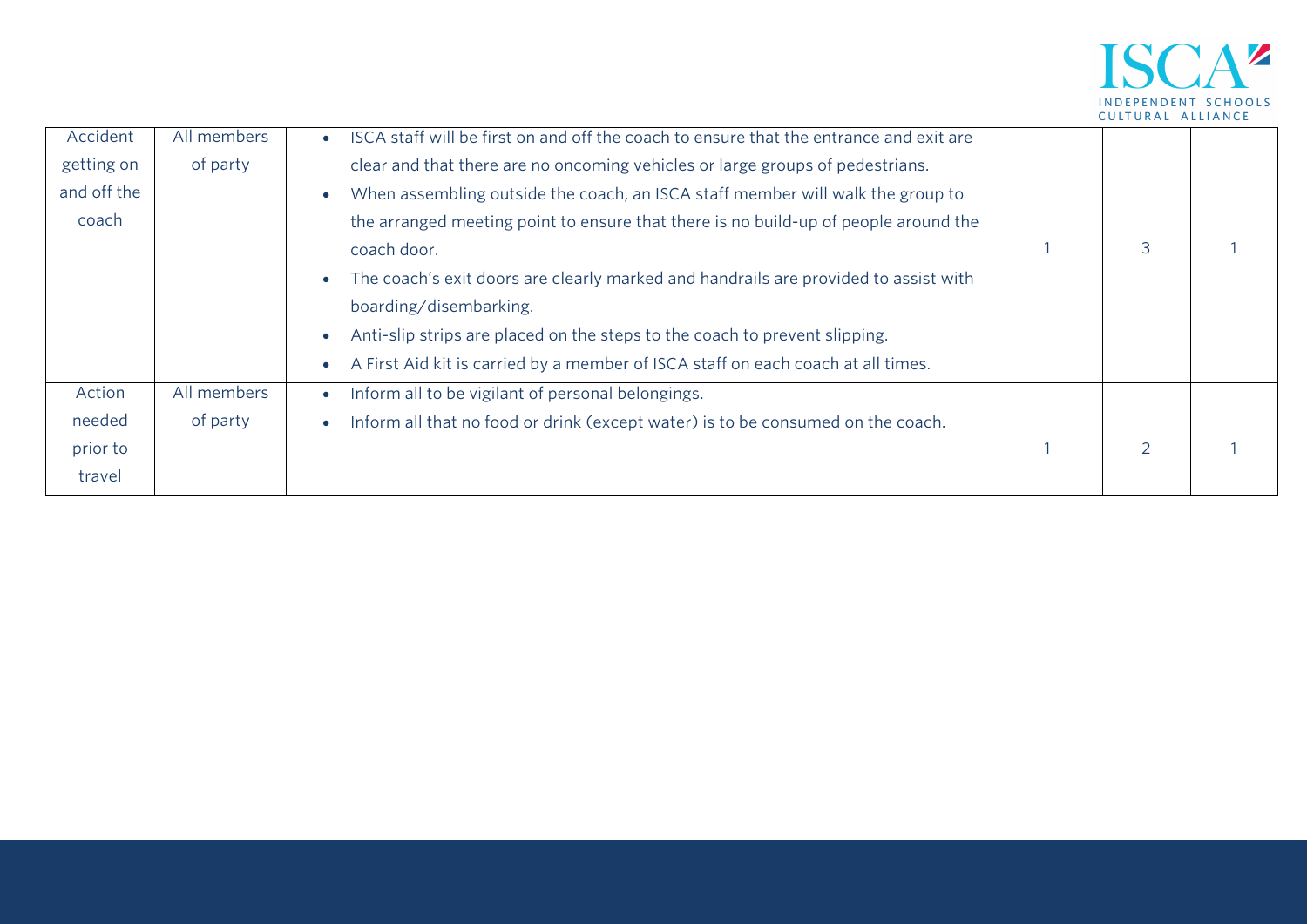

| Accident    | All members | ISCA staff will be first on and off the coach to ensure that the entrance and exit are        |               |  |
|-------------|-------------|-----------------------------------------------------------------------------------------------|---------------|--|
| getting on  | of party    | clear and that there are no oncoming vehicles or large groups of pedestrians.                 |               |  |
| and off the |             | When assembling outside the coach, an ISCA staff member will walk the group to                |               |  |
| coach       |             | the arranged meeting point to ensure that there is no build-up of people around the           |               |  |
|             |             | coach door.                                                                                   | 3             |  |
|             |             | The coach's exit doors are clearly marked and handrails are provided to assist with           |               |  |
|             |             | boarding/disembarking.                                                                        |               |  |
|             |             | Anti-slip strips are placed on the steps to the coach to prevent slipping.                    |               |  |
|             |             | A First Aid kit is carried by a member of ISCA staff on each coach at all times.<br>$\bullet$ |               |  |
| Action      | All members | Inform all to be vigilant of personal belongings.<br>$\bullet$                                |               |  |
| needed      | of party    | Inform all that no food or drink (except water) is to be consumed on the coach.               |               |  |
| prior to    |             |                                                                                               | $\mathcal{P}$ |  |
| travel      |             |                                                                                               |               |  |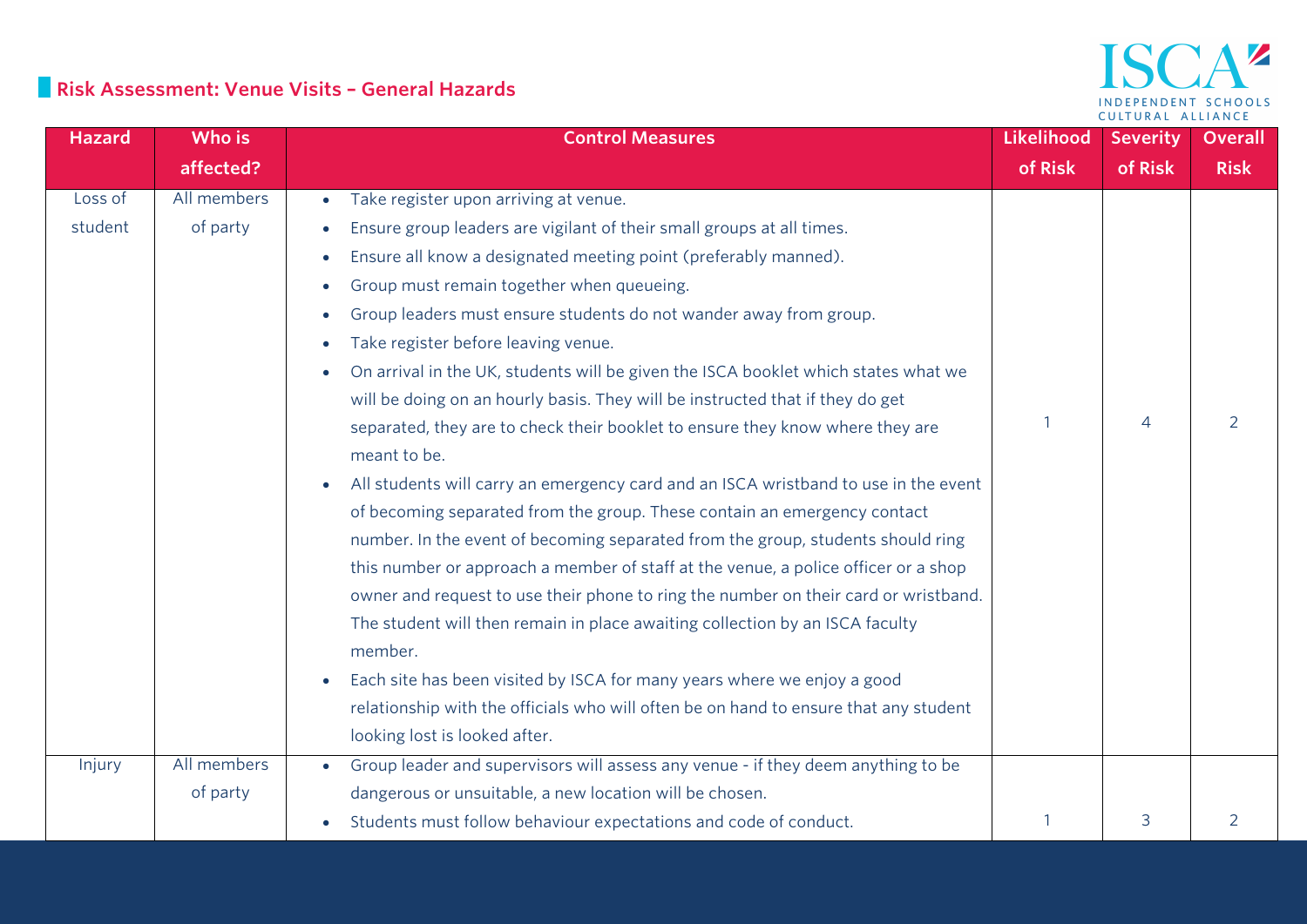#### **Risk Assessment: Venue Visits – General Hazards**

#### AZ **ISC** INDEPENDENT SCHOOLS CULTURAL ALLIANCE

| <b>Hazard</b> | Who is      | <b>Control Measures</b>                                                                       | Likelihood | <b>Severity</b> | <b>Overall</b> |
|---------------|-------------|-----------------------------------------------------------------------------------------------|------------|-----------------|----------------|
|               | affected?   |                                                                                               | of Risk    | of Risk         | <b>Risk</b>    |
| Loss of       | All members | Take register upon arriving at venue.<br>$\bullet$                                            |            |                 |                |
| student       | of party    | Ensure group leaders are vigilant of their small groups at all times.<br>$\bullet$            |            |                 |                |
|               |             | Ensure all know a designated meeting point (preferably manned).                               |            |                 |                |
|               |             | Group must remain together when queueing.<br>$\bullet$                                        |            |                 |                |
|               |             | Group leaders must ensure students do not wander away from group.<br>$\bullet$                |            |                 |                |
|               |             | Take register before leaving venue.<br>$\bullet$                                              |            |                 |                |
|               |             | On arrival in the UK, students will be given the ISCA booklet which states what we            |            |                 |                |
|               |             | will be doing on an hourly basis. They will be instructed that if they do get                 |            |                 |                |
|               |             | separated, they are to check their booklet to ensure they know where they are                 |            | 4               | $\overline{2}$ |
|               |             | meant to be.                                                                                  |            |                 |                |
|               |             | All students will carry an emergency card and an ISCA wristband to use in the event           |            |                 |                |
|               |             | of becoming separated from the group. These contain an emergency contact                      |            |                 |                |
|               |             | number. In the event of becoming separated from the group, students should ring               |            |                 |                |
|               |             | this number or approach a member of staff at the venue, a police officer or a shop            |            |                 |                |
|               |             | owner and request to use their phone to ring the number on their card or wristband.           |            |                 |                |
|               |             | The student will then remain in place awaiting collection by an ISCA faculty                  |            |                 |                |
|               |             | member.                                                                                       |            |                 |                |
|               |             | Each site has been visited by ISCA for many years where we enjoy a good                       |            |                 |                |
|               |             | relationship with the officials who will often be on hand to ensure that any student          |            |                 |                |
|               |             | looking lost is looked after.                                                                 |            |                 |                |
| Injury        | All members | Group leader and supervisors will assess any venue - if they deem anything to be<br>$\bullet$ |            |                 |                |
|               | of party    | dangerous or unsuitable, a new location will be chosen.                                       |            |                 |                |
|               |             | Students must follow behaviour expectations and code of conduct.                              |            | 3               | 2              |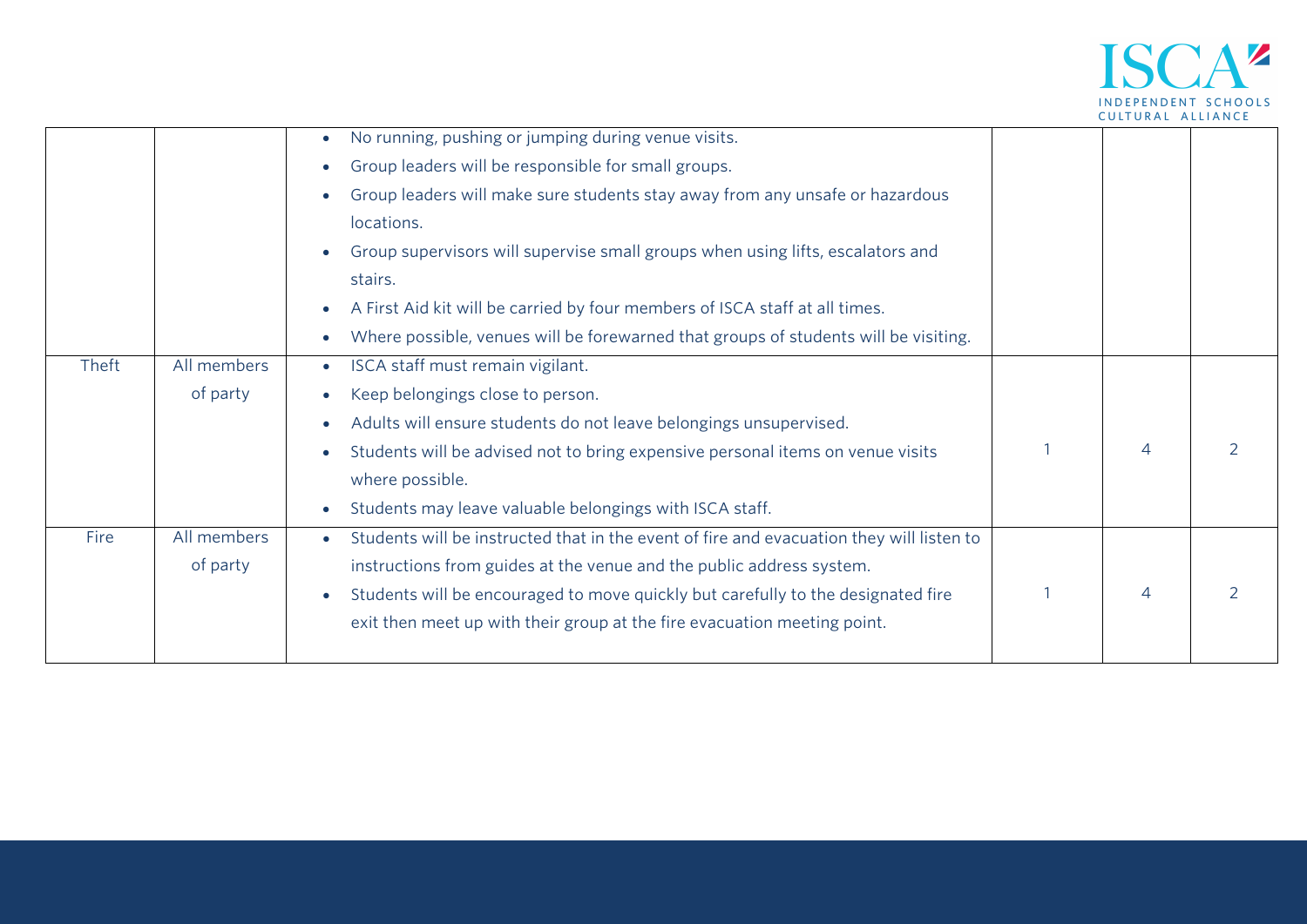

|       |             | No running, pushing or jumping during venue visits.                                                   |   |               |
|-------|-------------|-------------------------------------------------------------------------------------------------------|---|---------------|
|       |             | Group leaders will be responsible for small groups.<br>$\bullet$                                      |   |               |
|       |             | Group leaders will make sure students stay away from any unsafe or hazardous                          |   |               |
|       |             | locations.                                                                                            |   |               |
|       |             | Group supervisors will supervise small groups when using lifts, escalators and                        |   |               |
|       |             | stairs.                                                                                               |   |               |
|       |             | A First Aid kit will be carried by four members of ISCA staff at all times.<br>$\bullet$              |   |               |
|       |             | Where possible, venues will be forewarned that groups of students will be visiting.<br>$\bullet$      |   |               |
| Theft | All members | ISCA staff must remain vigilant.<br>$\bullet$                                                         |   |               |
|       | of party    | Keep belongings close to person.                                                                      |   |               |
|       |             | Adults will ensure students do not leave belongings unsupervised.                                     |   |               |
|       |             | Students will be advised not to bring expensive personal items on venue visits<br>$\bullet$           | 4 | $\mathcal{P}$ |
|       |             | where possible.                                                                                       |   |               |
|       |             | Students may leave valuable belongings with ISCA staff.<br>$\bullet$                                  |   |               |
| Fire  | All members | Students will be instructed that in the event of fire and evacuation they will listen to<br>$\bullet$ |   |               |
|       | of party    | instructions from guides at the venue and the public address system.                                  |   |               |
|       |             | Students will be encouraged to move quickly but carefully to the designated fire<br>$\bullet$         | 4 | $\mathcal{P}$ |
|       |             | exit then meet up with their group at the fire evacuation meeting point.                              |   |               |
|       |             |                                                                                                       |   |               |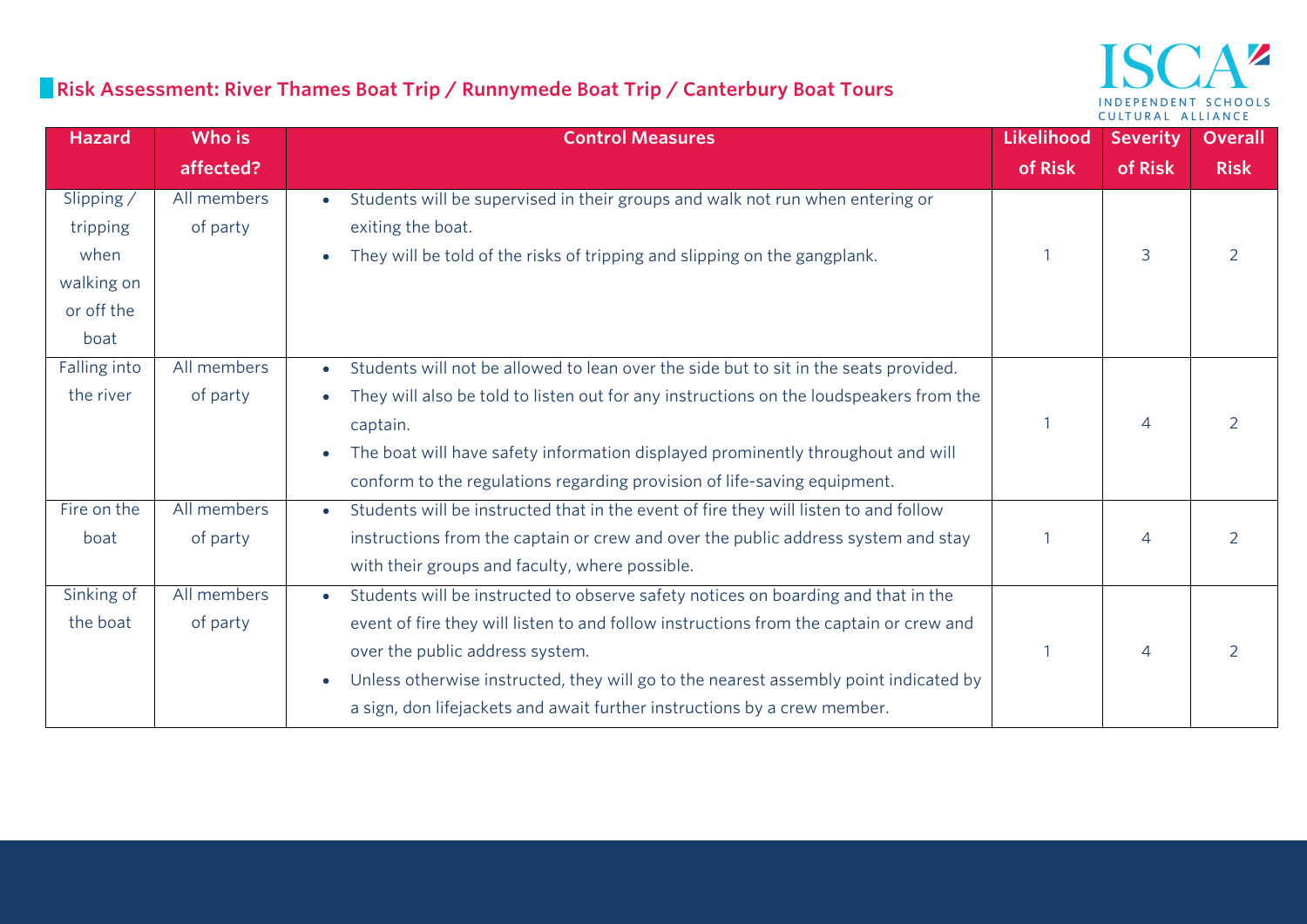## **Risk Assessment: River Thames Boat Trip / Runnymede Boat Trip / Canterbury Boat Tours**

#### $\mathbf{A}^{\mathbf{z}}$ ISC INDEPENDENT SCHOOLS CULTURAL ALLIANCE

| <b>Hazard</b>                                                      | Who is                  | <b>Control Measures</b>                                                                                                                                                                                                                                                                                                                                                                                      | Likelihood | <b>Severity</b> | <b>Overall</b> |
|--------------------------------------------------------------------|-------------------------|--------------------------------------------------------------------------------------------------------------------------------------------------------------------------------------------------------------------------------------------------------------------------------------------------------------------------------------------------------------------------------------------------------------|------------|-----------------|----------------|
|                                                                    | affected?               |                                                                                                                                                                                                                                                                                                                                                                                                              | of Risk    | of Risk         | <b>Risk</b>    |
| Slipping /<br>tripping<br>when<br>walking on<br>or off the<br>boat | All members<br>of party | Students will be supervised in their groups and walk not run when entering or<br>exiting the boat.<br>They will be told of the risks of tripping and slipping on the gangplank.                                                                                                                                                                                                                              |            | 3               |                |
| Falling into<br>the river                                          | All members<br>of party | Students will not be allowed to lean over the side but to sit in the seats provided.<br>$\bullet$<br>They will also be told to listen out for any instructions on the loudspeakers from the<br>captain.<br>The boat will have safety information displayed prominently throughout and will<br>$\bullet$<br>conform to the regulations regarding provision of life-saving equipment.                          |            | $\overline{4}$  |                |
| Fire on the<br>boat                                                | All members<br>of party | Students will be instructed that in the event of fire they will listen to and follow<br>instructions from the captain or crew and over the public address system and stay<br>with their groups and faculty, where possible.                                                                                                                                                                                  |            | $\overline{4}$  |                |
| Sinking of<br>the boat                                             | All members<br>of party | Students will be instructed to observe safety notices on boarding and that in the<br>$\bullet$<br>event of fire they will listen to and follow instructions from the captain or crew and<br>over the public address system.<br>Unless otherwise instructed, they will go to the nearest assembly point indicated by<br>$\bullet$<br>a sign, don lifejackets and await further instructions by a crew member. |            | $\overline{4}$  |                |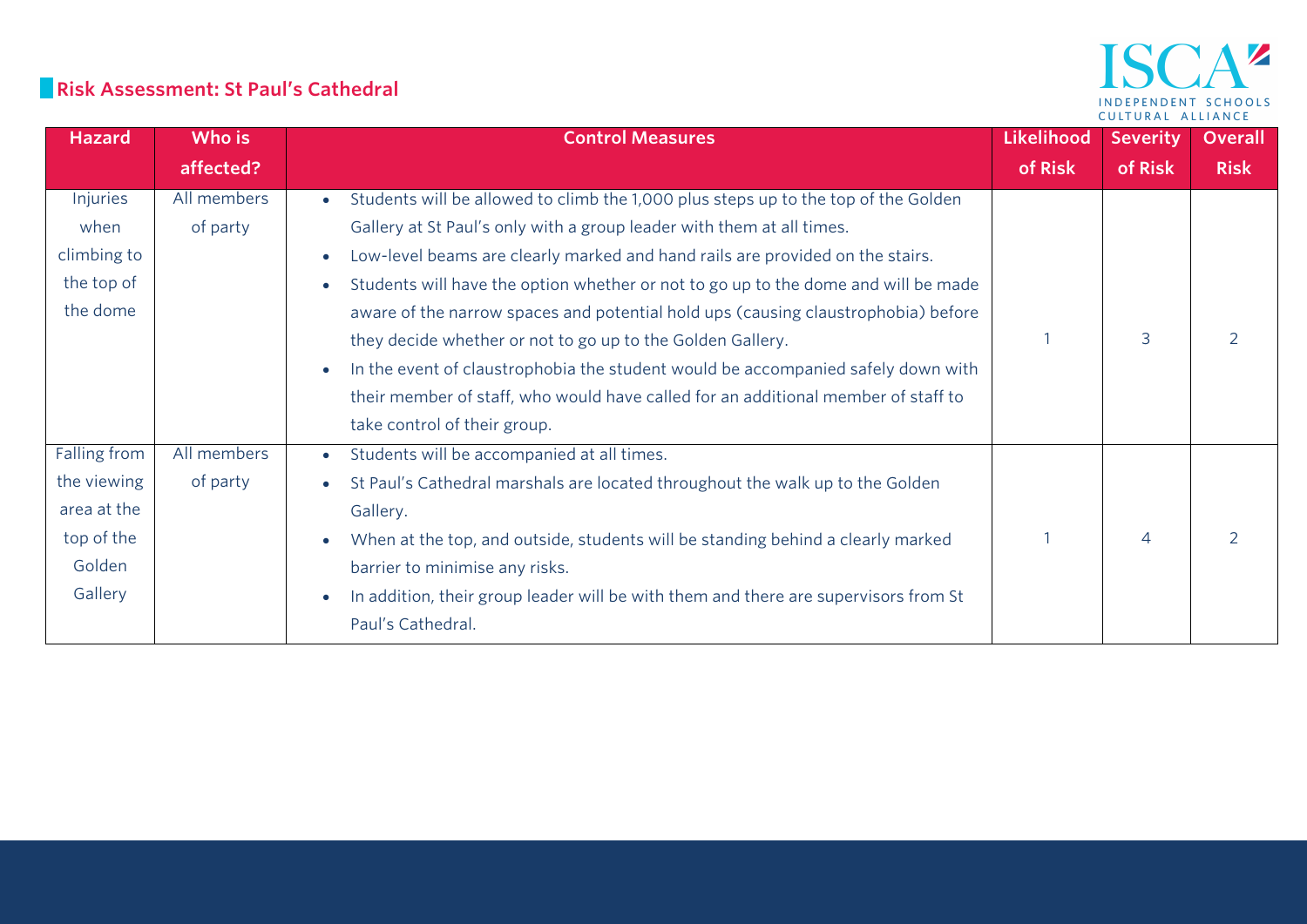#### **Risk Assessment: St Paul's Cathedral**

| Hazard       | Who is      | <b>Control Measures</b>                                                             | <b>Likelihood</b> | <b>Severity</b>          | <b>Overall</b> |
|--------------|-------------|-------------------------------------------------------------------------------------|-------------------|--------------------------|----------------|
|              | affected?   |                                                                                     | of Risk           | of Risk                  | <b>Risk</b>    |
| Injuries     | All members | Students will be allowed to climb the 1,000 plus steps up to the top of the Golden  |                   |                          |                |
| when         | of party    | Gallery at St Paul's only with a group leader with them at all times.               |                   |                          |                |
| climbing to  |             | Low-level beams are clearly marked and hand rails are provided on the stairs.       |                   |                          |                |
| the top of   |             | Students will have the option whether or not to go up to the dome and will be made  |                   |                          |                |
| the dome     |             | aware of the narrow spaces and potential hold ups (causing claustrophobia) before   |                   |                          |                |
|              |             | they decide whether or not to go up to the Golden Gallery.                          |                   | 3                        | $\mathcal{P}$  |
|              |             | In the event of claustrophobia the student would be accompanied safely down with    |                   |                          |                |
|              |             | their member of staff, who would have called for an additional member of staff to   |                   |                          |                |
|              |             | take control of their group.                                                        |                   |                          |                |
| Falling from | All members | Students will be accompanied at all times.<br>$\bullet$                             |                   |                          |                |
| the viewing  | of party    | St Paul's Cathedral marshals are located throughout the walk up to the Golden       |                   |                          |                |
| area at the  |             | Gallery.                                                                            |                   |                          |                |
| top of the   |             | When at the top, and outside, students will be standing behind a clearly marked     |                   | $\overline{\mathcal{A}}$ | $\mathcal{P}$  |
| Golden       |             | barrier to minimise any risks.                                                      |                   |                          |                |
| Gallery      |             | In addition, their group leader will be with them and there are supervisors from St |                   |                          |                |
|              |             | Paul's Cathedral.                                                                   |                   |                          |                |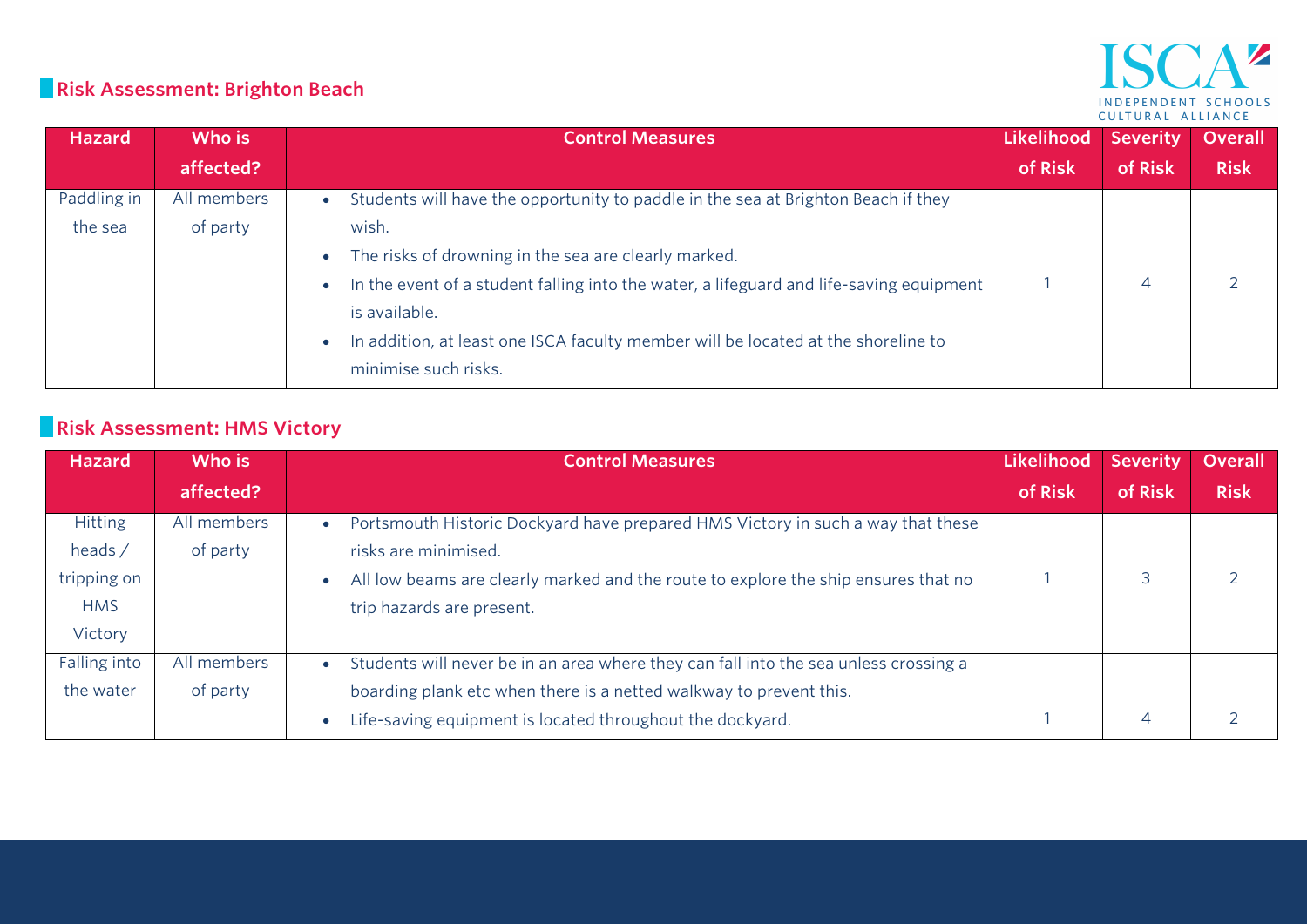#### $\mathbf{A}^{\prime\prime}$ IS INDEPENDENT SCHOOLS CULTURAL ALLIANCE

## **Risk Assessment: Brighton Beach**

| <b>Hazard</b> | Who is      | <b>Control Measures</b>                                                                        | Likelihood | <b>Severity</b> | Overall     |
|---------------|-------------|------------------------------------------------------------------------------------------------|------------|-----------------|-------------|
|               | affected?   |                                                                                                | of Risk    | of Risk         | <b>Risk</b> |
| Paddling in   | All members | Students will have the opportunity to paddle in the sea at Brighton Beach if they<br>$\bullet$ |            |                 |             |
| the sea       | of party    | wish.                                                                                          |            |                 |             |
|               |             | The risks of drowning in the sea are clearly marked.<br>$\bullet$                              |            |                 |             |
|               |             | In the event of a student falling into the water, a lifeguard and life-saving equipment        |            |                 |             |
|               |             | is available.                                                                                  |            |                 |             |
|               |             | In addition, at least one ISCA faculty member will be located at the shoreline to              |            |                 |             |
|               |             | minimise such risks.                                                                           |            |                 |             |

# **Risk Assessment: HMS Victory**

| <b>Hazard</b>  | Who is      | <b>Control Measures</b>                                                                           | Likelihood | <b>Severity</b> | <b>Overall</b> |
|----------------|-------------|---------------------------------------------------------------------------------------------------|------------|-----------------|----------------|
|                | affected?   |                                                                                                   | of Risk    | of Risk         | <b>Risk</b>    |
| <b>Hitting</b> | All members | Portsmouth Historic Dockyard have prepared HMS Victory in such a way that these<br>$\bullet$      |            |                 |                |
| heads $/$      | of party    | risks are minimised.                                                                              |            |                 |                |
| tripping on    |             | All low beams are clearly marked and the route to explore the ship ensures that no                |            |                 |                |
| <b>HMS</b>     |             | trip hazards are present.                                                                         |            |                 |                |
| Victory        |             |                                                                                                   |            |                 |                |
| Falling into   | All members | Students will never be in an area where they can fall into the sea unless crossing a<br>$\bullet$ |            |                 |                |
| the water      | of party    | boarding plank etc when there is a netted walkway to prevent this.                                |            |                 |                |
|                |             | Life-saving equipment is located throughout the dockyard.                                         |            | $\overline{4}$  |                |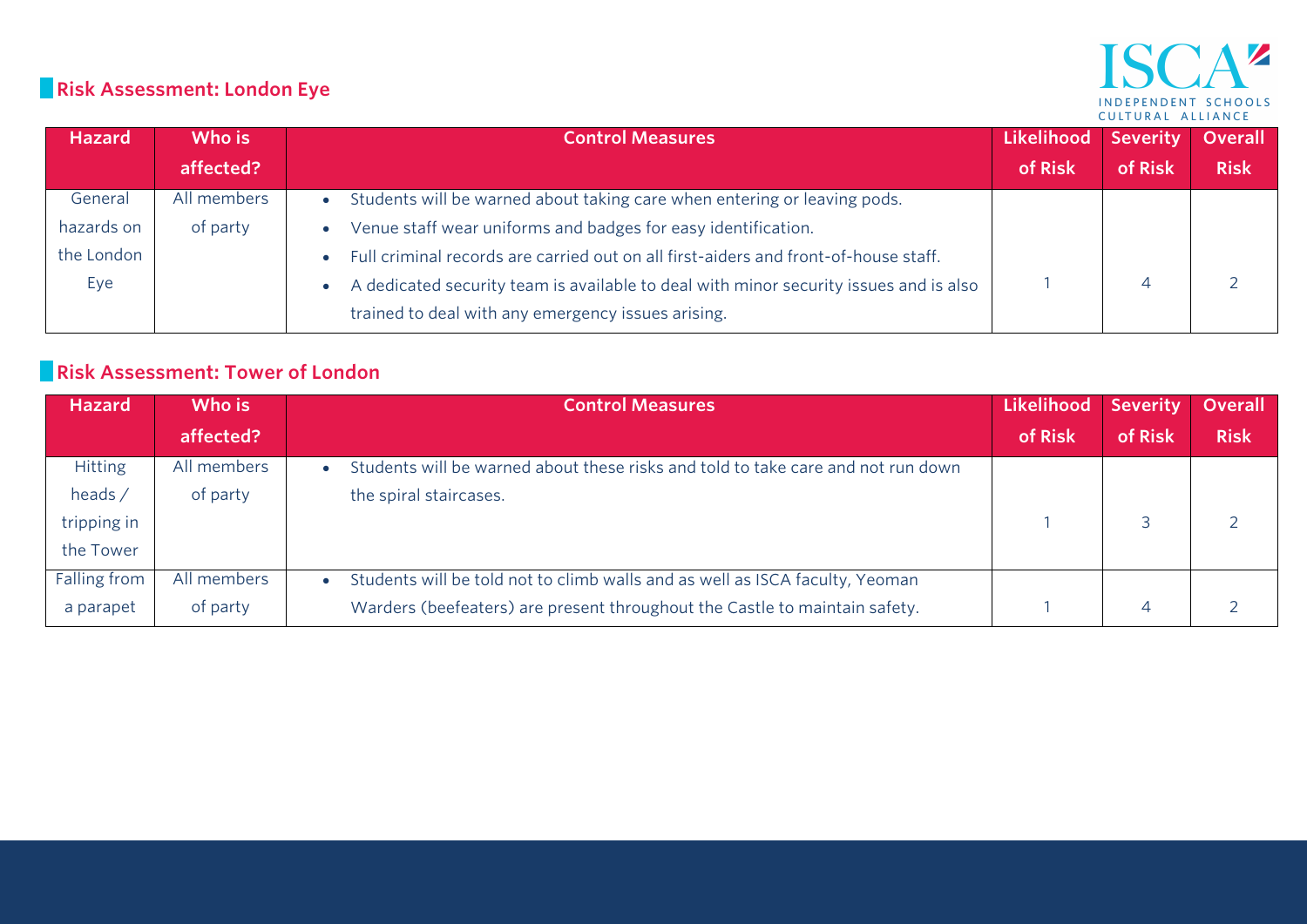## **Risk Assessment: London Eye**

#### $A^{\mathbf{z}}$ ISC INDEPENDENT SCHOOLS CULTURAL ALLIANCE

| <b>Hazard</b> | Who is      | <b>Control Measures</b>                                                               | Likelihood | Severity | Overall     |
|---------------|-------------|---------------------------------------------------------------------------------------|------------|----------|-------------|
|               | affected?   |                                                                                       | of Risk    | of Risk  | <b>Risk</b> |
| General       | All members | Students will be warned about taking care when entering or leaving pods.              |            |          |             |
| hazards on    | of party    | Venue staff wear uniforms and badges for easy identification.                         |            |          |             |
| the London    |             | Full criminal records are carried out on all first-aiders and front-of-house staff.   |            |          |             |
| Eye           |             | A dedicated security team is available to deal with minor security issues and is also |            |          |             |
|               |             | trained to deal with any emergency issues arising.                                    |            |          |             |

#### **Risk Assessment: Tower of London**

| <b>Hazard</b>  | Who is      | <b>Control Measures</b>                                                          | Likelihood | <b>Severity</b> | <b>Overall</b> |
|----------------|-------------|----------------------------------------------------------------------------------|------------|-----------------|----------------|
|                | affected?   |                                                                                  | of Risk    | of Risk         | <b>Risk</b>    |
| <b>Hitting</b> | All members | Students will be warned about these risks and told to take care and not run down |            |                 |                |
| heads /        | of party    | the spiral staircases.                                                           |            |                 |                |
| tripping in    |             |                                                                                  |            |                 |                |
| the Tower      |             |                                                                                  |            |                 |                |
| Falling from   | All members | Students will be told not to climb walls and as well as ISCA faculty, Yeoman     |            |                 |                |
| a parapet      | of party    | Warders (beefeaters) are present throughout the Castle to maintain safety.       |            | 4               |                |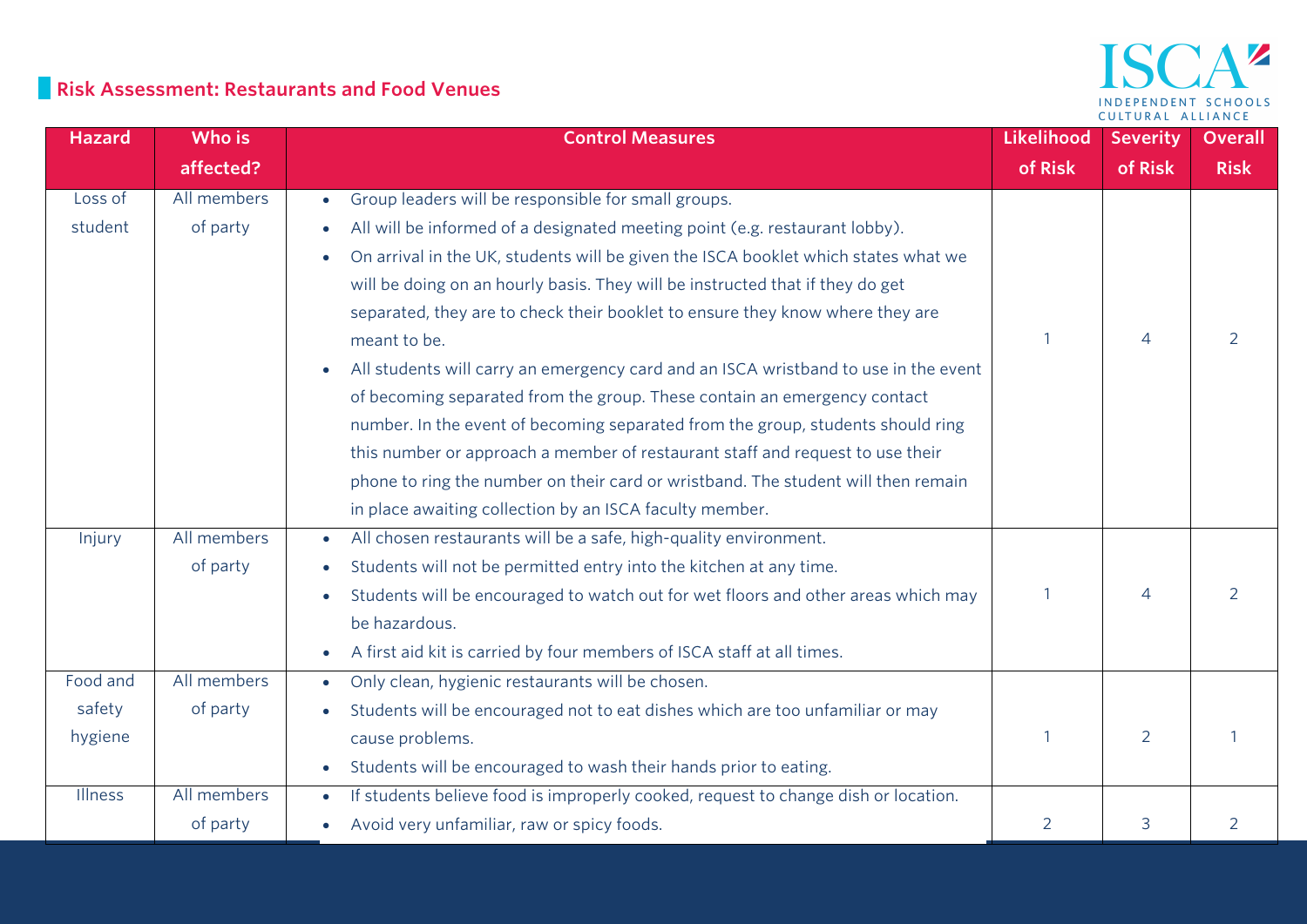#### **Risk Assessment: Restaurants and Food Venues**

| <b>Hazard</b> | Who is      | <b>Control Measures</b>                                                                         | <b>Likelihood</b> | <b>Severity</b> | <b>Overall</b> |
|---------------|-------------|-------------------------------------------------------------------------------------------------|-------------------|-----------------|----------------|
|               | affected?   |                                                                                                 | of Risk           | of Risk         | <b>Risk</b>    |
| Loss of       | All members | Group leaders will be responsible for small groups.<br>$\bullet$                                |                   |                 |                |
| student       | of party    | All will be informed of a designated meeting point (e.g. restaurant lobby).<br>$\bullet$        |                   |                 |                |
|               |             | On arrival in the UK, students will be given the ISCA booklet which states what we<br>$\bullet$ |                   |                 |                |
|               |             | will be doing on an hourly basis. They will be instructed that if they do get                   |                   |                 |                |
|               |             | separated, they are to check their booklet to ensure they know where they are                   |                   |                 |                |
|               |             | meant to be.                                                                                    | $\overline{1}$    | $\overline{4}$  | 2              |
|               |             | All students will carry an emergency card and an ISCA wristband to use in the event             |                   |                 |                |
|               |             | of becoming separated from the group. These contain an emergency contact                        |                   |                 |                |
|               |             | number. In the event of becoming separated from the group, students should ring                 |                   |                 |                |
|               |             | this number or approach a member of restaurant staff and request to use their                   |                   |                 |                |
|               |             | phone to ring the number on their card or wristband. The student will then remain               |                   |                 |                |
|               |             | in place awaiting collection by an ISCA faculty member.                                         |                   |                 |                |
| Injury        | All members | All chosen restaurants will be a safe, high-quality environment.                                |                   |                 |                |
|               | of party    | Students will not be permitted entry into the kitchen at any time.<br>$\bullet$                 |                   |                 |                |
|               |             | Students will be encouraged to watch out for wet floors and other areas which may<br>$\bullet$  |                   | 4               | $\mathcal{P}$  |
|               |             | be hazardous.                                                                                   |                   |                 |                |
|               |             | A first aid kit is carried by four members of ISCA staff at all times.<br>$\bullet$             |                   |                 |                |
| Food and      | All members | Only clean, hygienic restaurants will be chosen.<br>$\bullet$                                   |                   |                 |                |
| safety        | of party    | Students will be encouraged not to eat dishes which are too unfamiliar or may                   |                   |                 |                |
| hygiene       |             | cause problems.                                                                                 | $\overline{1}$    | 2               |                |
|               |             | Students will be encouraged to wash their hands prior to eating.                                |                   |                 |                |
| Illness       | All members | If students believe food is improperly cooked, request to change dish or location.<br>$\bullet$ |                   |                 |                |
|               | of party    | Avoid very unfamiliar, raw or spicy foods.                                                      | 2                 | 3               | $\overline{2}$ |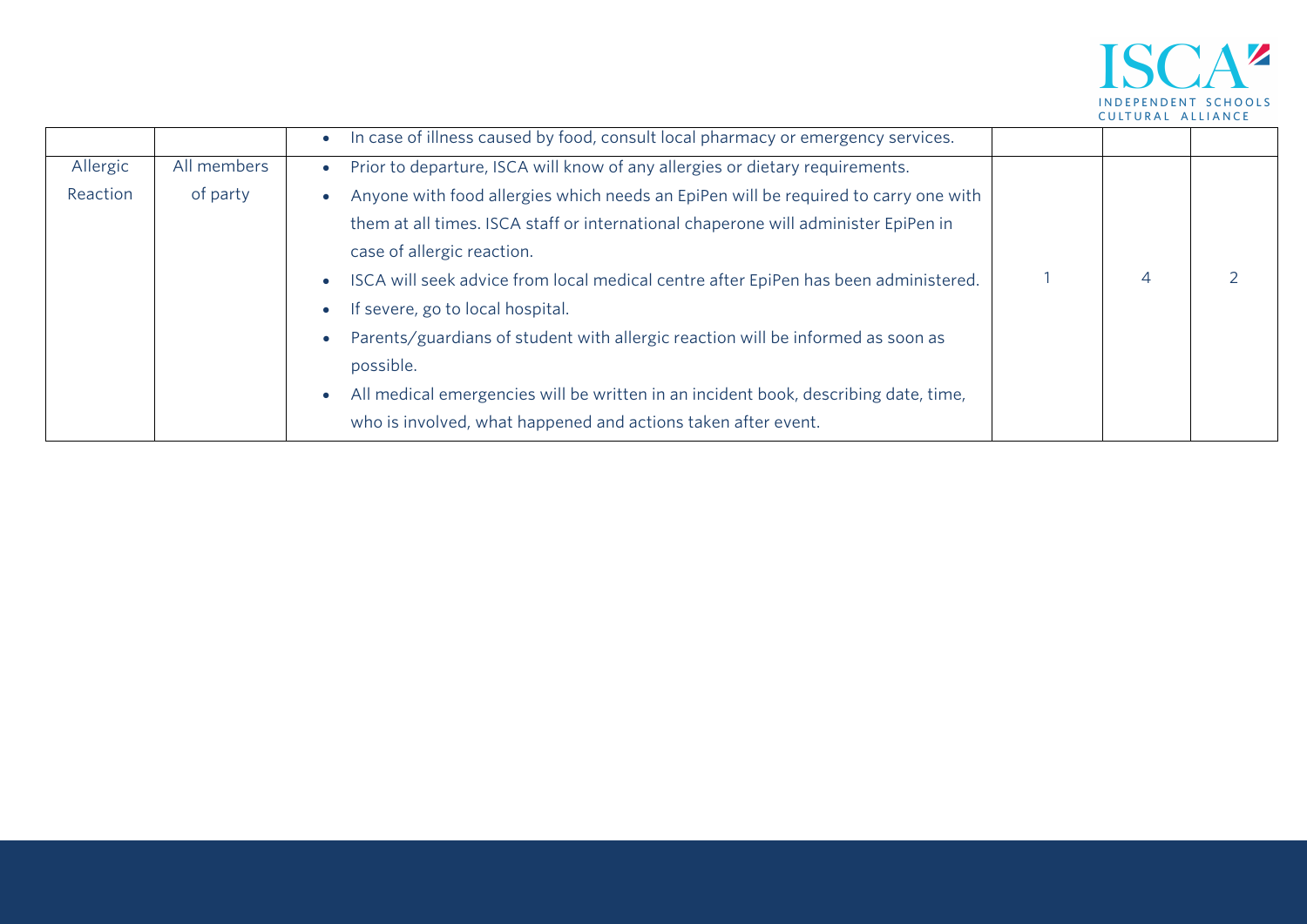

|          |             | In case of illness caused by food, consult local pharmacy or emergency services.    |   |  |
|----------|-------------|-------------------------------------------------------------------------------------|---|--|
| Allergic | All members | Prior to departure, ISCA will know of any allergies or dietary requirements.        |   |  |
| Reaction | of party    | Anyone with food allergies which needs an EpiPen will be required to carry one with |   |  |
|          |             | them at all times. ISCA staff or international chaperone will administer EpiPen in  |   |  |
|          |             | case of allergic reaction.                                                          |   |  |
|          |             | ISCA will seek advice from local medical centre after EpiPen has been administered. | 4 |  |
|          |             | If severe, go to local hospital.                                                    |   |  |
|          |             | Parents/guardians of student with allergic reaction will be informed as soon as     |   |  |
|          |             | possible.                                                                           |   |  |
|          |             | All medical emergencies will be written in an incident book, describing date, time, |   |  |
|          |             | who is involved, what happened and actions taken after event.                       |   |  |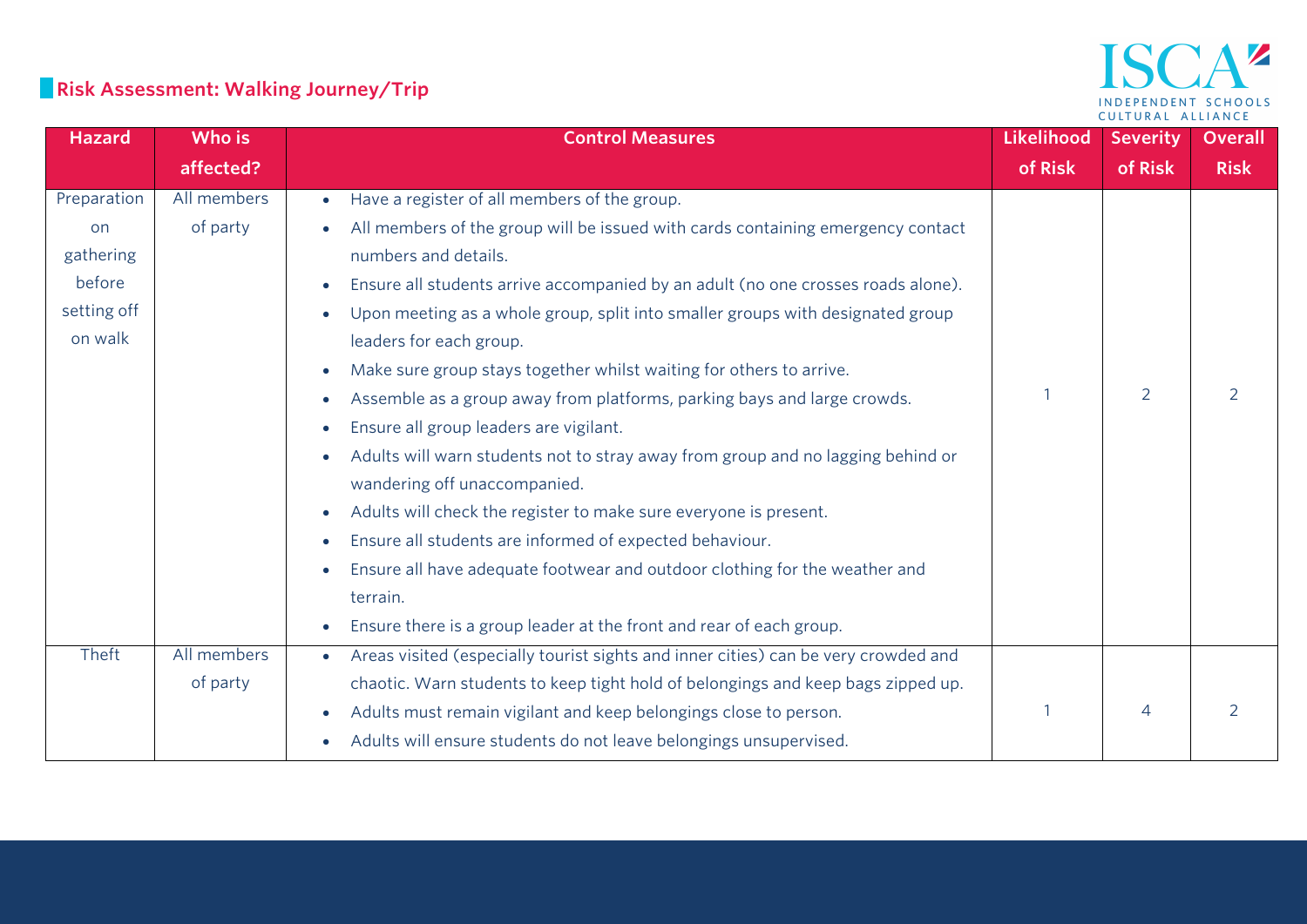# **Risk Assessment: Walking Journey/Trip**

#### $\Delta$   $\bar{z}$ ISC INDEPENDENT SCHOOLS CULTURAL ALLIANCE

| <b>Hazard</b> | Who is      | <b>Control Measures</b>                                                                         | Likelihood | <b>Severity</b> | <b>Overall</b> |
|---------------|-------------|-------------------------------------------------------------------------------------------------|------------|-----------------|----------------|
|               | affected?   |                                                                                                 | of Risk    | of Risk         | <b>Risk</b>    |
| Preparation   | All members | Have a register of all members of the group.<br>$\bullet$                                       |            |                 |                |
| on            | of party    | All members of the group will be issued with cards containing emergency contact                 |            |                 |                |
| gathering     |             | numbers and details.                                                                            |            |                 |                |
| before        |             | Ensure all students arrive accompanied by an adult (no one crosses roads alone).<br>$\bullet$   |            |                 |                |
| setting off   |             | Upon meeting as a whole group, split into smaller groups with designated group                  |            |                 |                |
| on walk       |             | leaders for each group.                                                                         |            |                 |                |
|               |             | Make sure group stays together whilst waiting for others to arrive.<br>$\bullet$                |            |                 |                |
|               |             | Assemble as a group away from platforms, parking bays and large crowds.<br>$\bullet$            |            | $\overline{2}$  | 2              |
|               |             | Ensure all group leaders are vigilant.<br>$\bullet$                                             |            |                 |                |
|               |             | Adults will warn students not to stray away from group and no lagging behind or                 |            |                 |                |
|               |             | wandering off unaccompanied.                                                                    |            |                 |                |
|               |             | Adults will check the register to make sure everyone is present.<br>$\bullet$                   |            |                 |                |
|               |             | Ensure all students are informed of expected behaviour.<br>$\bullet$                            |            |                 |                |
|               |             | Ensure all have adequate footwear and outdoor clothing for the weather and<br>$\bullet$         |            |                 |                |
|               |             | terrain.                                                                                        |            |                 |                |
|               |             | Ensure there is a group leader at the front and rear of each group.                             |            |                 |                |
| Theft         | All members | Areas visited (especially tourist sights and inner cities) can be very crowded and<br>$\bullet$ |            |                 |                |
|               | of party    | chaotic. Warn students to keep tight hold of belongings and keep bags zipped up.                |            |                 |                |
|               |             | Adults must remain vigilant and keep belongings close to person.                                |            | 4               | 2              |
|               |             | Adults will ensure students do not leave belongings unsupervised.<br>$\bullet$                  |            |                 |                |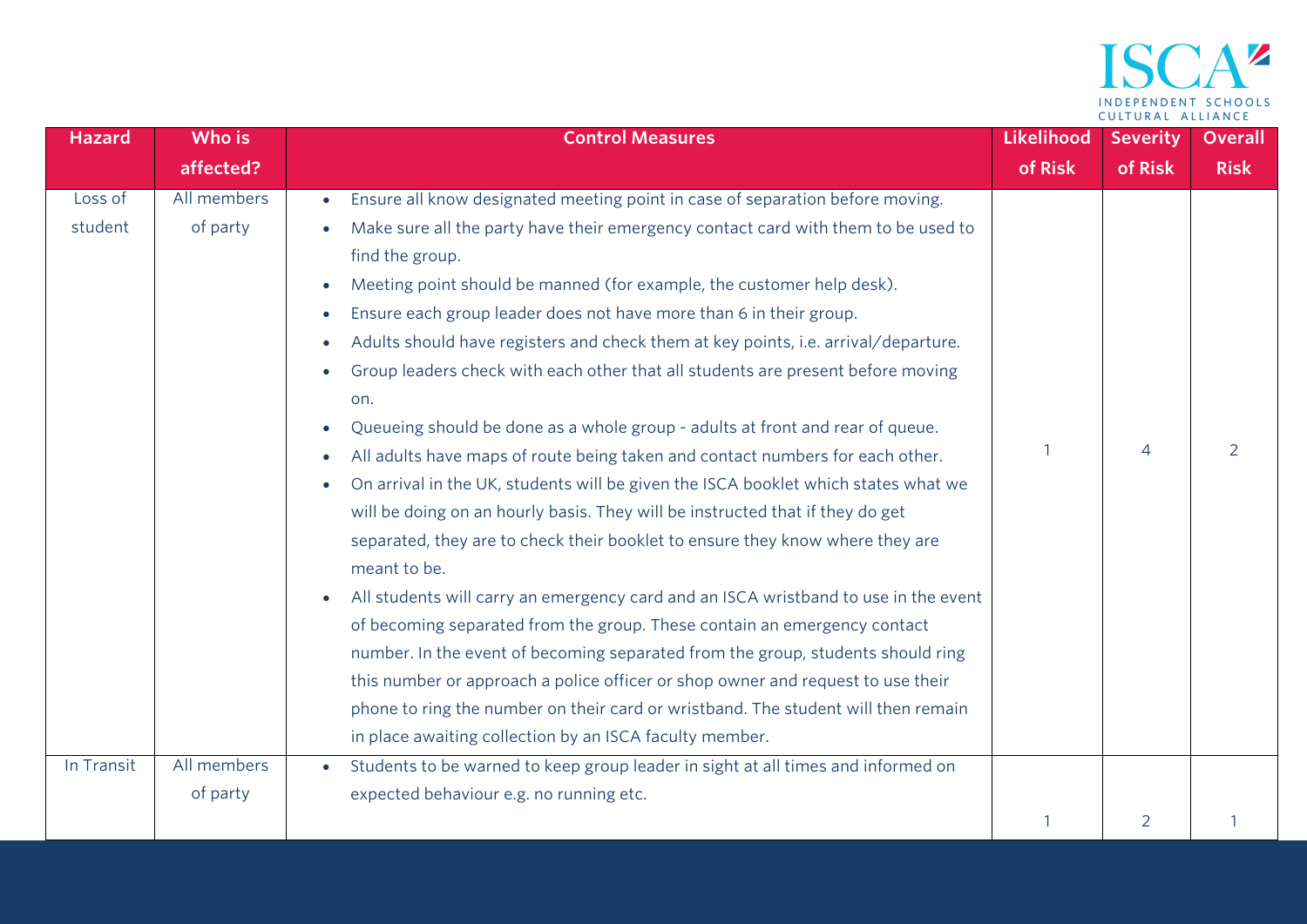

| <b>Hazard</b> | Who is      | <b>Control Measures</b>                                                                         | Likelihood | <b>Severity</b> | <b>Overall</b> |
|---------------|-------------|-------------------------------------------------------------------------------------------------|------------|-----------------|----------------|
|               | affected?   |                                                                                                 | of Risk    | of Risk         | <b>Risk</b>    |
| Loss of       | All members | Ensure all know designated meeting point in case of separation before moving.<br>$\bullet$      |            |                 |                |
| student       | of party    | Make sure all the party have their emergency contact card with them to be used to               |            |                 |                |
|               |             | find the group.                                                                                 |            |                 |                |
|               |             | Meeting point should be manned (for example, the customer help desk).                           |            |                 |                |
|               |             | Ensure each group leader does not have more than 6 in their group.                              |            |                 |                |
|               |             | Adults should have registers and check them at key points, i.e. arrival/departure.              |            |                 |                |
|               |             | Group leaders check with each other that all students are present before moving                 |            |                 |                |
|               |             | on.                                                                                             |            |                 |                |
|               |             | Queueing should be done as a whole group - adults at front and rear of queue.                   |            |                 |                |
|               |             | All adults have maps of route being taken and contact numbers for each other.                   |            | 4               | 2              |
|               |             | On arrival in the UK, students will be given the ISCA booklet which states what we<br>$\bullet$ |            |                 |                |
|               |             | will be doing on an hourly basis. They will be instructed that if they do get                   |            |                 |                |
|               |             | separated, they are to check their booklet to ensure they know where they are                   |            |                 |                |
|               |             | meant to be.                                                                                    |            |                 |                |
|               |             | All students will carry an emergency card and an ISCA wristband to use in the event             |            |                 |                |
|               |             | of becoming separated from the group. These contain an emergency contact                        |            |                 |                |
|               |             | number. In the event of becoming separated from the group, students should ring                 |            |                 |                |
|               |             | this number or approach a police officer or shop owner and request to use their                 |            |                 |                |
|               |             | phone to ring the number on their card or wristband. The student will then remain               |            |                 |                |
|               |             | in place awaiting collection by an ISCA faculty member.                                         |            |                 |                |
| In Transit    | All members | Students to be warned to keep group leader in sight at all times and informed on                |            |                 |                |
|               | of party    | expected behaviour e.g. no running etc.                                                         |            |                 |                |
|               |             |                                                                                                 |            | $\overline{2}$  |                |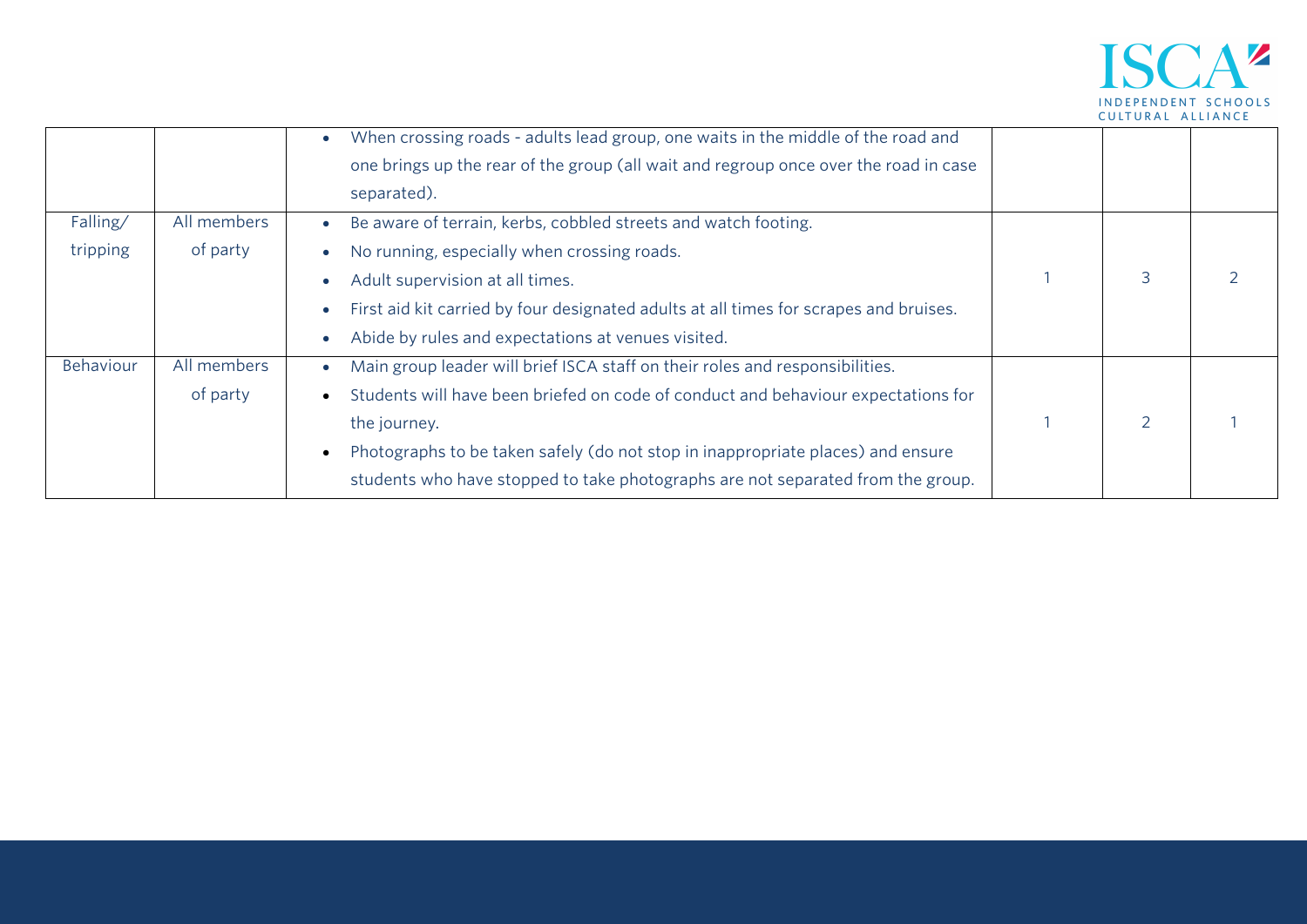

|                      |                         | When crossing roads - adults lead group, one waits in the middle of the road and<br>one brings up the rear of the group (all wait and regroup once over the road in case<br>separated). |  |  |
|----------------------|-------------------------|-----------------------------------------------------------------------------------------------------------------------------------------------------------------------------------------|--|--|
| Falling/<br>tripping | All members<br>of party | Be aware of terrain, kerbs, cobbled streets and watch footing.<br>No running, especially when crossing roads.                                                                           |  |  |
|                      |                         | Adult supervision at all times.                                                                                                                                                         |  |  |
|                      |                         | First aid kit carried by four designated adults at all times for scrapes and bruises.                                                                                                   |  |  |
|                      |                         | Abide by rules and expectations at venues visited.                                                                                                                                      |  |  |
| Behaviour            | All members             | Main group leader will brief ISCA staff on their roles and responsibilities.                                                                                                            |  |  |
|                      | of party                | Students will have been briefed on code of conduct and behaviour expectations for                                                                                                       |  |  |
|                      |                         | the journey.                                                                                                                                                                            |  |  |
|                      |                         | Photographs to be taken safely (do not stop in inappropriate places) and ensure                                                                                                         |  |  |
|                      |                         | students who have stopped to take photographs are not separated from the group.                                                                                                         |  |  |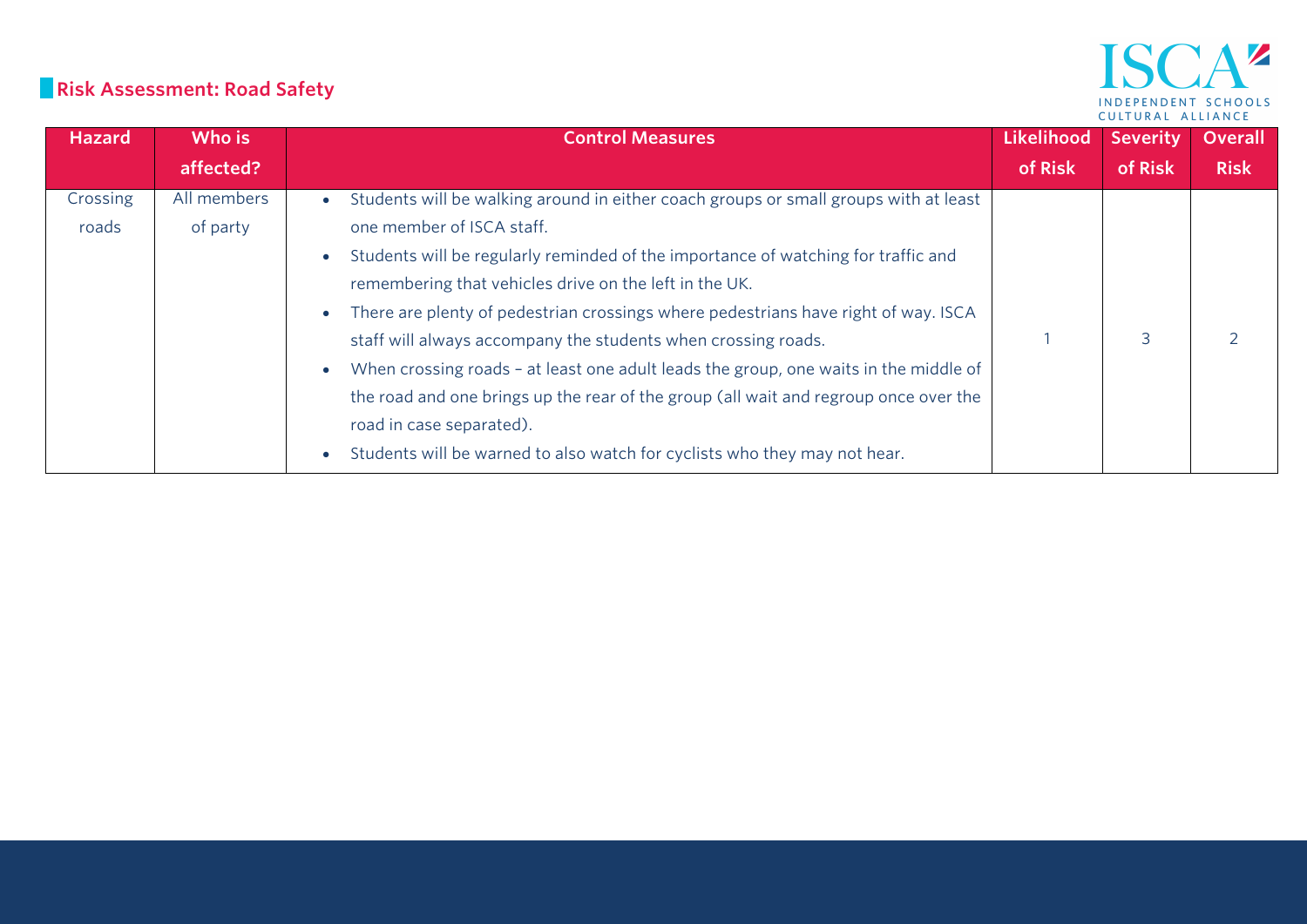# **Risk Assessment: Road Safety**

| <b>Hazard</b>     | Who is                  | <b>Control Measures</b>                                                                                                                                                                                                                                                                                                                                                                                                                                                                                                                                                                                                                                                                                          | Likelihood | <b>Severity</b> | <b>Overall</b> |
|-------------------|-------------------------|------------------------------------------------------------------------------------------------------------------------------------------------------------------------------------------------------------------------------------------------------------------------------------------------------------------------------------------------------------------------------------------------------------------------------------------------------------------------------------------------------------------------------------------------------------------------------------------------------------------------------------------------------------------------------------------------------------------|------------|-----------------|----------------|
|                   | affected?               |                                                                                                                                                                                                                                                                                                                                                                                                                                                                                                                                                                                                                                                                                                                  | of Risk    | of Risk         | <b>Risk</b>    |
| Crossing<br>roads | All members<br>of party | Students will be walking around in either coach groups or small groups with at least<br>one member of ISCA staff.<br>Students will be regularly reminded of the importance of watching for traffic and<br>remembering that vehicles drive on the left in the UK.<br>There are plenty of pedestrian crossings where pedestrians have right of way. ISCA<br>staff will always accompany the students when crossing roads.<br>When crossing roads - at least one adult leads the group, one waits in the middle of<br>the road and one brings up the rear of the group (all wait and regroup once over the<br>road in case separated).<br>Students will be warned to also watch for cyclists who they may not hear. |            | 3               |                |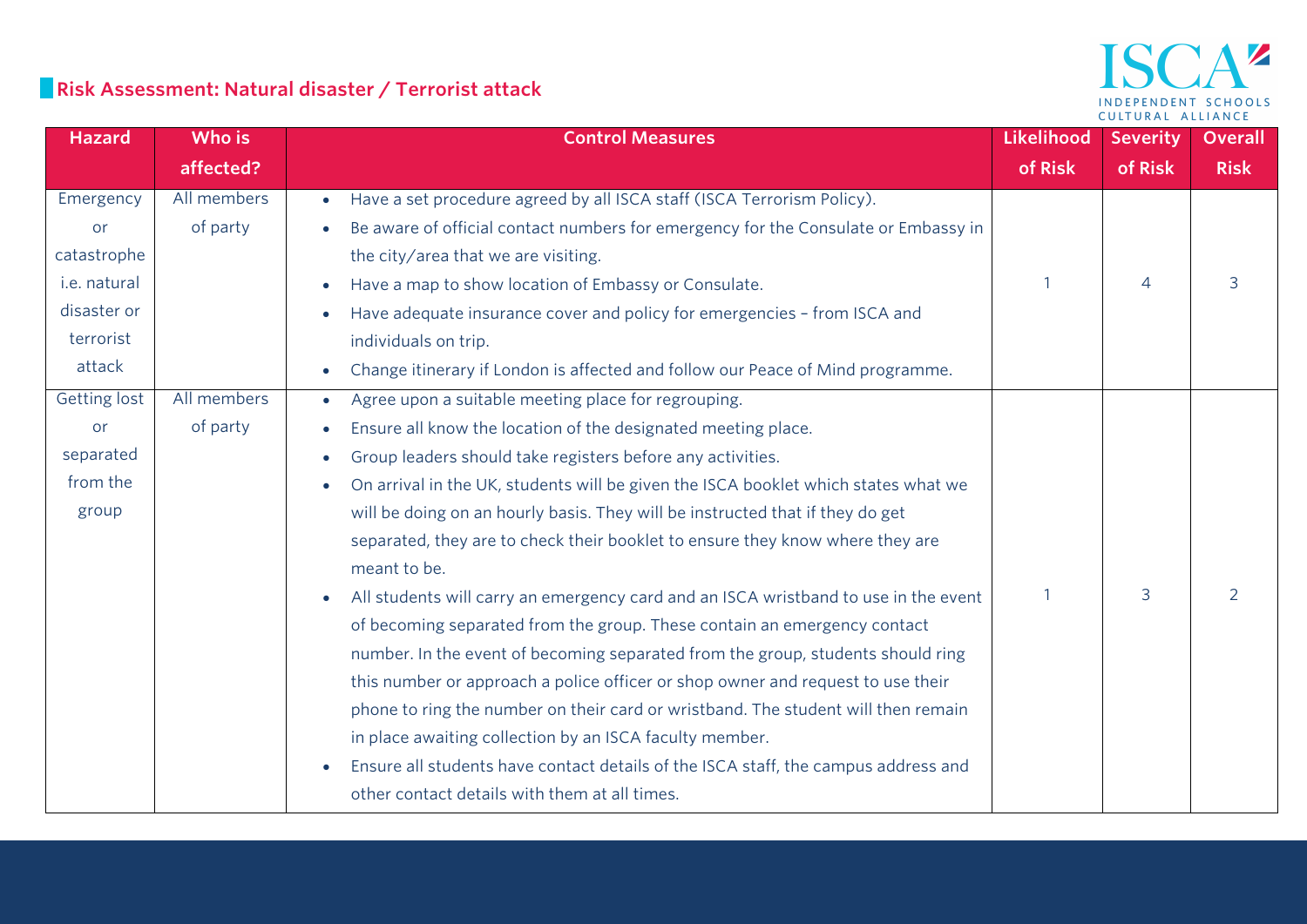## **Risk Assessment: Natural disaster / Terrorist attack**

#### $\mathbf{A}^{\mathbf{z}}$ ISC INDEPENDENT SCHOOLS CULTURAL ALLIANCE

| <b>Hazard</b>       | Who is      | <b>Control Measures</b>                                                                         | Likelihood | <b>Severity</b> | <b>Overall</b> |
|---------------------|-------------|-------------------------------------------------------------------------------------------------|------------|-----------------|----------------|
|                     | affected?   |                                                                                                 | of Risk    | of Risk         | <b>Risk</b>    |
| Emergency           | All members | Have a set procedure agreed by all ISCA staff (ISCA Terrorism Policy).<br>$\bullet$             |            |                 |                |
| <b>or</b>           | of party    | Be aware of official contact numbers for emergency for the Consulate or Embassy in              |            |                 |                |
| catastrophe         |             | the city/area that we are visiting.                                                             |            |                 |                |
| i.e. natural        |             | Have a map to show location of Embassy or Consulate.                                            |            | $\overline{4}$  | 3              |
| disaster or         |             | Have adequate insurance cover and policy for emergencies - from ISCA and                        |            |                 |                |
| terrorist           |             | individuals on trip.                                                                            |            |                 |                |
| attack              |             | Change itinerary if London is affected and follow our Peace of Mind programme.<br>$\bullet$     |            |                 |                |
| <b>Getting lost</b> | All members | Agree upon a suitable meeting place for regrouping.                                             |            |                 |                |
| or                  | of party    | Ensure all know the location of the designated meeting place.<br>$\bullet$                      |            |                 |                |
| separated           |             | Group leaders should take registers before any activities.<br>$\bullet$                         |            |                 |                |
| from the            |             | On arrival in the UK, students will be given the ISCA booklet which states what we<br>$\bullet$ |            |                 |                |
| group               |             | will be doing on an hourly basis. They will be instructed that if they do get                   |            |                 |                |
|                     |             | separated, they are to check their booklet to ensure they know where they are                   |            |                 |                |
|                     |             | meant to be.                                                                                    |            |                 |                |
|                     |             | All students will carry an emergency card and an ISCA wristband to use in the event             |            | 3               |                |
|                     |             | of becoming separated from the group. These contain an emergency contact                        |            |                 |                |
|                     |             | number. In the event of becoming separated from the group, students should ring                 |            |                 |                |
|                     |             | this number or approach a police officer or shop owner and request to use their                 |            |                 |                |
|                     |             | phone to ring the number on their card or wristband. The student will then remain               |            |                 |                |
|                     |             | in place awaiting collection by an ISCA faculty member.                                         |            |                 |                |
|                     |             | Ensure all students have contact details of the ISCA staff, the campus address and              |            |                 |                |
|                     |             | other contact details with them at all times.                                                   |            |                 |                |